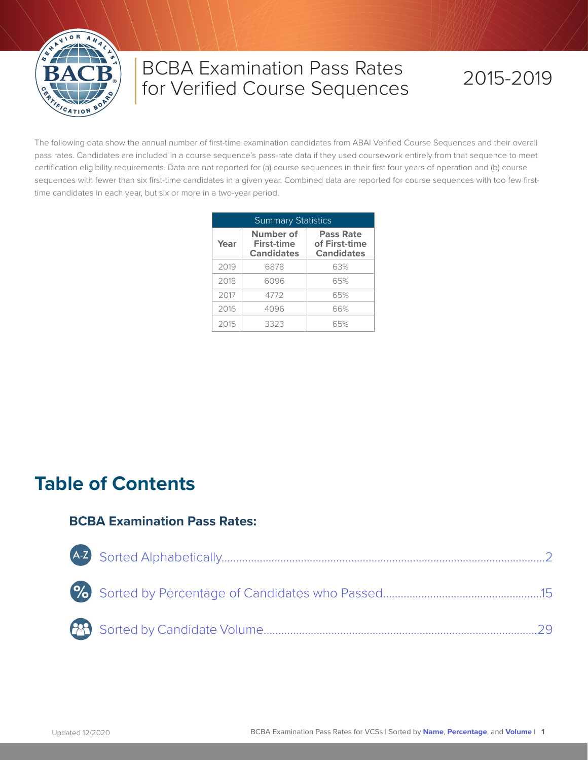

## BCBA Examination Pass Rates for Verified Course Sequences

# 2015-2019

The following data show the annual number of first-time examination candidates from ABAI Verified Course Sequences and their overall pass rates. Candidates are included in a course sequence's pass-rate data if they used coursework entirely from that sequence to meet certification eligibility requirements. Data are not reported for (a) course sequences in their first four years of operation and (b) course sequences with fewer than six first-time candidates in a given year. Combined data are reported for course sequences with too few firsttime candidates in each year, but six or more in a two-year period.

| <b>Summary Statistics</b> |                                                     |                                                        |  |  |  |  |  |  |  |  |
|---------------------------|-----------------------------------------------------|--------------------------------------------------------|--|--|--|--|--|--|--|--|
| Year                      | Number of<br><b>First-time</b><br><b>Candidates</b> | <b>Pass Rate</b><br>of First-time<br><b>Candidates</b> |  |  |  |  |  |  |  |  |
| 2019                      | 6878                                                | 63%                                                    |  |  |  |  |  |  |  |  |
| 2018                      | 6096                                                | 65%                                                    |  |  |  |  |  |  |  |  |
| 2017                      | 4772                                                | 65%                                                    |  |  |  |  |  |  |  |  |
| 2016                      | 4096                                                | 66%                                                    |  |  |  |  |  |  |  |  |
| 2015                      | 3323                                                | 65%                                                    |  |  |  |  |  |  |  |  |

## **Table of Contents**

#### **BCBA Examination Pass Rates:**

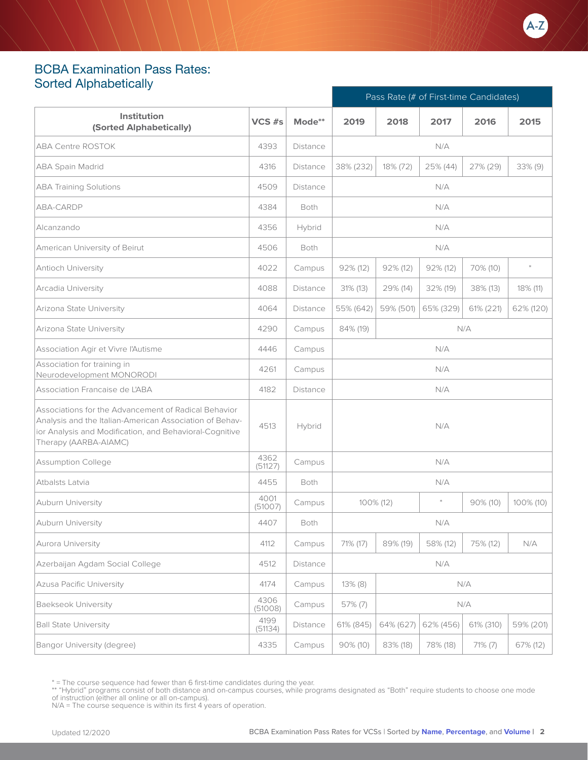### <span id="page-1-0"></span>BCBA Examination Pass Rates: Sorted Alphabetically

|                                                                                                                                                                                                     |                 |          | Pass Rate (# of First-time Candidates) |             |           |           |            |
|-----------------------------------------------------------------------------------------------------------------------------------------------------------------------------------------------------|-----------------|----------|----------------------------------------|-------------|-----------|-----------|------------|
| Institution<br>(Sorted Alphabetically)                                                                                                                                                              | $VCS$ #s        | Mode**   | 2019                                   | 2018        | 2017      | 2016      | 2015       |
| <b>ABA Centre ROSTOK</b>                                                                                                                                                                            | 4393            | Distance |                                        |             | N/A       |           |            |
| ABA Spain Madrid                                                                                                                                                                                    | 4316            | Distance | 38% (232)                              | 18% (72)    | 25% (44)  | 27% (29)  | $33\%$ (9) |
| <b>ABA Training Solutions</b>                                                                                                                                                                       | 4509            | Distance |                                        |             | N/A       |           |            |
| ABA-CARDP                                                                                                                                                                                           | 4384            | Both     |                                        |             | N/A       |           |            |
| Alcanzando                                                                                                                                                                                          | 4356            | Hybrid   |                                        |             | N/A       |           |            |
| American University of Beirut                                                                                                                                                                       | 4506            | Both     |                                        |             | N/A       |           |            |
| Antioch University                                                                                                                                                                                  | 4022            | Campus   | $92\%$ (12)                            | $92\%$ (12) | 92% (12)  | 70% (10)  | $\ast$     |
| Arcadia University                                                                                                                                                                                  | 4088            | Distance | $31\%$ (13)                            | 29% (14)    | 32% (19)  | 38% (13)  | 18% (11)   |
| Arizona State University                                                                                                                                                                            | 4064            | Distance | 55% (642)                              | 59% (501)   | 65% (329) | 61% (221) | 62% (120)  |
| Arizona State University                                                                                                                                                                            | 4290            | Campus   | 84% (19)                               |             |           | N/A       |            |
| Association Agir et Vivre l'Autisme                                                                                                                                                                 | 4446            | Campus   | N/A                                    |             |           |           |            |
| Association for training in<br>Neurodevelopment MONORODI                                                                                                                                            | 4261            | Campus   |                                        |             | N/A       |           |            |
| Association Francaise de L'ABA                                                                                                                                                                      | 4182            | Distance |                                        |             | N/A       |           |            |
| Associations for the Advancement of Radical Behavior<br>Analysis and the Italian-American Association of Behav-<br>ior Analysis and Modification, and Behavioral-Cognitive<br>Therapy (AARBA-AIAMC) | 4513            | Hybrid   |                                        |             | N/A       |           |            |
| <b>Assumption College</b>                                                                                                                                                                           | 4362<br>(51127) | Campus   |                                        |             | N/A       |           |            |
| Atbalsts Latvia                                                                                                                                                                                     | 4455            | Both     |                                        |             | N/A       |           |            |
| <b>Auburn University</b>                                                                                                                                                                            | 4001<br>(51007) | Campus   |                                        | 100% (12)   |           | 90% (10)  | 100% (10)  |
| Auburn University                                                                                                                                                                                   | 4407            | Both     |                                        |             | N/A       |           |            |
| Aurora University                                                                                                                                                                                   | 4112            | Campus   | 71% (17)                               | 89% (19)    | 58% (12)  | 75% (12)  | N/A        |
| Azerbaijan Agdam Social College                                                                                                                                                                     | 4512            | Distance |                                        |             | N/A       |           |            |
| <b>Azusa Pacific University</b>                                                                                                                                                                     | 4174            | Campus   | $13\%$ (8)                             |             |           | N/A       |            |
| <b>Baekseok University</b>                                                                                                                                                                          | 4306<br>(51008) | Campus   | 57% (7)                                |             |           | N/A       |            |
| <b>Ball State University</b>                                                                                                                                                                        | 4199<br>(51134) | Distance | 61% (845)                              | 64% (627)   | 62% (456) | 61% (310) | 59% (201)  |
| Bangor University (degree)                                                                                                                                                                          | 4335            | Campus   | 90% (10)                               | 83% (18)    | 78% (18)  | 71% (7)   | 67% (12)   |

\* = The course sequence had fewer than 6 first-time candidates during the year.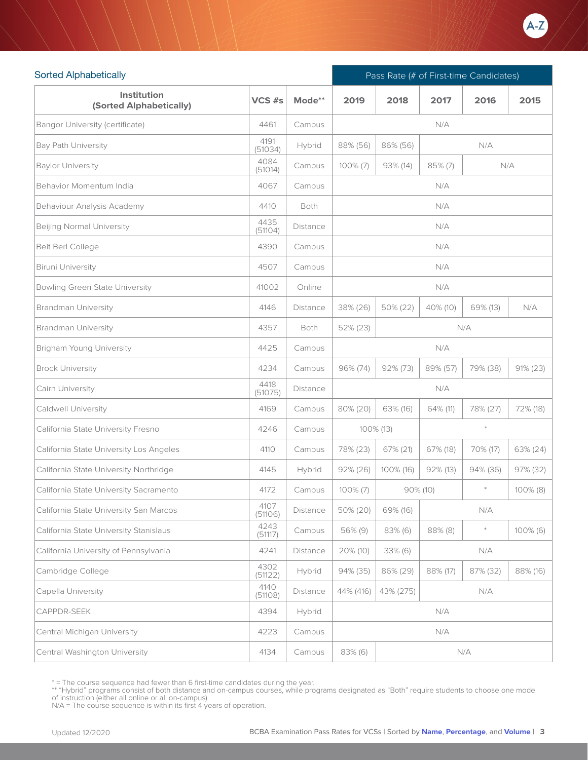

| <b>Sorted Alphabetically</b>                  |                 |                 |                                           | Pass Rate (# of First-time Candidates) |          |          |             |  |  |
|-----------------------------------------------|-----------------|-----------------|-------------------------------------------|----------------------------------------|----------|----------|-------------|--|--|
| <b>Institution</b><br>(Sorted Alphabetically) | VCS #s          | Mode**          | 2019                                      | 2018                                   | 2017     | 2016     | 2015        |  |  |
| <b>Bangor University (certificate)</b>        | 4461            | Campus          |                                           |                                        | N/A      |          |             |  |  |
| <b>Bay Path University</b>                    | 4191<br>(51034) | Hybrid          | 88% (56)                                  | 86% (56)                               |          | N/A      |             |  |  |
| <b>Baylor University</b>                      | 4084<br>(51014) | Campus          | 85% (7)<br>N/A<br>100% (7)<br>$93\%$ (14) |                                        |          |          |             |  |  |
| Behavior Momentum India                       | 4067            | Campus          |                                           |                                        | N/A      |          |             |  |  |
| Behaviour Analysis Academy                    | 4410            | Both            |                                           |                                        | N/A      |          |             |  |  |
| <b>Beijing Normal University</b>              | 4435<br>(51104) | <b>Distance</b> |                                           |                                        | N/A      |          |             |  |  |
| Beit Berl College                             | 4390            | Campus          |                                           |                                        | N/A      |          |             |  |  |
| Biruni University                             | 4507            | Campus          |                                           |                                        | N/A      |          |             |  |  |
| Bowling Green State University                | 41002           | Online          |                                           |                                        | N/A      |          |             |  |  |
| <b>Brandman University</b>                    | 4146            | Distance        | 38% (26)                                  | 50% (22)                               | 40% (10) | 69% (13) | N/A         |  |  |
| <b>Brandman University</b>                    | 4357            | Both            | 52% (23)<br>N/A                           |                                        |          |          |             |  |  |
| <b>Brigham Young University</b>               | 4425            | Campus          | N/A                                       |                                        |          |          |             |  |  |
| <b>Brock University</b>                       | 4234            | Campus          | 96% (74)                                  | $92\% (73)$                            | 89% (57) | 79% (38) | $91\% (23)$ |  |  |
| Cairn University                              | 4418<br>(51075) | Distance        |                                           |                                        | N/A      |          |             |  |  |
| Caldwell University                           | 4169            | Campus          | 80% (20)                                  | 63% (16)                               | 64% (11) | 78% (27) | 72% (18)    |  |  |
| California State University Fresno            | 4246            | Campus          |                                           | 100% (13)                              |          | $\ast$   |             |  |  |
| California State University Los Angeles       | 4110            | Campus          | 78% (23)                                  | 67% (21)                               | 67% (18) | 70% (17) | 63% (24)    |  |  |
| California State University Northridge        | 4145            | Hybrid          | $92\% (26)$                               | 100% (16)                              | 92% (13) | 94% (36) | 97% (32)    |  |  |
| California State University Sacramento        | 4172            | Campus          | $100\% (7)$                               |                                        | 90% (10) | $\ast$   | $100\%$ (8) |  |  |
| California State University San Marcos        | 4107<br>(51106) | Distance        | 50% (20)                                  | 69% (16)                               |          | N/A      |             |  |  |
| California State University Stanislaus        | 4243<br>(51117) | Campus          | 56% (9)                                   | 83% (6)                                | 88% (8)  | $\ast$   | $100\%$ (6) |  |  |
| California University of Pennsylvania         | 4241            | Distance        | 20% (10)                                  | 33% (6)                                |          | N/A      |             |  |  |
| Cambridge College                             | 4302<br>(51122) | Hybrid          | 94% (35)                                  | 86% (29)                               | 88% (17) | 87% (32) | 88% (16)    |  |  |
| Capella University                            | 4140<br>(51108) | Distance        | 44% (416)                                 | 43% (275)                              |          | N/A      |             |  |  |
| CAPPDR-SEEK                                   | 4394            | Hybrid          |                                           |                                        | N/A      |          |             |  |  |
| Central Michigan University                   | 4223            | Campus          |                                           |                                        | N/A      |          |             |  |  |
| Central Washington University                 | 4134            | Campus          | 83% (6)                                   |                                        |          | N/A      |             |  |  |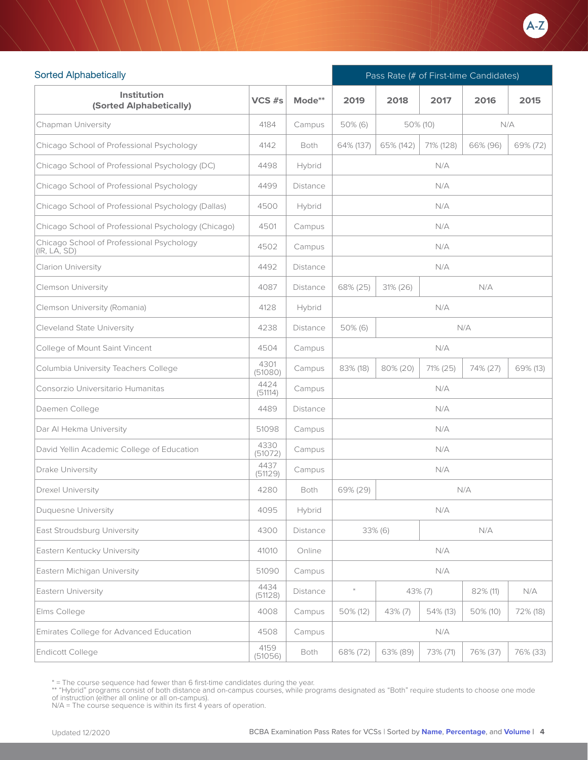

| <b>Sorted Alphabetically</b>                              |                 |          | Pass Rate (# of First-time Candidates) |            |           |             |          |
|-----------------------------------------------------------|-----------------|----------|----------------------------------------|------------|-----------|-------------|----------|
| Institution<br>(Sorted Alphabetically)                    | VCS #s          | Mode**   | 2019                                   | 2018       | 2017      | 2016        | 2015     |
| Chapman University                                        | 4184            | Campus   | $50\%$ (6)                             |            | 50% (10)  | N/A         |          |
| Chicago School of Professional Psychology                 | 4142            | Both     | 64% (137)                              | 65% (142)  | 71% (128) | 66% (96)    | 69% (72) |
| Chicago School of Professional Psychology (DC)            | 4498            | Hybrid   |                                        |            | N/A       |             |          |
| Chicago School of Professional Psychology                 | 4499            | Distance |                                        |            | N/A       |             |          |
| Chicago School of Professional Psychology (Dallas)        | 4500            | Hybrid   |                                        |            | N/A       |             |          |
| Chicago School of Professional Psychology (Chicago)       | 4501            | Campus   |                                        |            | N/A       |             |          |
| Chicago School of Professional Psychology<br>(IR, LA, SD) | 4502            | Campus   |                                        |            | N/A       |             |          |
| <b>Clarion University</b>                                 | 4492            | Distance |                                        |            | N/A       |             |          |
| Clemson University                                        | 4087            | Distance | 68% (25)<br>$31\% (26)$<br>N/A         |            |           |             |          |
| Clemson University (Romania)                              | 4128            | Hybrid   |                                        |            | N/A       |             |          |
| <b>Cleveland State University</b>                         | 4238            | Distance | $50\%$ (6)<br>N/A                      |            |           |             |          |
| College of Mount Saint Vincent                            | 4504            | Campus   | N/A                                    |            |           |             |          |
| Columbia University Teachers College                      | 4301<br>(51080) | Campus   | 83% (18)                               | 80% (20)   | 71% (25)  | 74% (27)    | 69% (13) |
| Consorzio Universitario Humanitas                         | 4424<br>(51114) | Campus   |                                        |            | N/A       |             |          |
| Daemen College                                            | 4489            | Distance |                                        |            | N/A       |             |          |
| Dar Al Hekma University                                   | 51098           | Campus   |                                        |            | N/A       |             |          |
| David Yellin Academic College of Education                | 4330<br>(51072) | Campus   |                                        |            | N/A       |             |          |
| Drake University                                          | 4437<br>(51129) | Campus   |                                        |            | N/A       |             |          |
| <b>Drexel University</b>                                  | 4280            | Both     | 69% (29)                               |            |           | N/A         |          |
| <b>Duquesne University</b>                                | 4095            | Hybrid   |                                        |            | N/A       |             |          |
| East Stroudsburg University                               | 4300            | Distance |                                        | 33% (6)    |           | N/A         |          |
| Eastern Kentucky University                               | 41010           | Online   |                                        |            | N/A       |             |          |
| Eastern Michigan University                               | 51090           | Campus   |                                        |            | N/A       |             |          |
| Eastern University                                        | 4434<br>(51128) | Distance | $\ast$                                 | 43% (7)    |           | 82% (11)    | N/A      |
| Elms College                                              | 4008            | Campus   | 50% (12)                               | $43\%$ (7) | 54% (13)  | $50\%$ (10) | 72% (18) |
| Emirates College for Advanced Education                   | 4508            | Campus   |                                        |            | N/A       |             |          |
| Endicott College                                          | 4159<br>(51056) | Both     | 68% (72)                               | 63% (89)   | 73% (71)  | 76% (37)    | 76% (33) |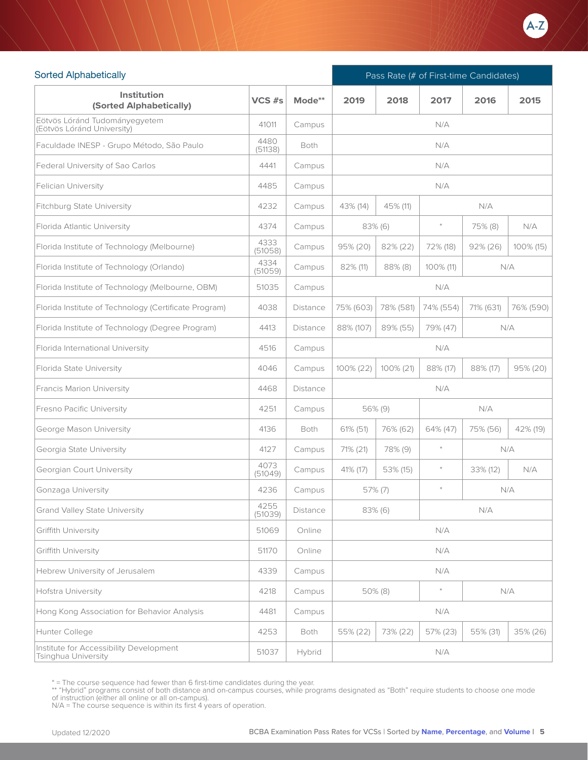

| <b>Sorted Alphabetically</b>                                   |                 |          |                                          | Pass Rate (# of First-time Candidates) |           |             |           |  |
|----------------------------------------------------------------|-----------------|----------|------------------------------------------|----------------------------------------|-----------|-------------|-----------|--|
| Institution<br>(Sorted Alphabetically)                         | VCS #s          | Mode**   | 2019                                     | 2018                                   | 2017      | 2016        | 2015      |  |
| Eötvös Lóránd Tudományegyetem<br>(Eötvös Lóránd University)    | 41011           | Campus   |                                          |                                        | N/A       |             |           |  |
| Faculdade INESP - Grupo Método, São Paulo                      | 4480<br>(51138) | Both     |                                          |                                        | N/A       |             |           |  |
| Federal University of Sao Carlos                               | 4441            | Campus   |                                          |                                        | N/A       |             |           |  |
| Felician University                                            | 4485            | Campus   |                                          |                                        | N/A       |             |           |  |
| Fitchburg State University                                     | 4232            | Campus   | 43% (14)                                 | 45% (11)                               |           | N/A         |           |  |
| Florida Atlantic University                                    | 4374            | Campus   |                                          | $83\%$ (6)                             | $\ast$    | 75% (8)     | N/A       |  |
| Florida Institute of Technology (Melbourne)                    | 4333<br>(51058) | Campus   | $95\% (20)$                              | 82% (22)                               | 72% (18)  | $92\% (26)$ | 100% (15) |  |
| Florida Institute of Technology (Orlando)                      | 4334<br>(51059) | Campus   | 82% (11)                                 | $88\%$ (8)                             | 100% (11) |             | N/A       |  |
| Florida Institute of Technology (Melbourne, OBM)               | 51035           | Campus   |                                          |                                        | N/A       |             |           |  |
| Florida Institute of Technology (Certificate Program)          | 4038            | Distance | 75% (603)                                | 78% (581)                              | 74% (554) | 71% (631)   | 76% (590) |  |
| Florida Institute of Technology (Degree Program)               | 4413            | Distance | 88% (107)<br>89% (55)<br>79% (47)<br>N/A |                                        |           |             |           |  |
| Florida International University                               | 4516            | Campus   | N/A                                      |                                        |           |             |           |  |
| Florida State University                                       | 4046            | Campus   | 100% (22)                                | 100% (21)                              | 88% (17)  | 88% (17)    | 95% (20)  |  |
| Francis Marion University                                      | 4468            | Distance |                                          |                                        | N/A       |             |           |  |
| <b>Fresno Pacific University</b>                               | 4251            | Campus   |                                          | 56% (9)                                |           | N/A         |           |  |
| George Mason University                                        | 4136            | Both     | 61% (51)                                 | 76% (62)                               | 64% (47)  | 75% (56)    | 42% (19)  |  |
| Georgia State University                                       | 4127            | Campus   | 71% (21)                                 | 78% (9)                                | $\ast$    |             | N/A       |  |
| Georgian Court University                                      | 4073<br>(51049) | Campus   | 41% (17)                                 | 53% (15)                               | $\ast$    | 33% (12)    | N/A       |  |
| Gonzaga University                                             | 4236            | Campus   |                                          | 57% (7)                                | $\ast$    |             | N/A       |  |
| <b>Grand Valley State University</b>                           | 4255<br>(51039) | Distance |                                          | 83% (6)                                |           | N/A         |           |  |
| Griffith University                                            | 51069           | Online   |                                          |                                        | N/A       |             |           |  |
| <b>Griffith University</b>                                     | 51170           | Online   |                                          |                                        | N/A       |             |           |  |
| Hebrew University of Jerusalem                                 | 4339            | Campus   |                                          |                                        | N/A       |             |           |  |
| <b>Hofstra University</b>                                      | 4218            | Campus   |                                          | 50% (8)                                | $\ast$    |             | N/A       |  |
| Hong Kong Association for Behavior Analysis                    | 4481            | Campus   |                                          |                                        | N/A       |             |           |  |
| Hunter College                                                 | 4253            | Both     | 55% (22)                                 | 73% (22)                               | 57% (23)  | 55% (31)    | 35% (26)  |  |
| Institute for Accessibility Development<br>Tsinghua University | 51037           | Hybrid   |                                          |                                        | N/A       |             |           |  |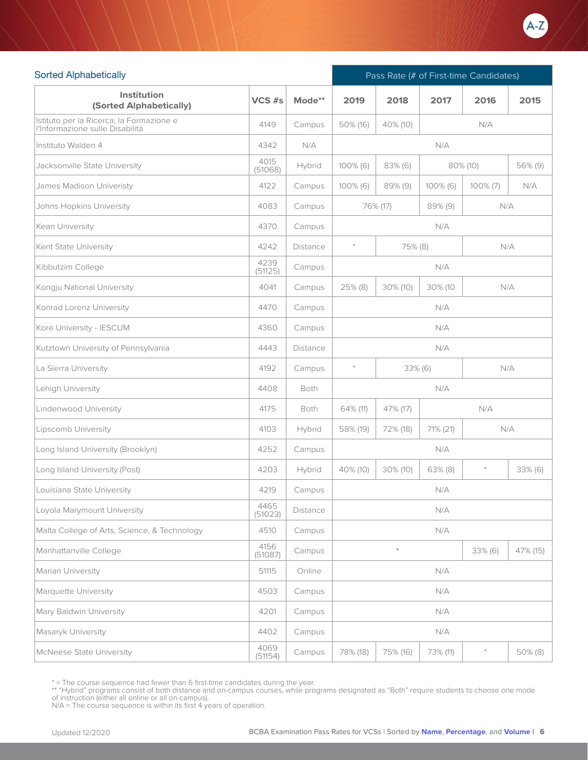

| <b>Sorted Alphabetically</b>                                                |                 |             |                                    | Pass Rate (# of First-time Candidates) |                |          |          |  |
|-----------------------------------------------------------------------------|-----------------|-------------|------------------------------------|----------------------------------------|----------------|----------|----------|--|
| Institution<br>(Sorted Alphabetically)                                      | VCS #s          | Mode**      | 2019                               | 2018                                   | 2017           | 2016     | 2015     |  |
| Istituto per la Ricerca, la Formazione e<br>l'Informazione sulle Disabilità | 4149            | Campus      | 50% (16)                           | 40% (10)                               | N/A            |          |          |  |
| Instituto Walden 4                                                          | 4342            | N/A         |                                    |                                        | N/A            |          |          |  |
| Jacksonville State University                                               | 4015<br>(51068) | Hybrid      | 100% (6)<br>$83\%$ (6)<br>80% (10) |                                        |                | 56% (9)  |          |  |
| James Madison Univeristy                                                    | 4122            | Campus      | $100\%$ (6)                        | 89% (9)                                | $100\%$ (6)    | 100% (7) | N/A      |  |
| Johns Hopkins University                                                    | 4083            | Campus      |                                    | 76% (17)                               | 89% (9)        | N/A      |          |  |
| Kean University                                                             | 4370            | Campus      |                                    |                                        | N/A            |          |          |  |
| Kent State University                                                       | 4242            | Distance    | $\ast$<br>75% (8)<br>N/A           |                                        |                |          |          |  |
| Kibbutzim College                                                           | 4239<br>(51125) | Campus      |                                    |                                        | N/A            |          |          |  |
| Kongju National University                                                  | 4041            | Campus      | 25% (8)                            | 30% (10)                               | N/A<br>30% (10 |          |          |  |
| Konrad Lorenz University                                                    | 4470            | Campus      | N/A                                |                                        |                |          |          |  |
| Kore University - IESCUM                                                    | 4360            | Campus      | N/A                                |                                        |                |          |          |  |
| Kutztown University of Pennsylvania                                         | 4443            | Distance    | N/A                                |                                        |                |          |          |  |
| La Sierra University                                                        | 4192            | Campus      | $\ast$                             | 33% (6)                                |                |          | N/A      |  |
| Lehigh University                                                           | 4408            | <b>Both</b> |                                    |                                        | N/A            |          |          |  |
| Lindenwood University                                                       | 4175            | Both        | 64% (11)                           | 47% (17)                               |                | N/A      |          |  |
| Lipscomb University                                                         | 4103            | Hybrid      | 58% (19)                           | 72% (18)                               | 71% (21)       |          | N/A      |  |
| Long Island University (Brooklyn)                                           | 4252            | Campus      |                                    |                                        | N/A            |          |          |  |
| Long Island University (Post)                                               | 4203            | Hybrid      | 40% (10)                           | 30% (10)                               | $63\%$ (8)     | $\ast$   | 33% (6)  |  |
| Louisiana State University                                                  | 4219            | Campus      |                                    |                                        | N/A            |          |          |  |
| Loyola Marymount University                                                 | 4465<br>(51023) | Distance    |                                    |                                        | N/A            |          |          |  |
| Malta College of Arts, Science, & Technology                                | 4510            | Campus      |                                    |                                        | N/A            |          |          |  |
| Manhattanville College                                                      | 4156<br>(51087) | Campus      |                                    | ⊁                                      |                | 33% (6)  | 47% (15) |  |
| Marian University                                                           | 51115           | Online      |                                    |                                        | N/A            |          |          |  |
| Marquette University                                                        | 4503            | Campus      |                                    |                                        | N/A            |          |          |  |
| Mary Baldwin University                                                     | 4201            | Campus      |                                    |                                        | N/A            |          |          |  |
| Masaryk University                                                          | 4402            | Campus      |                                    |                                        | N/A            |          |          |  |
| <b>McNeese State University</b>                                             | 4069<br>(51154) | Campus      | 78% (18)                           | 75% (16)                               | 73% (11)       | $\ast$   | 50% (8)  |  |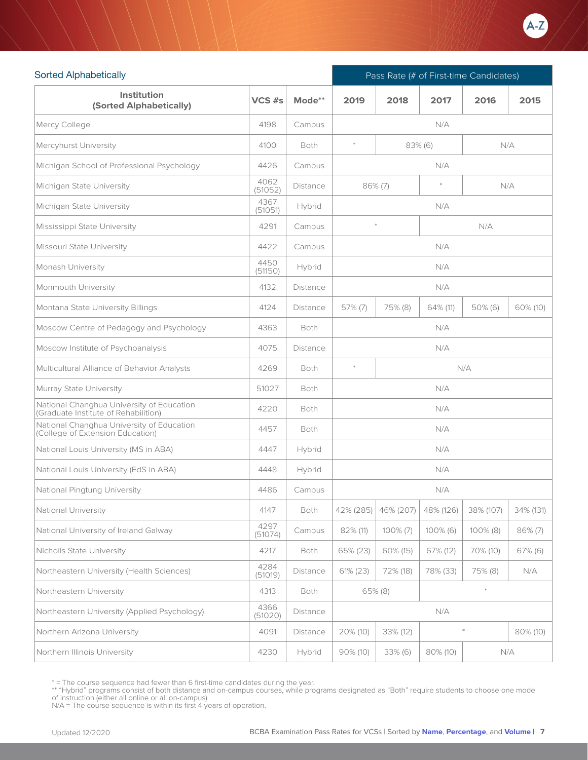

| <b>Sorted Alphabetically</b>                                                      |                 |                 | Pass Rate (# of First-time Candidates) |             |           |             |            |  |
|-----------------------------------------------------------------------------------|-----------------|-----------------|----------------------------------------|-------------|-----------|-------------|------------|--|
| <b>Institution</b><br>(Sorted Alphabetically)                                     | $VCS$ #s        | Mode**          | 2019                                   | 2018        | 2017      | 2016        | 2015       |  |
| Mercy College                                                                     | 4198            | Campus          |                                        |             | N/A       |             |            |  |
| Mercyhurst University                                                             | 4100            | <b>Both</b>     | $\ast$                                 | 83% (6)     |           |             | N/A        |  |
| Michigan School of Professional Psychology                                        | 4426            | Campus          |                                        |             | N/A       |             |            |  |
| Michigan State University                                                         | 4062<br>(51052) | Distance        | $86\%$ (7)                             |             | $\ast$    |             | N/A        |  |
| Michigan State University                                                         | 4367<br>(51051) | Hybrid          |                                        |             | N/A       |             |            |  |
| Mississippi State University                                                      | 4291            | Campus          | $\bar{\mathbf{x}}$                     |             |           | N/A         |            |  |
| Missouri State University                                                         | 4422            | Campus          |                                        |             | N/A       |             |            |  |
| Monash University                                                                 | 4450<br>(51150) | Hybrid          |                                        |             | N/A       |             |            |  |
| Monmouth University                                                               | 4132            | <b>Distance</b> |                                        |             | N/A       |             |            |  |
| Montana State University Billings                                                 | 4124            | Distance        | $57\%$ (7)                             | 75% (8)     | 64% (11)  | $50\%$ (6)  | 60% (10)   |  |
| Moscow Centre of Pedagogy and Psychology                                          | 4363            | Both            | N/A                                    |             |           |             |            |  |
| Moscow Institute of Psychoanalysis                                                | 4075            | Distance        | N/A                                    |             |           |             |            |  |
| Multicultural Alliance of Behavior Analysts                                       | 4269            | <b>Both</b>     | $\ast$<br>N/A                          |             |           |             |            |  |
| Murray State University                                                           | 51027           | <b>Both</b>     |                                        |             | N/A       |             |            |  |
| National Changhua University of Education<br>(Graduate Institute of Rehabilition) | 4220            | <b>Both</b>     |                                        |             | N/A       |             |            |  |
| National Changhua University of Education<br>(College of Extension Education)     | 4457            | <b>Both</b>     |                                        |             | N/A       |             |            |  |
| National Louis University (MS in ABA)                                             | 4447            | Hybrid          |                                        |             | N/A       |             |            |  |
| National Louis University (EdS in ABA)                                            | 4448            | Hybrid          |                                        |             | N/A       |             |            |  |
| National Pingtung University                                                      | 4486            | Campus          |                                        |             | N/A       |             |            |  |
| National University                                                               | 4147            | Both            | 42% (285)                              | 46% (207)   | 48% (126) | 38% (107)   | 34% (131)  |  |
| National University of Ireland Galway                                             | 4297<br>(51074) | Campus          | 82% (11)                               | $100\% (7)$ | 100% (6)  | $100\%$ (8) | $86\%$ (7) |  |
| Nicholls State University                                                         | 4217            | Both            | 65% (23)                               | 60% (15)    | 67% (12)  | 70% (10)    | $67\%$ (6) |  |
| Northeastern University (Health Sciences)                                         | 4284<br>(51019) | Distance        | 61% (23)                               | 72% (18)    | 78% (33)  | 75% (8)     | N/A        |  |
| Northeastern University                                                           | 4313            | Both            |                                        | 65% (8)     |           | $\ast$      |            |  |
| Northeastern University (Applied Psychology)                                      | 4366<br>(51020) | Distance        |                                        |             | N/A       |             |            |  |
| Northern Arizona University                                                       | 4091            | Distance        | 20% (10)                               | 33% (12)    |           |             | 80% (10)   |  |
| Northern Illinois University                                                      | 4230            | Hybrid          | 90% (10)                               | 33% (6)     | 80% (10)  | N/A         |            |  |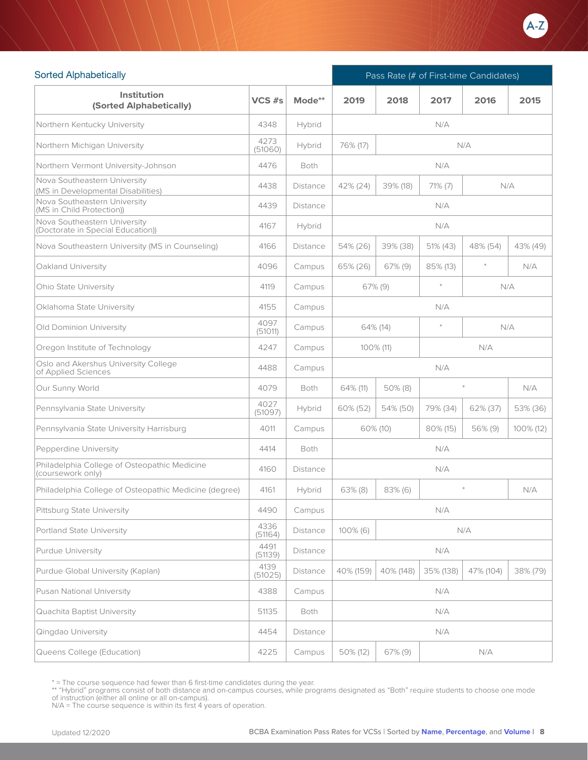

| <b>Sorted Alphabetically</b>                                       |                 |                 | Pass Rate (# of First-time Candidates) |                             |            |           |           |  |
|--------------------------------------------------------------------|-----------------|-----------------|----------------------------------------|-----------------------------|------------|-----------|-----------|--|
| <b>Institution</b><br>(Sorted Alphabetically)                      | $VCS$ #s        | Mode**          | 2019                                   | 2018                        | 2017       | 2016      | 2015      |  |
| Northern Kentucky University                                       | 4348            | Hybrid          |                                        |                             | N/A        |           |           |  |
| Northern Michigan University                                       | 4273<br>(51060) | Hybrid          | 76% (17)                               |                             |            | N/A       |           |  |
| Northern Vermont University-Johnson                                | 4476            | <b>Both</b>     |                                        |                             | N/A        |           |           |  |
| Nova Southeastern University<br>(MS in Developmental Disabilities) | 4438            | Distance        | 42% (24)                               | 39% (18)                    | $71\%$ (7) | N/A       |           |  |
| Nova Southeastern University<br>(MS in Child Protection))          | 4439            | <b>Distance</b> |                                        |                             | N/A        |           |           |  |
| Nova Southeastern University<br>(Doctorate in Special Education))  | 4167            | Hybrid          |                                        |                             | N/A        |           |           |  |
| Nova Southeastern University (MS in Counseling)                    | 4166            | Distance        | 54% (26)                               | 39% (38)                    | 51% (43)   | 48% (54)  | 43% (49)  |  |
| Oakland University                                                 | 4096            | Campus          | 65% (26)                               | $67\%$ (9)                  | 85% (13)   | $\ast$    | N/A       |  |
| <b>Ohio State University</b>                                       | 4119            | Campus          |                                        | $\ast$<br>N/A<br>$67\%$ (9) |            |           |           |  |
| Oklahoma State University                                          | 4155            | Campus          | N/A                                    |                             |            |           |           |  |
| Old Dominion University                                            | 4097<br>(51011) | Campus          | $\frac{1}{2}$<br>N/A<br>64% (14)       |                             |            |           |           |  |
| Oregon Institute of Technology                                     | 4247            | Campus          | 100% (11)<br>N/A                       |                             |            |           |           |  |
| Oslo and Akershus University College<br>of Applied Sciences        | 4488            | Campus          | N/A                                    |                             |            |           |           |  |
| Our Sunny World                                                    | 4079            | <b>Both</b>     | 64% (11)                               | $50\%$ (8)                  |            | $\ast$    | N/A       |  |
| Pennsylvania State University                                      | 4027<br>(51097) | Hybrid          | 60% (52)                               | 54% (50)                    | 79% (34)   | 62% (37)  | 53% (36)  |  |
| Pennsylvania State University Harrisburg                           | 4011            | Campus          | 60% (10)                               |                             | 80% (15)   | 56% (9)   | 100% (12) |  |
| Pepperdine University                                              | 4414            | <b>Both</b>     |                                        |                             | N/A        |           |           |  |
| Philadelphia College of Osteopathic Medicine<br>(coursework only)  | 4160            | Distance        |                                        |                             | N/A        |           |           |  |
| Philadelphia College of Osteopathic Medicine (degree)              | 4161            | Hybrid          | 63% (8)                                | $83\%$ (6)                  |            | $\ast$    | N/A       |  |
| Pittsburg State University                                         | 4490            | Campus          |                                        |                             | N/A        |           |           |  |
| Portland State University                                          | 4336<br>(51164) | Distance        | 100% (6)                               |                             |            | N/A       |           |  |
| Purdue University                                                  | 4491<br>(51139) | Distance        |                                        |                             | N/A        |           |           |  |
| Purdue Global University (Kaplan)                                  | 4139<br>(51025) | Distance        | 40% (159)                              | 40% (148)                   | 35% (138)  | 47% (104) | 38% (79)  |  |
| Pusan National University                                          | 4388            | Campus          |                                        |                             | N/A        |           |           |  |
| Quachita Baptist University                                        | 51135           | Both            |                                        |                             | N/A        |           |           |  |
| Qingdao University                                                 | 4454            | Distance        |                                        |                             | N/A        |           |           |  |
| Queens College (Education)                                         | 4225            | Campus          | 50% (12)                               | 67% (9)                     |            | N/A       |           |  |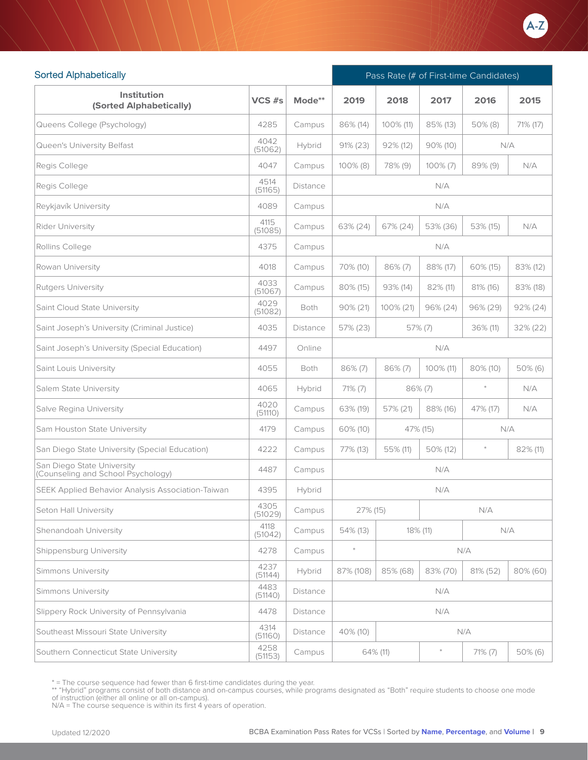

| <b>Sorted Alphabetically</b>                                     |                 |          | Pass Rate (# of First-time Candidates) |                     |              |            |             |  |
|------------------------------------------------------------------|-----------------|----------|----------------------------------------|---------------------|--------------|------------|-------------|--|
| <b>Institution</b><br>(Sorted Alphabetically)                    | VCS #s          | Mode**   | 2019                                   | 2018                | 2017         | 2016       | 2015        |  |
| Queens College (Psychology)                                      | 4285            | Campus   | 86% (14)                               | 100% (11)           | 85% (13)     | $50\%$ (8) | 71% (17)    |  |
| Queen's University Belfast                                       | 4042<br>(51062) | Hybrid   | $91\% (23)$                            | $92\%$ (12)         | $90\%$ (10)  |            | N/A         |  |
| Regis College                                                    | 4047            | Campus   | $100\%$ (8)                            | 78% (9)             | $100\%$ (7)  | $89\%$ (9) | N/A         |  |
| Regis College                                                    | 4514<br>(51165) | Distance |                                        |                     | N/A          |            |             |  |
| Reykjavík University                                             | 4089            | Campus   |                                        |                     | N/A          |            |             |  |
| Rider University                                                 | 4115<br>(51085) | Campus   | 63% (24)                               | 67% (24)            | 53% (36)     | 53% (15)   | N/A         |  |
| Rollins College                                                  | 4375            | Campus   |                                        | N/A                 |              |            |             |  |
| Rowan University                                                 | 4018            | Campus   | 70% (10)                               | $86\%$ (7)          | 88% (17)     | 60% (15)   | 83% (12)    |  |
| Rutgers University                                               | 4033<br>(51067) | Campus   | 80% (15)                               | 93% (14)            | 82% (11)     | 81% (16)   | 83% (18)    |  |
| Saint Cloud State University                                     | 4029<br>(51082) | Both     | 90% (21)                               | 100% (21)           | $96\% (24)$  | 96% (29)   | $92\% (24)$ |  |
| Saint Joseph's University (Criminal Justice)                     | 4035            | Distance | 57% (23)                               | 57% (7)<br>36% (11) |              |            | 32% (22)    |  |
| Saint Joseph's University (Special Education)                    | 4497            | Online   |                                        | N/A                 |              |            |             |  |
| Saint Louis University                                           | 4055            | Both     | $86\%$ (7)                             | $86\%$ (7)          | $100\%$ (11) | 80% (10)   | $50\%$ (6)  |  |
| Salem State University                                           | 4065            | Hybrid   | $71\%$ (7)                             |                     | $86\%$ (7)   | $\ast$     | N/A         |  |
| Salve Regina University                                          | 4020<br>(51110) | Campus   | 63% (19)                               | 57% (21)            | 88% (16)     | 47% (17)   | N/A         |  |
| Sam Houston State University                                     | 4179            | Campus   | 60% (10)                               |                     | 47% (15)     |            | N/A         |  |
| San Diego State University (Special Education)                   | 4222            | Campus   | 77% (13)                               | 55% (11)            | 50% (12)     | $\ast$     | 82% (11)    |  |
| San Diego State University<br>(Counseling and School Psychology) | 4487            | Campus   |                                        |                     | N/A          |            |             |  |
| SEEK Applied Behavior Analysis Association-Taiwan                | 4395            | Hybrid   |                                        |                     | N/A          |            |             |  |
| Seton Hall University                                            | 4305<br>(51029) | Campus   | 27% (15)                               |                     |              | N/A        |             |  |
| Shenandoah University                                            | 4118<br>(51042) | Campus   | 54% (13)                               |                     | 18% (11)     |            | N/A         |  |
| Shippensburg University                                          | 4278            | Campus   |                                        |                     |              | N/A        |             |  |
| Simmons University                                               | 4237<br>(51144) | Hybrid   | 87% (108)                              | 85% (68)            | 83% (70)     | 81% (52)   | 80% (60)    |  |
| Simmons University                                               | 4483<br>(51140) | Distance |                                        |                     | N/A          |            |             |  |
| Slippery Rock University of Pennsylvania                         | 4478            | Distance |                                        |                     | N/A          |            |             |  |
| Southeast Missouri State University                              | 4314<br>(51160) | Distance | 40% (10)                               |                     |              | N/A        |             |  |
| Southern Connecticut State University                            | 4258<br>(51153) | Campus   |                                        | 64% (11)            | $\ast$       | $71\%$ (7) | $50\%$ (6)  |  |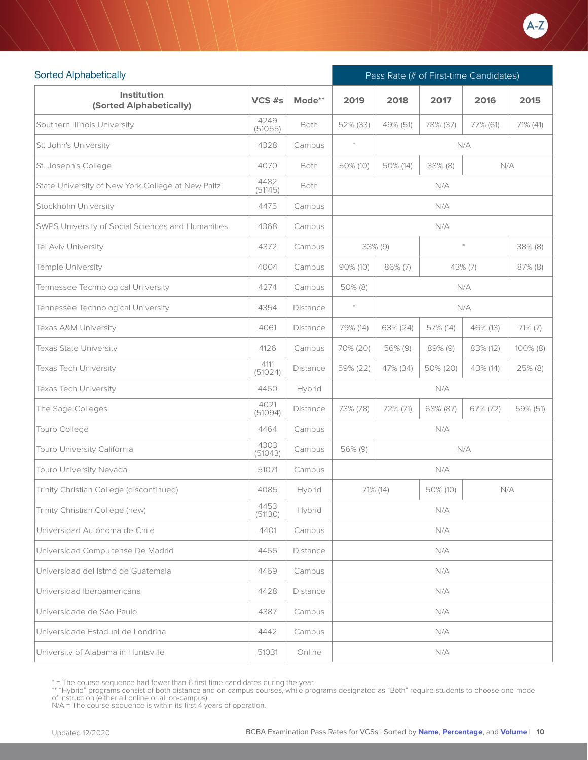

| <b>Sorted Alphabetically</b>                      |                 |          |            |            | Pass Rate (# of First-time Candidates) |          |              |  |  |  |
|---------------------------------------------------|-----------------|----------|------------|------------|----------------------------------------|----------|--------------|--|--|--|
| Institution<br>(Sorted Alphabetically)            | VCS #s          | Mode**   | 2019       | 2018       | 2017                                   | 2016     | 2015         |  |  |  |
| Southern Illinois University                      | 4249<br>(51055) | Both     | 52% (33)   | 49% (51)   | 78% (37)                               | 77% (61) | 71% (41)     |  |  |  |
| St. John's University                             | 4328            | Campus   | $\ast$     |            |                                        | N/A      |              |  |  |  |
| St. Joseph's College                              | 4070            | Both     | 50% (10)   | 50% (14)   | 38% (8)                                |          | N/A          |  |  |  |
| State University of New York College at New Paltz | 4482<br>(51145) | Both     |            |            | N/A                                    |          |              |  |  |  |
| Stockholm University                              | 4475            | Campus   |            |            | N/A                                    |          |              |  |  |  |
| SWPS University of Social Sciences and Humanities | 4368            | Campus   |            |            | N/A                                    |          |              |  |  |  |
| Tel Aviv University                               | 4372            | Campus   |            | 33% (9)    |                                        | $*$      | 38% (8)      |  |  |  |
| Temple University                                 | 4004            | Campus   | 90% (10)   | $86\%$ (7) |                                        | 43% (7)  | $87\%$ (8)   |  |  |  |
| Tennessee Technological University                | 4274            | Campus   | $50\%$ (8) | N/A        |                                        |          |              |  |  |  |
| Tennessee Technological University                | 4354            | Distance | $\ast$     | N/A        |                                        |          |              |  |  |  |
| Texas A&M University                              | 4061            | Distance | 79% (14)   | 63% (24)   | 57% (14)                               | 46% (13) | $71\%$ $(7)$ |  |  |  |
| Texas State University                            | 4126            | Campus   | 70% (20)   | 56% (9)    | 89% (9)                                | 83% (12) | $100\%$ (8)  |  |  |  |
| Texas Tech University                             | 4111<br>(51024) | Distance | 59% (22)   | 47% (34)   | 50% (20)                               | 43% (14) | 25% (8)      |  |  |  |
| Texas Tech University                             | 4460            | Hybrid   |            |            | N/A                                    |          |              |  |  |  |
| The Sage Colleges                                 | 4021<br>(51094) | Distance | 73% (78)   | 72% (71)   | 68% (87)                               | 67% (72) | 59% (51)     |  |  |  |
| Touro College                                     | 4464            | Campus   |            |            | N/A                                    |          |              |  |  |  |
| Touro University California                       | 4303<br>(51043) | Campus   | 56% (9)    |            |                                        | N/A      |              |  |  |  |
| Touro University Nevada                           | 51071           | Campus   |            |            | N/A                                    |          |              |  |  |  |
| Trinity Christian College (discontinued)          | 4085            | Hybrid   | 71% (14)   |            | 50% (10)                               | N/A      |              |  |  |  |
| Trinity Christian College (new)                   | 4453<br>(51130) | Hybrid   |            |            | N/A                                    |          |              |  |  |  |
| Universidad Autónoma de Chile                     | 4401            | Campus   |            |            | N/A                                    |          |              |  |  |  |
| Universidad Compultense De Madrid                 | 4466            | Distance |            |            | N/A                                    |          |              |  |  |  |
| Universidad del Istmo de Guatemala                | 4469            | Campus   |            |            | N/A                                    |          |              |  |  |  |
| Universidad Iberoamericana                        | 4428            | Distance |            |            | N/A                                    |          |              |  |  |  |
| Universidade de São Paulo                         | 4387            | Campus   |            |            | N/A                                    |          |              |  |  |  |
| Universidade Estadual de Londrina                 | 4442            | Campus   |            |            | N/A                                    |          |              |  |  |  |
| University of Alabama in Huntsville               | 51031           | Online   |            |            | N/A                                    |          |              |  |  |  |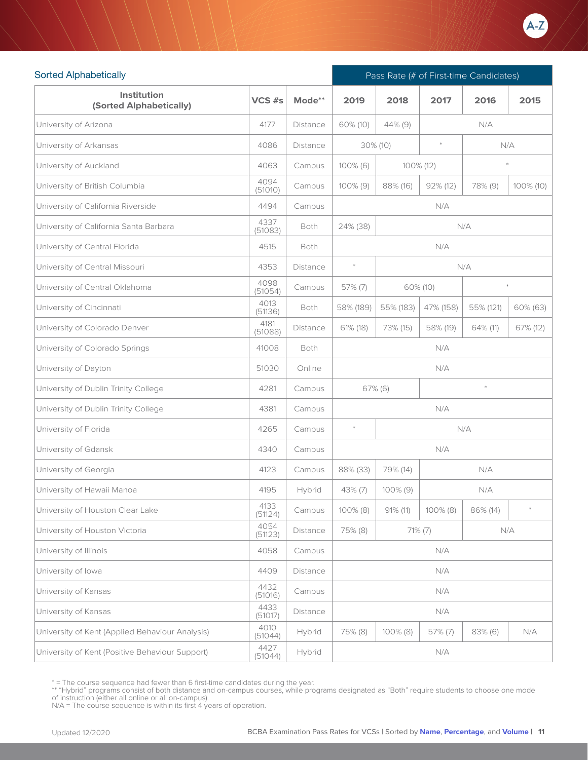

| <b>Sorted Alphabetically</b>                    |                 |          |             | Pass Rate (# of First-time Candidates) |             |           |           |  |  |
|-------------------------------------------------|-----------------|----------|-------------|----------------------------------------|-------------|-----------|-----------|--|--|
| <b>Institution</b><br>(Sorted Alphabetically)   | VCS #s          | Mode**   | 2019        | 2018                                   | 2017        | 2016      | 2015      |  |  |
| University of Arizona                           | 4177            | Distance | 60% (10)    | 44% (9)                                |             | N/A       |           |  |  |
| University of Arkansas                          | 4086            | Distance |             | $30\%$ (10)                            | $\ast$      | N/A       |           |  |  |
| University of Auckland                          | 4063            | Campus   | 100% (6)    | 100% (12)                              |             |           |           |  |  |
| University of British Columbia                  | 4094<br>(51010) | Campus   | $100\%$ (9) | 88% (16)                               | $92\%$ (12) | 78% (9)   | 100% (10) |  |  |
| University of California Riverside              | 4494            | Campus   |             |                                        | N/A         |           |           |  |  |
| University of California Santa Barbara          | 4337<br>(51083) | Both     | 24% (38)    |                                        |             | N/A       |           |  |  |
| University of Central Florida                   | 4515            | Both     |             |                                        | N/A         |           |           |  |  |
| University of Central Missouri                  | 4353            | Distance | $\ast$      |                                        |             | N/A       |           |  |  |
| University of Central Oklahoma                  | 4098<br>(51054) | Campus   | $57\%$ (7)  | $\ast$<br>60% (10)                     |             |           |           |  |  |
| University of Cincinnati                        | 4013<br>(51136) | Both     | 58% (189)   | 55% (183)                              | 47% (158)   | 55% (121) | 60% (63)  |  |  |
| University of Colorado Denver                   | 4181<br>(51088) | Distance | 61% (18)    | 73% (15)                               | 58% (19)    | 64% (11)  | 67% (12)  |  |  |
| University of Colorado Springs                  | 41008           | Both     | N/A         |                                        |             |           |           |  |  |
| University of Dayton                            | 51030           | Online   | N/A         |                                        |             |           |           |  |  |
| University of Dublin Trinity College            | 4281            | Campus   |             | $67\%$ (6)                             |             | $\ast$    |           |  |  |
| University of Dublin Trinity College            | 4381            | Campus   |             |                                        | N/A         |           |           |  |  |
| University of Florida                           | 4265            | Campus   | $\ast$      |                                        |             | N/A       |           |  |  |
| University of Gdansk                            | 4340            | Campus   |             |                                        | N/A         |           |           |  |  |
| University of Georgia                           | 4123            | Campus   | 88% (33)    | 79% (14)                               |             | N/A       |           |  |  |
| University of Hawaii Manoa                      | 4195            | Hybrid   | $43\%$ (7)  | $100\%$ (9)                            |             | N/A       |           |  |  |
| University of Houston Clear Lake                | 4133<br>(51124) | Campus   | 100% (8)    | $91\%$ (11)                            | 100% (8)    | 86% (14)  |           |  |  |
| University of Houston Victoria                  | 4054<br>(51123) | Distance | 75% (8)     |                                        | $71\% (7)$  |           | N/A       |  |  |
| University of Illinois                          | 4058            | Campus   |             |                                        | N/A         |           |           |  |  |
| University of Iowa                              | 4409            | Distance |             |                                        | N/A         |           |           |  |  |
| University of Kansas                            | 4432<br>(51016) | Campus   |             |                                        | N/A         |           |           |  |  |
| University of Kansas                            | 4433<br>(51017) | Distance |             |                                        | N/A         |           |           |  |  |
| University of Kent (Applied Behaviour Analysis) | 4010<br>(51044) | Hybrid   | 75% (8)     | 100% (8)                               | 57% (7)     | 83% (6)   | N/A       |  |  |
| University of Kent (Positive Behaviour Support) | 4427<br>(51044) | Hybrid   |             |                                        | N/A         |           |           |  |  |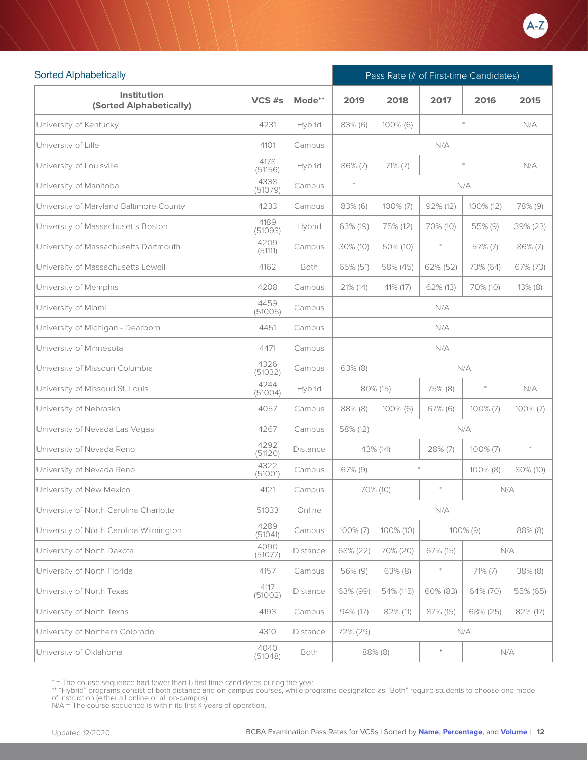

| <b>Sorted Alphabetically</b>            |                 |          | Pass Rate (# of First-time Candidates) |                                      |                           |             |             |
|-----------------------------------------|-----------------|----------|----------------------------------------|--------------------------------------|---------------------------|-------------|-------------|
| Institution<br>(Sorted Alphabetically)  | VCS #s          | Mode**   | 2019                                   | 2018                                 | 2017                      | 2016        | 2015        |
| University of Kentucky                  | 4231            | Hybrid   | 83% (6)                                | 100% (6)                             |                           |             | N/A         |
| University of Lille                     | 4101            | Campus   |                                        |                                      | N/A                       |             |             |
| University of Louisville                | 4178<br>(51156) | Hybrid   | 86% (7)                                | $71\%$ (7)                           |                           | $\star$     | N/A         |
| University of Manitoba                  | 4338<br>(51079) | Campus   | $\ast$<br>N/A                          |                                      |                           |             |             |
| University of Maryland Baltimore County | 4233            | Campus   | 83% (6)                                | $100\%$ (7)<br>92% (12)<br>100% (12) |                           |             | 78% (9)     |
| University of Massachusetts Boston      | 4189<br>(51093) | Hybrid   | 63% (19)                               | 75% (12)                             | 70% (10)                  | 55% (9)     | 39% (23)    |
| University of Massachusetts Dartmouth   | 4209<br>(51111) | Campus   | 30% (10)                               | 50% (10)                             |                           | 57% (7)     | $86\%$ (7)  |
| University of Massachusetts Lowell      | 4162            | Both     | 65% (51)                               | 58% (45)                             | 62% (52)                  | 73% (64)    | 67% (73)    |
| University of Memphis                   | 4208            | Campus   | 21% (14)                               | 41% (17)                             | 62% (13)                  | 70% (10)    | $13\%$ (8)  |
| University of Miami                     | 4459<br>(51005) | Campus   |                                        |                                      | N/A                       |             |             |
| University of Michigan - Dearborn       | 4451            | Campus   | N/A                                    |                                      |                           |             |             |
| University of Minnesota                 | 4471            | Campus   | N/A                                    |                                      |                           |             |             |
| University of Missouri Columbia         | 4326<br>(51032) | Campus   | N/A<br>$63\%$ (8)                      |                                      |                           |             |             |
| University of Missouri St. Louis        | 4244<br>(51004) | Hybrid   |                                        | 80% (15)                             | 75% (8)                   | $\ast$      | N/A         |
| University of Nebraska                  | 4057            | Campus   | 88% (8)                                | $100\%$ (6)                          | $67\%$ (6)                | $100\%$ (7) | $100\% (7)$ |
| University of Nevada Las Vegas          | 4267            | Campus   | 58% (12)                               |                                      |                           | N/A         |             |
| University of Nevada Reno               | 4292<br>(51120) | Distance |                                        | 43% (14)                             | $28\%$ (7)                | $100\% (7)$ | $\ast$      |
| University of Nevada Reno               | 4322<br>(51001) | Campus   | 67% (9)                                |                                      |                           | 100% (8)    | 80% (10)    |
| University of New Mexico                | 4121            | Campus   |                                        | 70% (10)                             | $\ast$                    |             | N/A         |
| University of North Carolina Charlotte  | 51033           | Online   |                                        |                                      | ${\mathsf N}/{\mathsf A}$ |             |             |
| University of North Carolina Wilmington | 4289<br>(51041) | Campus   | $100\%$ (7)                            | 100% (10)                            |                           | $100\%$ (9) | 88% (8)     |
| University of North Dakota              | 4090<br>(51077) | Distance | 68% (22)                               | 70% (20)                             | 67% (15)                  |             | N/A         |
| University of North Florida             | 4157            | Campus   | 56% (9)                                | $63\%$ (8)                           | $\ast$                    | 71% (7)     | 38% (8)     |
| University of North Texas               | 4117<br>(51002) | Distance | 63% (99)                               | 54% (115)                            | 60% (83)                  | 64% (70)    | 55% (65)    |
| University of North Texas               | 4193            | Campus   | 94% (17)                               | 82% (11)                             | 87% (15)                  | 68% (25)    | 82% (17)    |
| University of Northern Colorado         | 4310            | Distance | 72% (29)                               |                                      |                           | N/A         |             |
| University of Oklahoma                  | 4040<br>(51048) | Both     |                                        | 88% (8)                              | $\ast$                    |             | N/A         |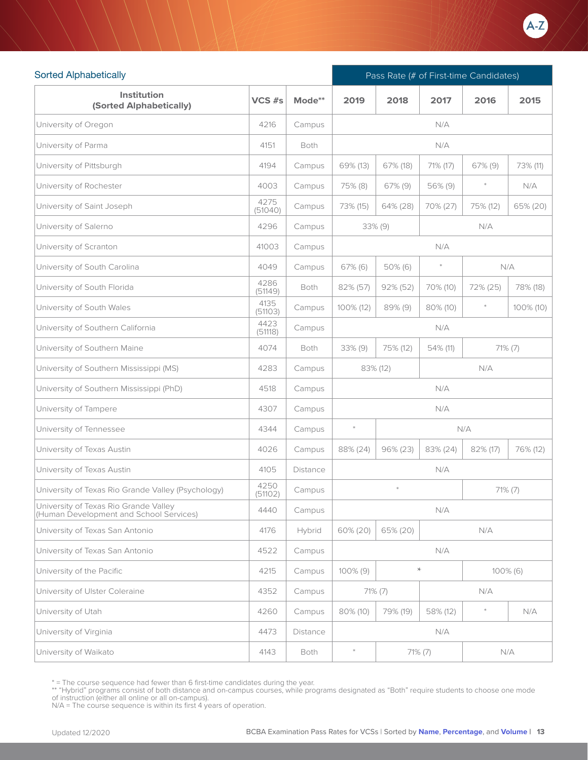

| <b>Sorted Alphabetically</b>                                                     |                 |          |                                                  | Pass Rate (# of First-time Candidates) |            |          |             |  |  |
|----------------------------------------------------------------------------------|-----------------|----------|--------------------------------------------------|----------------------------------------|------------|----------|-------------|--|--|
| Institution<br>(Sorted Alphabetically)                                           | VCS #s          | Mode**   | 2019                                             | 2018                                   | 2017       | 2016     | 2015        |  |  |
| University of Oregon                                                             | 4216            | Campus   |                                                  |                                        | N/A        |          |             |  |  |
| University of Parma                                                              | 4151            | Both     |                                                  |                                        | N/A        |          |             |  |  |
| University of Pittsburgh                                                         | 4194            | Campus   | 69% (13)                                         | 67% (18)                               | 71% (17)   | 67% (9)  | 73% (11)    |  |  |
| University of Rochester                                                          | 4003            | Campus   | 75% (8)                                          | 67% (9)                                | 56% (9)    |          | N/A         |  |  |
| University of Saint Joseph                                                       | 4275<br>(51040) | Campus   | 73% (15)                                         | 64% (28)                               | 70% (27)   | 75% (12) | 65% (20)    |  |  |
| University of Salerno                                                            | 4296            | Campus   |                                                  | $33\%$ (9)                             |            | N/A      |             |  |  |
| University of Scranton                                                           | 41003           | Campus   |                                                  |                                        | N/A        |          |             |  |  |
| University of South Carolina                                                     | 4049            | Campus   | $67\%$ (6)                                       | 50% (6)                                |            | N/A      |             |  |  |
| University of South Florida                                                      | 4286<br>(51149) | Both     | 82% (57)                                         | 92% (52)                               | 70% (10)   | 72% (25) | 78% (18)    |  |  |
| University of South Wales                                                        | 4135<br>(51103) | Campus   | 100% (12)                                        | 89% (9)                                | 80% (10)   | $\ast$   | 100% (10)   |  |  |
| University of Southern California                                                | 4423<br>(51118) | Campus   |                                                  |                                        | N/A        |          |             |  |  |
| University of Southern Maine                                                     | 4074            | Both     | $33\%$ (9)<br>75% (12)<br>54% (11)<br>$71\%$ (7) |                                        |            |          |             |  |  |
| University of Southern Mississippi (MS)                                          | 4283            | Campus   | 83% (12)<br>N/A                                  |                                        |            |          |             |  |  |
| University of Southern Mississippi (PhD)                                         | 4518            | Campus   |                                                  |                                        | N/A        |          |             |  |  |
| University of Tampere                                                            | 4307            | Campus   |                                                  |                                        | N/A        |          |             |  |  |
| University of Tennessee                                                          | 4344            | Campus   | $\ast$                                           |                                        |            | N/A      |             |  |  |
| University of Texas Austin                                                       | 4026            | Campus   | 88% (24)                                         | 96% (23)                               | 83% (24)   | 82% (17) | 76% (12)    |  |  |
| University of Texas Austin                                                       | 4105            | Distance |                                                  |                                        | N/A        |          |             |  |  |
| University of Texas Rio Grande Valley (Psychology)                               | 4250<br>(51102) | Campus   |                                                  | $\ast$                                 |            | 71% (7)  |             |  |  |
| University of Texas Rio Grande Valley<br>(Human Development and School Services) | 4440            | Campus   |                                                  |                                        | N/A        |          |             |  |  |
| University of Texas San Antonio                                                  | 4176            | Hybrid   | 60% (20)                                         | 65% (20)                               |            | N/A      |             |  |  |
| University of Texas San Antonio                                                  | 4522            | Campus   |                                                  |                                        | N/A        |          |             |  |  |
| University of the Pacific                                                        | 4215            | Campus   | $100\%$ (9)                                      |                                        | $\star$    |          | $100\%$ (6) |  |  |
| University of Ulster Coleraine                                                   | 4352            | Campus   |                                                  | $71\%$ (7)                             |            | N/A      |             |  |  |
| University of Utah                                                               | 4260            | Campus   | 80% (10)                                         | 79% (19)                               | 58% (12)   | $\ast$   | N/A         |  |  |
| University of Virginia                                                           | 4473            | Distance |                                                  |                                        | N/A        |          |             |  |  |
| University of Waikato                                                            | 4143            | Both     | $\ast$                                           |                                        | $71\% (7)$ | N/A      |             |  |  |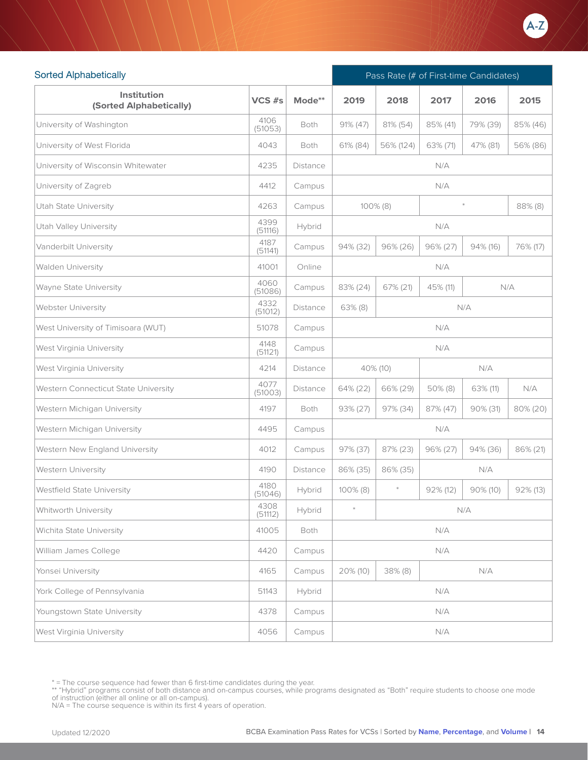

| <b>Sorted Alphabetically</b>           |                 |                 |                        | Pass Rate (# of First-time Candidates) |             |             |             |  |  |
|----------------------------------------|-----------------|-----------------|------------------------|----------------------------------------|-------------|-------------|-------------|--|--|
| Institution<br>(Sorted Alphabetically) | VCS #s          | Mode**          | 2019                   | 2018                                   | 2017        | 2016        | 2015        |  |  |
| University of Washington               | 4106<br>(51053) | Both            | $91\% (47)$            | 81% (54)                               | 85% (41)    | 79% (39)    | 85% (46)    |  |  |
| University of West Florida             | 4043            | Both            | 61% (84)               | 56% (124)                              | 63% (71)    | 47% (81)    | 56% (86)    |  |  |
| University of Wisconsin Whitewater     | 4235            | Distance        |                        |                                        | N/A         |             |             |  |  |
| University of Zagreb                   | 4412            | Campus          |                        |                                        | N/A         |             |             |  |  |
| Utah State University                  | 4263            | Campus          | 88% (8)<br>$100\%$ (8) |                                        |             |             |             |  |  |
| Utah Valley University                 | 4399<br>(51116) | Hybrid          | N/A                    |                                        |             |             |             |  |  |
| Vanderbilt University                  | 4187<br>(51141) | Campus          | 94% (32)               | 96% (26)                               | $96\% (27)$ | 94% (16)    | 76% (17)    |  |  |
| Walden University                      | 41001           | Online          |                        |                                        | N/A         |             |             |  |  |
| Wayne State University                 | 4060<br>(51086) | Campus          | 83% (24)               | 67% (21)                               | 45% (11)    |             | N/A         |  |  |
| Webster University                     | 4332<br>(51012) | Distance        | $63\%$ (8)             | N/A                                    |             |             |             |  |  |
| West University of Timisoara (WUT)     | 51078           | Campus          | N/A                    |                                        |             |             |             |  |  |
| West Virginia University               | 4148<br>(51121) | Campus          | N/A                    |                                        |             |             |             |  |  |
| West Virginia University               | 4214            | <b>Distance</b> |                        | 40% (10)                               |             | N/A         |             |  |  |
| Western Connecticut State University   | 4077<br>(51003) | <b>Distance</b> | 64% (22)               | 66% (29)                               | $50\%$ (8)  | 63% (11)    | N/A         |  |  |
| Western Michigan University            | 4197            | Both            | 93% (27)               | 97% (34)                               | 87% (47)    | 90% (31)    | 80% (20)    |  |  |
| Western Michigan University            | 4495            | Campus          |                        |                                        | N/A         |             |             |  |  |
| Western New England University         | 4012            | Campus          | 97% (37)               | 87% (23)                               | 96% (27)    | 94% (36)    | 86% (21)    |  |  |
| Western University                     | 4190            | Distance        | 86% (35)               | 86% (35)                               |             | N/A         |             |  |  |
| Westfield State University             | 4180<br>(51046) | Hybrid          | 100% (8)               | $\ast$                                 | $92\%$ (12) | $90\% (10)$ | $92\%$ (13) |  |  |
| Whitworth University                   | 4308<br>(51112) | Hybrid          |                        |                                        |             | N/A         |             |  |  |
| Wichita State University               | 41005           | Both            |                        |                                        | N/A         |             |             |  |  |
| William James College                  | 4420            | Campus          |                        |                                        | N/A         |             |             |  |  |
| Yonsei University                      | 4165            | Campus          | $20\%$ (10)            | $38\%$ (8)                             |             | N/A         |             |  |  |
| York College of Pennsylvania           | 51143           | Hybrid          |                        |                                        | N/A         |             |             |  |  |
| Youngstown State University            | 4378            | Campus          |                        |                                        | N/A         |             |             |  |  |
| West Virginia University               | 4056            | Campus          |                        |                                        | N/A         |             |             |  |  |

<sup>\* =</sup> The course sequence had fewer than 6 first-time candidates during the year.

<sup>\*\* &</sup>quot;Hybrid" programs consist of both distance and on-campus courses, while programs designated as "Both" require students to choose one mode<br>of instruction (either all online or all on-campus).<br>N/A = The course sequence is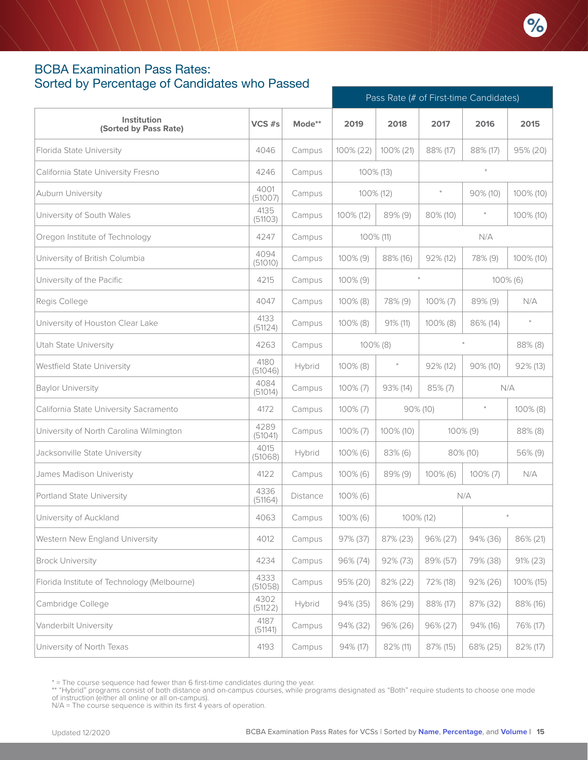#### <span id="page-14-0"></span>BCBA Examination Pass Rates: Sorted by Percentage of Candidates who Passed

|                                             |                 |          |             |             |             | Pass Rate (# of First-time Candidates) |             |  |
|---------------------------------------------|-----------------|----------|-------------|-------------|-------------|----------------------------------------|-------------|--|
| Institution<br>(Sorted by Pass Rate)        | VCS $#s$        | Mode**   | 2019        | 2018        | 2017        | 2016                                   | 2015        |  |
| Florida State University                    | 4046            | Campus   | 100% (22)   | 100% (21)   | 88% (17)    | 88% (17)                               | 95% (20)    |  |
| California State University Fresno          | 4246            | Campus   |             | 100% (13)   |             | $\ast$                                 |             |  |
| Auburn University                           | 4001<br>(51007) | Campus   |             | 100% (12)   | $\ast$      | 90% (10)                               | 100% (10)   |  |
| University of South Wales                   | 4135<br>(51103) | Campus   | 100% (12)   | 89% (9)     | 80% (10)    |                                        | 100% (10)   |  |
| Oregon Institute of Technology              | 4247            | Campus   |             | 100% (11)   |             | N/A                                    |             |  |
| University of British Columbia              | 4094<br>(51010) | Campus   | 100% (9)    | 88% (16)    | $92\%$ (12) | 78% (9)                                | 100% (10)   |  |
| University of the Pacific                   | 4215            | Campus   | $100\%$ (9) |             | $\ast$      |                                        | $100\%$ (6) |  |
| Regis College                               | 4047            | Campus   | $100\%$ (8) | 78% (9)     | $100\% (7)$ | 89% (9)                                | N/A         |  |
| University of Houston Clear Lake            | 4133<br>(51124) | Campus   | $100\%$ (8) | $91\%$ (11) | $100\%$ (8) | 86% (14)                               | $\ast$      |  |
| <b>Utah State University</b>                | 4263            | Campus   |             | 100% (8)    |             |                                        | 88% (8)     |  |
| Westfield State University                  | 4180<br>(51046) | Hybrid   | $100\%$ (8) | $\ast$      | $92\%$ (12) | $90\%$ (10)                            | 92% (13)    |  |
| <b>Baylor University</b>                    | 4084<br>(51014) | Campus   | $100\% (7)$ | 93% (14)    | 85% (7)     |                                        | N/A         |  |
| California State University Sacramento      | 4172            | Campus   | $100\% (7)$ |             | 90% (10)    | $\ast$                                 | $100\%$ (8) |  |
| University of North Carolina Wilmington     | 4289<br>(51041) | Campus   | $100\% (7)$ | 100% (10)   |             | 100% (9)                               | 88% (8)     |  |
| Jacksonville State University               | 4015<br>(51068) | Hybrid   | $100\%$ (6) | $83\%$ (6)  |             | 80% (10)                               | 56% (9)     |  |
| James Madison Univeristy                    | 4122            | Campus   | $100\%$ (6) | 89% (9)     | $100\%$ (6) | $100\% (7)$                            | N/A         |  |
| Portland State University                   | 4336<br>(51164) | Distance | $100\%$ (6) |             |             | N/A                                    |             |  |
| University of Auckland                      | 4063            | Campus   | $100\%$ (6) | 100% (12)   |             |                                        | $\ast$      |  |
| Western New England University              | 4012            | Campus   | 97% (37)    | 87% (23)    | 96% (27)    | 94% (36)                               | 86% (21)    |  |
| <b>Brock University</b>                     | 4234            | Campus   | 96% (74)    | 92% (73)    | 89% (57)    | 79% (38)                               | 91% (23)    |  |
| Florida Institute of Technology (Melbourne) | 4333<br>(51058) | Campus   | 95% (20)    | 82% (22)    | 72% (18)    | $92\% (26)$                            | 100% (15)   |  |
| Cambridge College                           | 4302<br>(51122) | Hybrid   | 94% (35)    | 86% (29)    | 88% (17)    | 87% (32)                               | 88% (16)    |  |
| Vanderbilt University                       | 4187<br>(51141) | Campus   | 94% (32)    | 96% (26)    | 96% (27)    | 94% (16)                               | 76% (17)    |  |
| University of North Texas                   | 4193            | Campus   | 94% (17)    | 82% (11)    | 87% (15)    | 68% (25)                               | 82% (17)    |  |

\* = The course sequence had fewer than 6 first-time candidates during the year.

N/A = The course sequence is within its first 4 years of operation.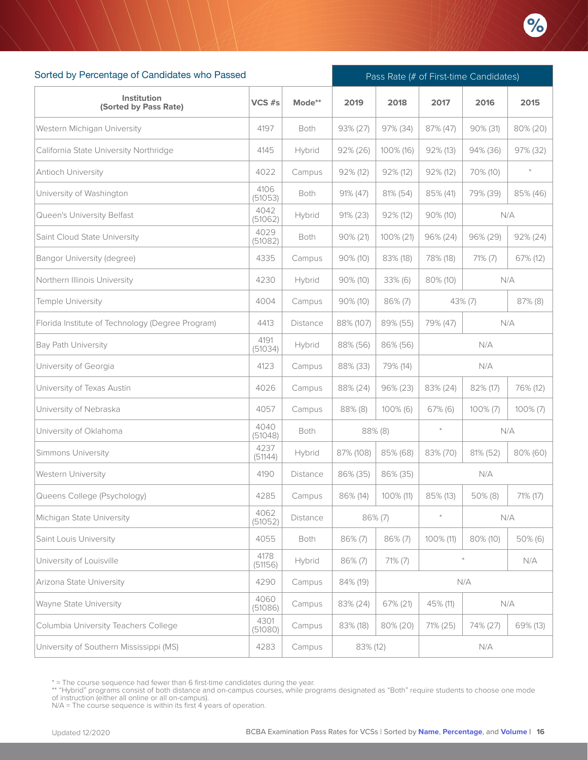

| Sorted by Percentage of Candidates who Passed    |                 | Pass Rate (# of First-time Candidates) |             |             |                 |             |             |  |
|--------------------------------------------------|-----------------|----------------------------------------|-------------|-------------|-----------------|-------------|-------------|--|
| Institution<br>(Sorted by Pass Rate)             | VCS #s          | Mode**                                 | 2019        | 2018        | 2017            | 2016        | 2015        |  |
| Western Michigan University                      | 4197            | Both                                   | 93% (27)    | 97% (34)    | 87% (47)        | 90% (31)    | 80% (20)    |  |
| California State University Northridge           | 4145            | Hybrid                                 | 92% (26)    | 100% (16)   | 92% (13)        | 94% (36)    | 97% (32)    |  |
| Antioch University                               | 4022            | Campus                                 | 92% (12)    | 92% (12)    | 92% (12)        | 70% (10)    | $\ast$      |  |
| University of Washington                         | 4106<br>(51053) | Both                                   | 91% (47)    | 81% (54)    | 85% (41)        | 79% (39)    | 85% (46)    |  |
| Queen's University Belfast                       | 4042<br>(51062) | Hybrid                                 | 91% (23)    | 92% (12)    | $90\% (10)$     |             | N/A         |  |
| Saint Cloud State University                     | 4029<br>(51082) | Both                                   | 90% (21)    | 100% (21)   | 96% (24)        | 96% (29)    | $92\% (24)$ |  |
| Bangor University (degree)                       | 4335            | Campus                                 | 90% (10)    | 83% (18)    | 78% (18)        | 71% (7)     | 67% (12)    |  |
| Northern Illinois University                     | 4230            | Hybrid                                 | $90\% (10)$ | 33% (6)     | 80% (10)        |             | N/A         |  |
| Temple University                                | 4004            | Campus                                 | 90% (10)    | 86% (7)     |                 | $43\%$ (7)  | 87% (8)     |  |
| Florida Institute of Technology (Degree Program) | 4413            | Distance                               | 88% (107)   | 89% (55)    | 79% (47)<br>N/A |             |             |  |
| <b>Bay Path University</b>                       | 4191<br>(51034) | Hybrid                                 | 88% (56)    | 86% (56)    | N/A             |             |             |  |
| University of Georgia                            | 4123            | Campus                                 | 88% (33)    | 79% (14)    |                 | N/A         |             |  |
| University of Texas Austin                       | 4026            | Campus                                 | 88% (24)    | 96% (23)    | 83% (24)        | 82% (17)    | 76% (12)    |  |
| University of Nebraska                           | 4057            | Campus                                 | 88% (8)     | $100\%$ (6) | $67\%$ (6)      | $100\% (7)$ | $100\% (7)$ |  |
| University of Oklahoma                           | 4040<br>(51048) | Both                                   |             | 88% (8)     | $\ast$          | N/A         |             |  |
| Simmons University                               | 4237<br>(51144) | Hybrid                                 | 87% (108)   | 85% (68)    | 83% (70)        | 81% (52)    | 80% (60)    |  |
| <b>Western University</b>                        | 4190            | Distance                               | 86% (35)    | 86% (35)    |                 | N/A         |             |  |
| Queens College (Psychology)                      | 4285            | Campus                                 | 86% (14)    | 100% (11)   | 85% (13)        | 50% (8)     | 71% (17)    |  |
| Michigan State University                        | 4062<br>(51052) | Distance                               |             | 86% (7)     | $\pm$           |             | N/A         |  |
| Saint Louis University                           | 4055            | Both                                   | 86% (7)     | 86% (7)     | 100% (11)       | 80% (10)    | 50% (6)     |  |
| University of Louisville                         | 4178<br>(51156) | Hybrid                                 | 86% (7)     | $71\% (7)$  |                 | $\ast$      | N/A         |  |
| Arizona State University                         | 4290            | Campus                                 | 84% (19)    |             |                 | N/A         |             |  |
| <b>Wayne State University</b>                    | 4060<br>(51086) | Campus                                 | 83% (24)    | 67% (21)    | 45% (11)        |             | N/A         |  |
| Columbia University Teachers College             | 4301<br>(51080) | Campus                                 | 83% (18)    | 80% (20)    | 71% (25)        | 74% (27)    | 69% (13)    |  |
| University of Southern Mississippi (MS)          | 4283            | Campus                                 | 83% (12)    |             |                 | N/A         |             |  |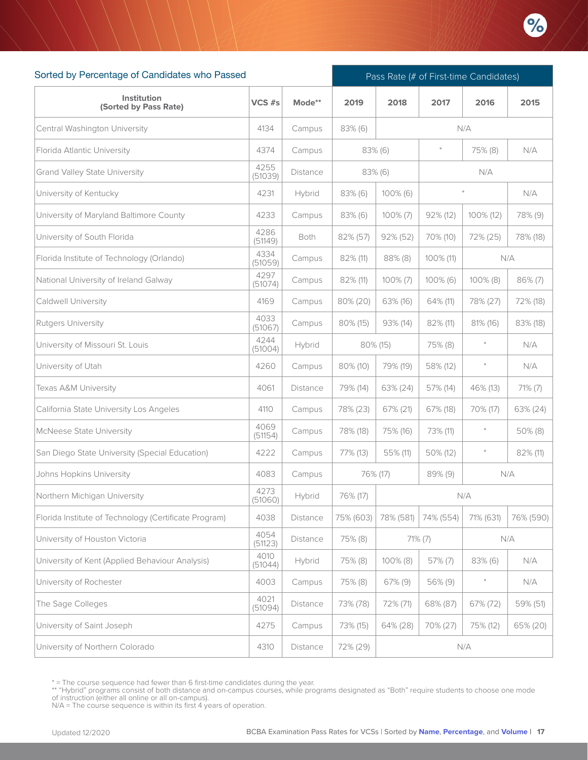

| Sorted by Percentage of Candidates who Passed         |                 |                 | Pass Rate (# of First-time Candidates) |             |                   |             |            |  |
|-------------------------------------------------------|-----------------|-----------------|----------------------------------------|-------------|-------------------|-------------|------------|--|
| Institution<br>(Sorted by Pass Rate)                  | VCS #s          | Mode**          | 2019                                   | 2018        | 2017              | 2016        | 2015       |  |
| Central Washington University                         | 4134            | Campus          | $83\%$ (6)                             |             |                   | N/A         |            |  |
| Florida Atlantic University                           | 4374            | Campus          | 83% (6)                                |             | $\ast$            | 75% (8)     | N/A        |  |
| <b>Grand Valley State University</b>                  | 4255<br>(51039) | Distance        |                                        | 83% (6)     |                   | N/A         |            |  |
| University of Kentucky                                | 4231            | Hybrid          | 83% (6)                                | $100\%$ (6) |                   |             | N/A        |  |
| University of Maryland Baltimore County               | 4233            | Campus          | 83% (6)                                | $100\%$ (7) | 92% (12)          | 100% (12)   | 78% (9)    |  |
| University of South Florida                           | 4286<br>(51149) | Both            | 82% (57)                               | $92\%$ (52) | 70% (10)          | 72% (25)    | 78% (18)   |  |
| Florida Institute of Technology (Orlando)             | 4334<br>(51059) | Campus          | 82% (11)                               | $88\%$ (8)  | 100% (11)         |             | N/A        |  |
| National University of Ireland Galway                 | 4297<br>(51074) | Campus          | 82% (11)                               | $100\%$ (7) | $100\%$ (6)       | $100\%$ (8) | 86% (7)    |  |
| <b>Caldwell University</b>                            | 4169            | Campus          | 80% (20)                               | 63% (16)    | 64% (11)          | 78% (27)    | 72% (18)   |  |
| Rutgers University                                    | 4033<br>(51067) | Campus          | $80\%$ (15)                            | 93% (14)    | 82% (11)          | 81% (16)    | 83% (18)   |  |
| University of Missouri St. Louis                      | 4244<br>(51004) | Hybrid          |                                        | 80% (15)    | $\ast$<br>75% (8) |             | N/A        |  |
| University of Utah                                    | 4260            | Campus          | 80% (10)                               | 79% (19)    | 58% (12)          | $\ast$      | N/A        |  |
| Texas A&M University                                  | 4061            | <b>Distance</b> | 79% (14)                               | 63% (24)    | 57% (14)          | 46% (13)    | $71\% (7)$ |  |
| California State University Los Angeles               | 4110            | Campus          | 78% (23)                               | 67% (21)    | 67% (18)          | 70% (17)    | 63% (24)   |  |
| McNeese State University                              | 4069<br>(51154) | Campus          | 78% (18)                               | 75% (16)    | 73% (11)          | $\ast$      | 50% (8)    |  |
| San Diego State University (Special Education)        | 4222            | Campus          | 77% (13)                               | 55% (11)    | 50% (12)          |             | 82% (11)   |  |
| Johns Hopkins University                              | 4083            | Campus          | 76% (17)                               |             | 89% (9)           | N/A         |            |  |
| Northern Michigan University                          | 4273<br>(51060) | Hybrid          | 76% (17)                               |             |                   | N/A         |            |  |
| Florida Institute of Technology (Certificate Program) | 4038            | Distance        | 75% (603)                              | 78% (581)   | 74% (554)         | 71% (631)   | 76% (590)  |  |
| University of Houston Victoria                        | 4054<br>(51123) | Distance        | 75% (8)                                |             | $71\%$ (7)        |             | N/A        |  |
| University of Kent (Applied Behaviour Analysis)       | 4010<br>(51044) | Hybrid          | 75% (8)                                | 100% (8)    | 57% (7)           | 83% (6)     | N/A        |  |
| University of Rochester                               | 4003            | Campus          | 75% (8)                                | 67% (9)     | 56% (9)           | $\ast$      | N/A        |  |
| The Sage Colleges                                     | 4021<br>(51094) | Distance        | 73% (78)                               | 72% (71)    | 68% (87)          | 67% (72)    | 59% (51)   |  |
| University of Saint Joseph                            | 4275            | Campus          | 73% (15)                               | 64% (28)    | 70% (27)          | 75% (12)    | 65% (20)   |  |
| University of Northern Colorado                       | 4310            | Distance        | 72% (29)                               |             |                   | N/A         |            |  |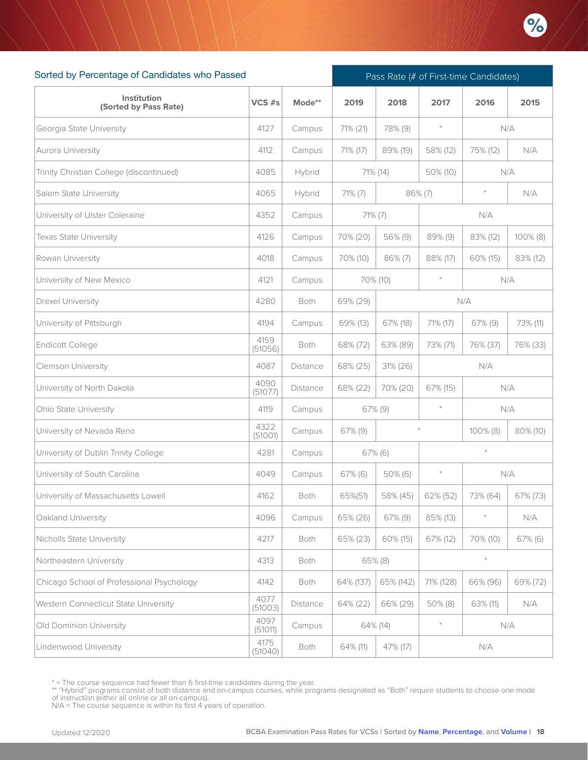

| Sorted by Percentage of Candidates who Passed |                 |                 | Pass Rate (# of First-time Candidates) |            |            |            |            |  |
|-----------------------------------------------|-----------------|-----------------|----------------------------------------|------------|------------|------------|------------|--|
| Institution<br>(Sorted by Pass Rate)          | VCS #s          | Mode**          | 2019                                   | 2018       | 2017       | 2016       | 2015       |  |
| Georgia State University                      | 4127            | Campus          | 71% (21)                               | 78% (9)    | $\ast$     |            | N/A        |  |
| Aurora University                             | 4112            | Campus          | 71% (17)                               | 89% (19)   | 58% (12)   | 75% (12)   | N/A        |  |
| Trinity Christian College (discontinued)      | 4085            | Hybrid          |                                        | 71% (14)   | 50% (10)   |            | N/A        |  |
| Salem State University                        | 4065            | Hybrid          | $71\% (7)$                             |            | $86\% (7)$ | $\ast$     | N/A        |  |
| University of Ulster Coleraine                | 4352            | Campus          | $71\%$ (7)                             |            |            | N/A        |            |  |
| Texas State University                        | 4126            | Campus          | 70% (20)                               | 56% (9)    | 89% (9)    | 83% (12)   | 100% (8)   |  |
| Rowan University                              | 4018            | Campus          | 70% (10)                               | 86% (7)    | 88% (17)   | 60% (15)   | 83% (12)   |  |
| University of New Mexico                      | 4121            | Campus          |                                        | 70% (10)   | $\ast$     |            | N/A        |  |
| Drexel University                             | 4280            | Both            | 69% (29)                               |            |            | N/A        |            |  |
| University of Pittsburgh                      | 4194            | Campus          | 69% (13)                               | 67% (18)   | 71% (17)   | $67\%$ (9) | 73% (11)   |  |
| Endicott College                              | 4159<br>(51056) | Both            | 68% (72)                               | 63% (89)   | 73% (71)   | 76% (37)   | 76% (33)   |  |
| <b>Clemson University</b>                     | 4087            | <b>Distance</b> | 68% (25)                               | 31% (26)   | N/A        |            |            |  |
| University of North Dakota                    | 4090<br>(51077) | Distance        | 68% (22)                               | 70% (20)   | 67% (15)   |            | N/A        |  |
| Ohio State University                         | 4119            | Campus          |                                        | 67% (9)    | $\ast$     |            | N/A        |  |
| University of Nevada Reno                     | 4322<br>(51001) | Campus          | 67% (9)                                |            |            | 100% (8)   | 80% (10)   |  |
| University of Dublin Trinity College          | 4281            | Campus          |                                        | 67% (6)    |            |            |            |  |
| University of South Carolina                  | 4049            | Campus          | 67% (6)                                | $50\%$ (6) | $\ast$     |            | N/A        |  |
| University of Massachusetts Lowell            | 4162            | Both            | 65%(51)                                | 58% (45)   | 62% (52)   | 73% (64)   | 67% (73)   |  |
| Oakland University                            | 4096            | Campus          | 65% (26)                               | 67% (9)    | 85% (13)   |            | N/A        |  |
| Nicholls State University                     | 4217            | Both            | 65% (23)                               | 60% (15)   | 67% (12)   | 70% (10)   | $67\%$ (6) |  |
| Northeastern University                       | 4313            | Both            |                                        | 65% (8)    |            | $\ast$     |            |  |
| Chicago School of Professional Psychology     | 4142            | Both            | 64% (137)                              | 65% (142)  | 71% (128)  | 66% (96)   | 69% (72)   |  |
| Western Connecticut State University          | 4077<br>(51003) | Distance        | 64% (22)                               | 66% (29)   | $50\%$ (8) | 63% (11)   | N/A        |  |
| Old Dominion University                       | 4097<br>(51011) | Campus          |                                        | 64% (14)   | $\ast$     |            | N/A        |  |
| Lindenwood University                         | 4175<br>(51040) | Both            | 64% (11)                               | 47% (17)   |            | N/A        |            |  |

<sup>\* =</sup> The course sequence had fewer than 6 first-time candidates during the year.

<sup>\*\* &</sup>quot;Hybrid" programs consist of both distance and on-campus courses, while programs designated as "Both" require students to choose one mode<br>of instruction (either all online or all on-campus).<br>N/A = The course sequence is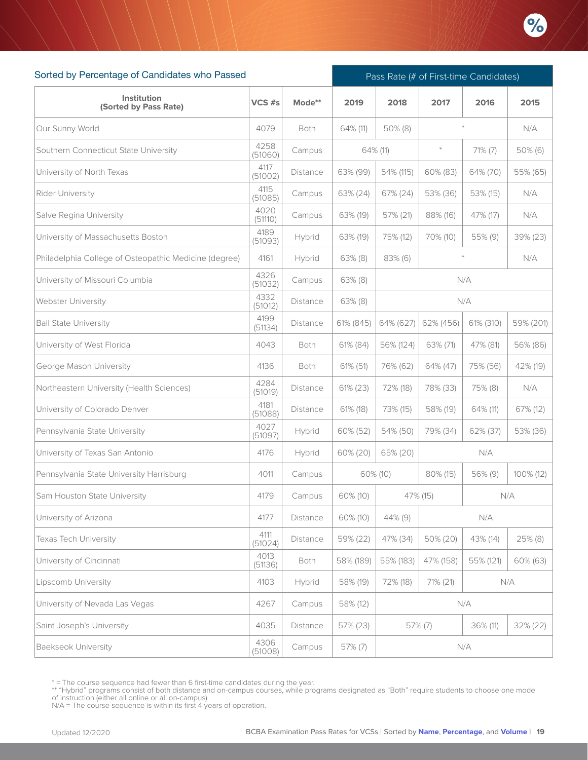

| Sorted by Percentage of Candidates who Passed         |                 |          |           | Pass Rate (# of First-time Candidates) |            |            |           |  |  |
|-------------------------------------------------------|-----------------|----------|-----------|----------------------------------------|------------|------------|-----------|--|--|
| <b>Institution</b><br>(Sorted by Pass Rate)           | $VCS$ #s        | Mode**   | 2019      | 2018                                   | 2017       | 2016       | 2015      |  |  |
| Our Sunny World                                       | 4079            | Both     | 64% (11)  | $50\%$ (8)                             |            |            | N/A       |  |  |
| Southern Connecticut State University                 | 4258<br>(51060) | Campus   |           | 64% (11)                               | $\ast$     | $71\%$ (7) | 50% (6)   |  |  |
| University of North Texas                             | 4117<br>(51002) | Distance | 63% (99)  | 54% (115)                              | 60% (83)   | 64% (70)   | 55% (65)  |  |  |
| Rider University                                      | 4115<br>(51085) | Campus   | 63% (24)  | 67% (24)                               | 53% (36)   | 53% (15)   | N/A       |  |  |
| Salve Regina University                               | 4020<br>(51110) | Campus   | 63% (19)  | 57% (21)                               | 88% (16)   | 47% (17)   | N/A       |  |  |
| University of Massachusetts Boston                    | 4189<br>(51093) | Hybrid   | 63% (19)  | 75% (12)                               | 70% (10)   | 55% (9)    | 39% (23)  |  |  |
| Philadelphia College of Osteopathic Medicine (degree) | 4161            | Hybrid   | 63% (8)   | 83% (6)                                |            |            | N/A       |  |  |
| University of Missouri Columbia                       | 4326<br>(51032) | Campus   | 63% (8)   |                                        |            | N/A        |           |  |  |
| Webster University                                    | 4332<br>(51012) | Distance | 63% (8)   |                                        |            | N/A        |           |  |  |
| <b>Ball State University</b>                          | 4199<br>(51134) | Distance | 61% (845) | 64% (627)                              | 62% (456)  | 61% (310)  | 59% (201) |  |  |
| University of West Florida                            | 4043            | Both     | 61% (84)  | 56% (124)                              | 63% (71)   | 47% (81)   | 56% (86)  |  |  |
| George Mason University                               | 4136            | Both     | 61% (51)  | 76% (62)                               | 64% (47)   | 75% (56)   | 42% (19)  |  |  |
| Northeastern University (Health Sciences)             | 4284<br>(51019) | Distance | 61% (23)  | 72% (18)                               | 78% (33)   | 75% (8)    | N/A       |  |  |
| University of Colorado Denver                         | 4181<br>(51088) | Distance | 61% (18)  | 73% (15)                               | 58% (19)   | 64% (11)   | 67% (12)  |  |  |
| Pennsylvania State University                         | 4027<br>(51097) | Hybrid   | 60% (52)  | 54% (50)                               | 79% (34)   | 62% (37)   | 53% (36)  |  |  |
| University of Texas San Antonio                       | 4176            | Hybrid   | 60% (20)  | 65% (20)                               |            | N/A        |           |  |  |
| Pennsylvania State University Harrisburg              | 4011            | Campus   |           | 60% (10)                               | 80% (15)   | 56% (9)    | 100% (12) |  |  |
| Sam Houston State University                          | 4179            | Campus   | 60% (10)  |                                        | 47% (15)   |            | N/A       |  |  |
| University of Arizona                                 | 4177            | Distance | 60% (10)  | 44% (9)                                |            | N/A        |           |  |  |
| <b>Texas Tech University</b>                          | 4111<br>(51024) | Distance | 59% (22)  | 47% (34)                               | 50% (20)   | 43% (14)   | 25% (8)   |  |  |
| University of Cincinnati                              | 4013<br>(51136) | Both     | 58% (189) | 55% (183)                              | 47% (158)  | 55% (121)  | 60% (63)  |  |  |
| Lipscomb University                                   | 4103            | Hybrid   | 58% (19)  | 72% (18)                               | 71% (21)   |            | N/A       |  |  |
| University of Nevada Las Vegas                        | 4267            | Campus   | 58% (12)  |                                        |            | N/A        |           |  |  |
| Saint Joseph's University                             | 4035            | Distance | 57% (23)  |                                        | $57\%$ (7) | 36% (11)   | 32% (22)  |  |  |
| <b>Baekseok University</b>                            | 4306<br>(51008) | Campus   | 57% (7)   |                                        |            | N/A        |           |  |  |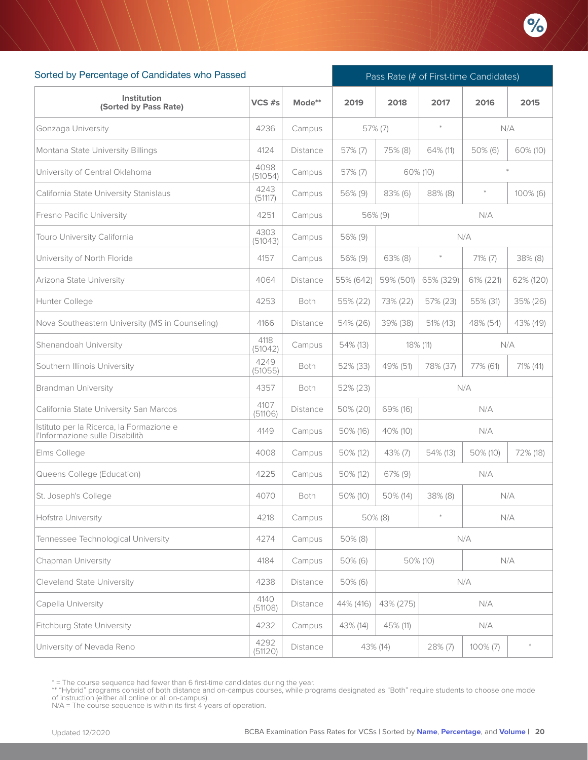

| Sorted by Percentage of Candidates who Passed                               |                 |          | Pass Rate (# of First-time Candidates) |            |            |             |             |  |
|-----------------------------------------------------------------------------|-----------------|----------|----------------------------------------|------------|------------|-------------|-------------|--|
| Institution<br>(Sorted by Pass Rate)                                        | $VCS$ #s        | Mode**   | 2019                                   | 2018       | 2017       | 2016        | 2015        |  |
| Gonzaga University                                                          | 4236            | Campus   |                                        | $57\%$ (7) | $\ast$     |             | N/A         |  |
| Montana State University Billings                                           | 4124            | Distance | $57\%$ (7)                             | 75% (8)    | 64% (11)   | $50\%$ (6)  | 60% (10)    |  |
| University of Central Oklahoma                                              | 4098<br>(51054) | Campus   | 57% (7)                                |            | 60% (10)   |             |             |  |
| California State University Stanislaus                                      | 4243<br>(51117) | Campus   | 56% (9)                                | $83\%$ (6) | 88% (8)    | $\ast$      | $100\%$ (6) |  |
| Fresno Pacific University                                                   | 4251            | Campus   |                                        | 56% (9)    |            | N/A         |             |  |
| Touro University California                                                 | 4303<br>(51043) | Campus   | 56% (9)                                |            |            | N/A         |             |  |
| University of North Florida                                                 | 4157            | Campus   | 56% (9)                                | $63\%$ (8) | $\ast$     | $71\% (7)$  | 38% (8)     |  |
| Arizona State University                                                    | 4064            | Distance | 55% (642)                              | 59% (501)  | 65% (329)  | 61% (221)   | 62% (120)   |  |
| Hunter College                                                              | 4253            | Both     | 55% (22)                               | 73% (22)   | 57% (23)   | 55% (31)    | 35% (26)    |  |
| Nova Southeastern University (MS in Counseling)                             | 4166            | Distance | 54% (26)                               | 39% (38)   | 51% (43)   | 48% (54)    | 43% (49)    |  |
| Shenandoah University                                                       | 4118<br>(51042) | Campus   | 54% (13)                               | 18% (11)   | N/A        |             |             |  |
| Southern Illinois University                                                | 4249<br>(51055) | Both     | 52% (33)                               | 49% (51)   | 78% (37)   | 77% (61)    | 71% (41)    |  |
| <b>Brandman University</b>                                                  | 4357            | Both     | 52% (23)                               |            |            | N/A         |             |  |
| California State University San Marcos                                      | 4107<br>(51106) | Distance | 50% (20)                               | 69% (16)   |            | N/A         |             |  |
| Istituto per la Ricerca, la Formazione e<br>l'Informazione sulle Disabilità | 4149            | Campus   | 50% (16)                               | 40% (10)   |            | N/A         |             |  |
| Elms College                                                                | 4008            | Campus   | 50% (12)                               | $43\%$ (7) | 54% (13)   | 50% (10)    | 72% (18)    |  |
| Queens College (Education)                                                  | 4225            | Campus   | 50% (12)                               | 67% (9)    |            | N/A         |             |  |
| St. Joseph's College                                                        | 4070            | Both     | 50% (10)                               | 50% (14)   | 38% (8)    |             | N/A         |  |
| Hofstra University                                                          | 4218            | Campus   |                                        | 50% (8)    |            |             | N/A         |  |
| Tennessee Technological University                                          | 4274            | Campus   | 50% (8)                                |            |            | N/A         |             |  |
| Chapman University                                                          | 4184            | Campus   | 50% (6)                                |            | 50% (10)   |             | N/A         |  |
| <b>Cleveland State University</b>                                           | 4238            | Distance | 50% (6)                                |            |            | N/A         |             |  |
| Capella University                                                          | 4140<br>(51108) | Distance | 44% (416)                              | 43% (275)  |            | N/A         |             |  |
| Fitchburg State University                                                  | 4232            | Campus   | 43% (14)                               | 45% (11)   |            | N/A         |             |  |
| University of Nevada Reno                                                   | 4292<br>(51120) | Distance |                                        | 43% (14)   | $28\%$ (7) | $100\%$ (7) |             |  |

<sup>\* =</sup> The course sequence had fewer than 6 first-time candidates during the year.

<sup>\*\* &</sup>quot;Hybrid" programs consist of both distance and on-campus courses, while programs designated as "Both" require students to choose one mode<br>of instruction (either all online or all on-campus).<br>N/A = The course sequence is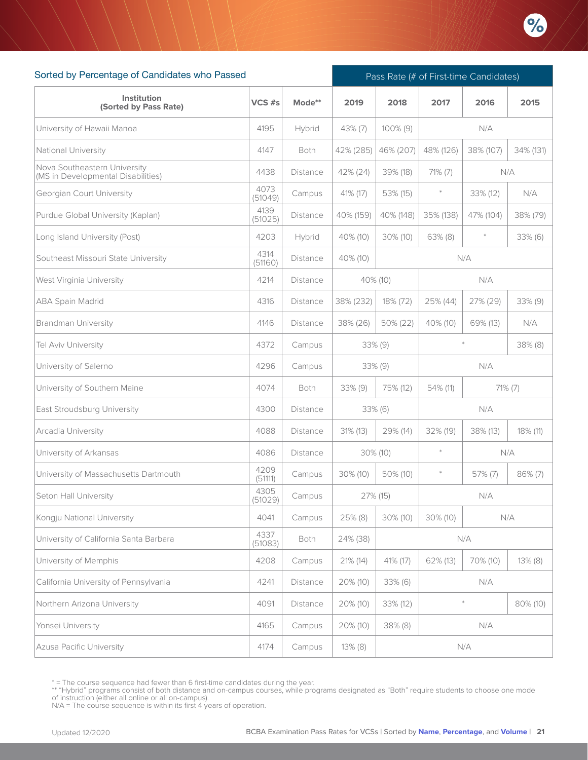

| Sorted by Percentage of Candidates who Passed                      |                 |                 |             | Pass Rate (# of First-time Candidates) |            |            |            |  |  |
|--------------------------------------------------------------------|-----------------|-----------------|-------------|----------------------------------------|------------|------------|------------|--|--|
| Institution<br>(Sorted by Pass Rate)                               | $VCS$ #s        | Mode**          | 2019        | 2018                                   | 2017       | 2016       | 2015       |  |  |
| University of Hawaii Manoa                                         | 4195            | Hybrid          | 43% (7)     | $100\%$ (9)                            |            | N/A        |            |  |  |
| National University                                                | 4147            | Both            | 42% (285)   | 46% (207)                              | 48% (126)  | 38% (107)  | 34% (131)  |  |  |
| Nova Southeastern University<br>(MS in Developmental Disabilities) | 4438            | Distance        | 42% (24)    | 39% (18)                               | $71\% (7)$ | N/A        |            |  |  |
| <b>Georgian Court University</b>                                   | 4073<br>(51049) | Campus          | 41% (17)    | 53% (15)                               | $\ast$     | 33% (12)   | N/A        |  |  |
| Purdue Global University (Kaplan)                                  | 4139<br>(51025) | Distance        | 40% (159)   | 40% (148)                              | 35% (138)  | 47% (104)  | 38% (79)   |  |  |
| Long Island University (Post)                                      | 4203            | Hybrid          | 40% (10)    | $30\%$ (10)                            | $63\%$ (8) | $\ast$     | 33% (6)    |  |  |
| Southeast Missouri State University                                | 4314<br>(51160) | Distance        | 40% (10)    |                                        |            | N/A        |            |  |  |
| West Virginia University                                           | 4214            | <b>Distance</b> |             | 40% (10)                               |            | N/A        |            |  |  |
| <b>ABA Spain Madrid</b>                                            | 4316            | Distance        | 38% (232)   | 18% (72)                               | 25% (44)   | 27% (29)   | $33\%$ (9) |  |  |
| <b>Brandman University</b>                                         | 4146            | Distance        | 38% (26)    | 50% (22)                               | 40% (10)   | 69% (13)   | N/A        |  |  |
| Tel Aviv University                                                | 4372            | Campus          |             | $33\%$ (9)                             | $38\%$ (8) |            |            |  |  |
| University of Salerno                                              | 4296            | Campus          |             | $33\%$ (9)                             | N/A        |            |            |  |  |
| University of Southern Maine                                       | 4074            | Both            | $33\%$ (9)  | 75% (12)                               | 54% (11)   | $71\%$ (7) |            |  |  |
| East Stroudsburg University                                        | 4300            | Distance        |             | $33\%$ (6)                             |            | N/A        |            |  |  |
| Arcadia University                                                 | 4088            | Distance        | 31% (13)    | 29% (14)                               | 32% (19)   | 38% (13)   | 18% (11)   |  |  |
| University of Arkansas                                             | 4086            | Distance        |             | $30\%$ (10)                            | $\ast$     | N/A        |            |  |  |
| University of Massachusetts Dartmouth                              | 4209<br>(51111) | Campus          | $30\%$ (10) | 50% (10)                               | $\ast$     | $57\%$ (7) | $86\%$ (7) |  |  |
| Seton Hall University                                              | 4305<br>(51029) | Campus          |             | 27% (15)                               |            | N/A        |            |  |  |
| Kongju National University                                         | 4041            | Campus          | 25% (8)     | 30% (10)                               | 30% (10)   | N/A        |            |  |  |
| University of California Santa Barbara                             | 4337<br>(51083) | Both            | 24% (38)    |                                        |            | N/A        |            |  |  |
| University of Memphis                                              | 4208            | Campus          | 21% (14)    | 41% (17)                               | 62% (13)   | 70% (10)   | $13\%$ (8) |  |  |
| California University of Pennsylvania                              | 4241            | Distance        | 20% (10)    | 33% (6)                                |            | N/A        |            |  |  |
| Northern Arizona University                                        | 4091            | Distance        | 20% (10)    | 33% (12)                               |            | $\ast$     | 80% (10)   |  |  |
| Yonsei University                                                  | 4165            | Campus          | 20% (10)    | 38% (8)                                |            | N/A        |            |  |  |
| Azusa Pacific University                                           | 4174            | Campus          | $13\%$ (8)  |                                        |            | N/A        |            |  |  |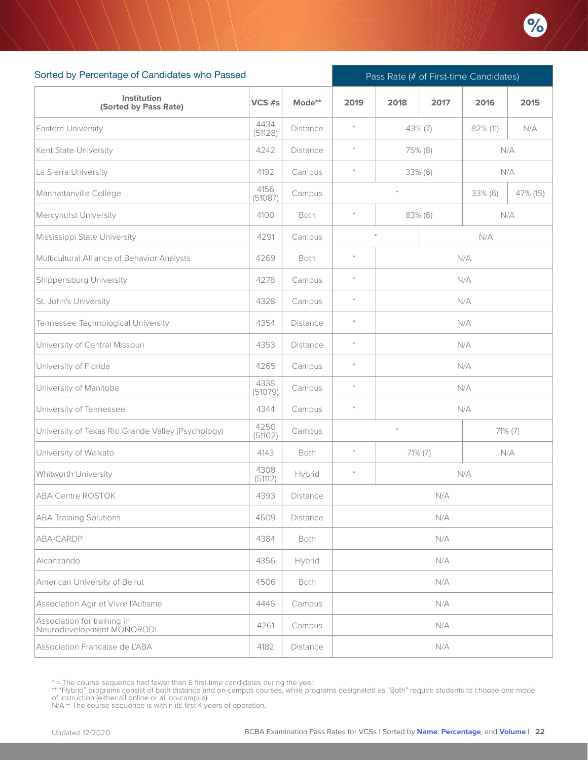

| Sorted by Percentage of Candidates who Passed            |                 |                 | Pass Rate (# of First-time Candidates) |         |            |          |          |  |  |
|----------------------------------------------------------|-----------------|-----------------|----------------------------------------|---------|------------|----------|----------|--|--|
| Institution<br>(Sorted by Pass Rate)                     | VCS #s          | Mode**          | 2019                                   | 2018    | 2017       | 2016     | 2015     |  |  |
| Eastern University                                       | 4434<br>(51128) | Distance        | $\ast$                                 |         | 43% (7)    | 82% (11) | N/A      |  |  |
| Kent State University                                    | 4242            | Distance        | $\ast$                                 |         | 75% (8)    | N/A      |          |  |  |
| La Sierra University                                     | 4192            | Campus          | $\ast$                                 |         | 33% (6)    | N/A      |          |  |  |
| Manhattanville College                                   | 4156<br>(51087) | Campus          |                                        | $\ast$  |            | 33% (6)  | 47% (15) |  |  |
| Mercyhurst University                                    | 4100            | Both            | $\ast$                                 |         | $83\%$ (6) | N/A      |          |  |  |
| Mississippi State University                             | 4291            | Campus          |                                        |         |            | N/A      |          |  |  |
| Multicultural Alliance of Behavior Analysts              | 4269            | Both            | $\pm$                                  |         |            | N/A      |          |  |  |
| Shippensburg University                                  | 4278            | Campus          | $\ast$                                 | N/A     |            |          |          |  |  |
| St. John's University                                    | 4328            | Campus          | $\ast$                                 | N/A     |            |          |          |  |  |
| Tennessee Technological University                       | 4354            | Distance        | $\ast$                                 | N/A     |            |          |          |  |  |
| University of Central Missouri                           | 4353            | <b>Distance</b> | $\ast$                                 | N/A     |            |          |          |  |  |
| University of Florida                                    | 4265            | Campus          | $\ast$                                 | N/A     |            |          |          |  |  |
| University of Manitoba                                   | 4338<br>(51079) | Campus          | $\ast$                                 |         |            | N/A      |          |  |  |
| University of Tennessee                                  | 4344            | Campus          | $\ast$                                 |         |            | N/A      |          |  |  |
| University of Texas Rio Grande Valley (Psychology)       | 4250<br>(51102) | Campus          |                                        | $\ast$  |            |          | 71% (7)  |  |  |
| University of Waikato                                    | 4143            | Both            | $\ast$                                 | 71% (7) |            | N/A      |          |  |  |
| Whitworth University                                     | 4308<br>(51112) | Hybrid          | $\ast$                                 |         |            | N/A      |          |  |  |
| <b>ABA Centre ROSTOK</b>                                 | 4393            | Distance        |                                        |         | N/A        |          |          |  |  |
| <b>ABA Training Solutions</b>                            | 4509            | Distance        |                                        |         | N/A        |          |          |  |  |
| ABA-CARDP                                                | 4384            | Both            |                                        |         | N/A        |          |          |  |  |
| Alcanzando                                               | 4356            | Hybrid          |                                        |         | N/A        |          |          |  |  |
| American University of Beirut                            | 4506            | Both            |                                        |         | N/A        |          |          |  |  |
| Association Agir et Vivre l'Autisme                      | 4446            | Campus          |                                        |         | N/A        |          |          |  |  |
| Association for training in<br>Neurodevelopment MONORODI | 4261            | Campus          |                                        |         | N/A        |          |          |  |  |
| Association Francaise de L'ABA                           | 4182            | Distance        |                                        |         | N/A        |          |          |  |  |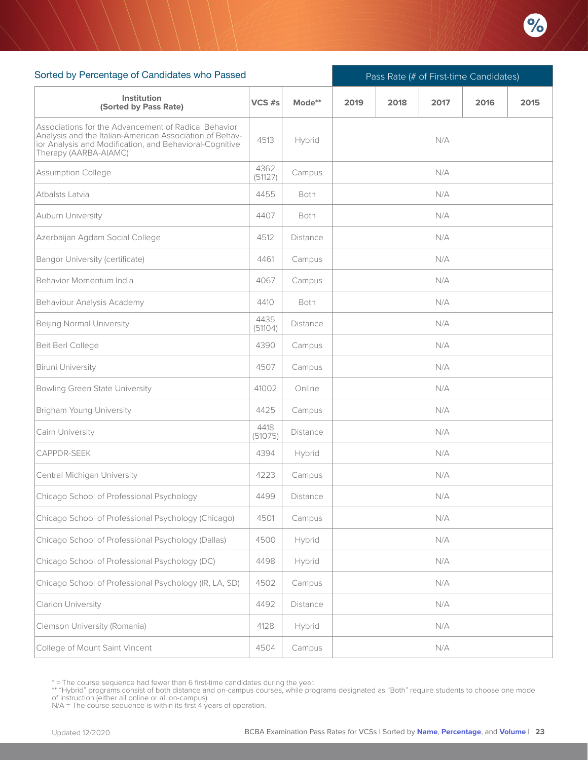

| Sorted by Percentage of Candidates who Passed                                                                                                                                                       |                 |             |      | Pass Rate (# of First-time Candidates) |      |      |      |  |  |  |
|-----------------------------------------------------------------------------------------------------------------------------------------------------------------------------------------------------|-----------------|-------------|------|----------------------------------------|------|------|------|--|--|--|
| <b>Institution</b><br>(Sorted by Pass Rate)                                                                                                                                                         | VCS #s          | Mode**      | 2019 | 2018                                   | 2017 | 2016 | 2015 |  |  |  |
| Associations for the Advancement of Radical Behavior<br>Analysis and the Italian-American Association of Behav-<br>ior Analysis and Modification, and Behavioral-Cognitive<br>Therapy (AARBA-AIAMC) | 4513            | Hybrid      |      |                                        | N/A  |      |      |  |  |  |
| Assumption College                                                                                                                                                                                  | 4362<br>(51127) | Campus      | N/A  |                                        |      |      |      |  |  |  |
| Atbalsts Latvia                                                                                                                                                                                     | 4455            | <b>Both</b> | N/A  |                                        |      |      |      |  |  |  |
| Auburn University                                                                                                                                                                                   | 4407            | Both        | N/A  |                                        |      |      |      |  |  |  |
| Azerbaijan Agdam Social College                                                                                                                                                                     | 4512            | Distance    | N/A  |                                        |      |      |      |  |  |  |
| Bangor University (certificate)                                                                                                                                                                     | 4461            | Campus      | N/A  |                                        |      |      |      |  |  |  |
| Behavior Momentum India                                                                                                                                                                             | 4067            | Campus      |      |                                        | N/A  |      |      |  |  |  |
| Behaviour Analysis Academy                                                                                                                                                                          | 4410            | Both        |      |                                        | N/A  |      |      |  |  |  |
| Beijing Normal University                                                                                                                                                                           | 4435<br>(51104) | Distance    |      |                                        | N/A  |      |      |  |  |  |
| Beit Berl College                                                                                                                                                                                   | 4390            | Campus      |      |                                        | N/A  |      |      |  |  |  |
| Biruni University                                                                                                                                                                                   | 4507            | Campus      |      |                                        | N/A  |      |      |  |  |  |
| Bowling Green State University                                                                                                                                                                      | 41002           | Online      |      |                                        | N/A  |      |      |  |  |  |
| Brigham Young University                                                                                                                                                                            | 4425            | Campus      |      |                                        | N/A  |      |      |  |  |  |
| Cairn University                                                                                                                                                                                    | 4418<br>(51075) | Distance    |      |                                        | N/A  |      |      |  |  |  |
| CAPPDR-SEEK                                                                                                                                                                                         | 4394            | Hybrid      |      |                                        | N/A  |      |      |  |  |  |
| Central Michigan University                                                                                                                                                                         | 4223            | Campus      |      |                                        | N/A  |      |      |  |  |  |
| Chicago School of Professional Psychology                                                                                                                                                           | 4499            | Distance    |      |                                        | N/A  |      |      |  |  |  |
| Chicago School of Professional Psychology (Chicago)                                                                                                                                                 | 4501            | Campus      |      |                                        | N/A  |      |      |  |  |  |
| Chicago School of Professional Psychology (Dallas)                                                                                                                                                  | 4500            | Hybrid      |      |                                        | N/A  |      |      |  |  |  |
| Chicago School of Professional Psychology (DC)                                                                                                                                                      | 4498            | Hybrid      | N/A  |                                        |      |      |      |  |  |  |
| Chicago School of Professional Psychology (IR, LA, SD)                                                                                                                                              | 4502            | Campus      |      |                                        | N/A  |      |      |  |  |  |
| Clarion University                                                                                                                                                                                  | 4492            | Distance    |      |                                        | N/A  |      |      |  |  |  |
| Clemson University (Romania)                                                                                                                                                                        | 4128            | Hybrid      |      |                                        | N/A  |      |      |  |  |  |
| College of Mount Saint Vincent                                                                                                                                                                      | 4504            | Campus      |      |                                        | N/A  |      |      |  |  |  |

<sup>\* =</sup> The course sequence had fewer than 6 first-time candidates during the year.

<sup>\*\* &</sup>quot;Hybrid" programs consist of both distance and on-campus courses, while programs designated as "Both" require students to choose one mode<br>of instruction (either all online or all on-campus).<br>N/A = The course sequence is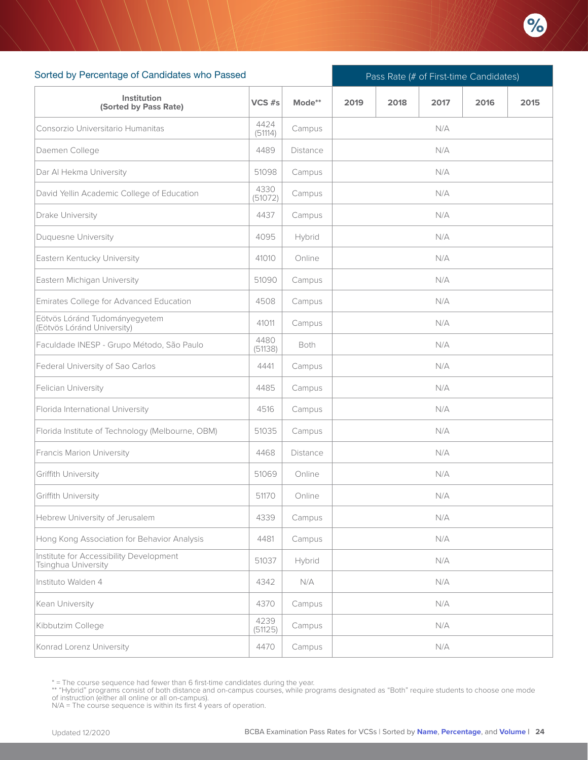

| Sorted by Percentage of Candidates who Passed                  |                 |                 |      |                                                                                                                                                                                        | Pass Rate (# of First-time Candidates) |  |  |  |  |  |  |
|----------------------------------------------------------------|-----------------|-----------------|------|----------------------------------------------------------------------------------------------------------------------------------------------------------------------------------------|----------------------------------------|--|--|--|--|--|--|
| Institution<br>(Sorted by Pass Rate)                           | $VCS$ #s        | Mode**          | 2019 | 2018<br>2017<br>2016<br>2015<br>N/A<br>N/A<br>N/A<br>N/A<br>N/A<br>N/A<br>N/A<br>N/A<br>N/A<br>N/A<br>N/A<br>N/A<br>N/A<br>N/A<br>N/A<br>N/A<br>N/A<br>N/A<br>N/A<br>N/A<br>N/A<br>N/A |                                        |  |  |  |  |  |  |
| Consorzio Universitario Humanitas                              | 4424<br>(51114) | Campus          |      |                                                                                                                                                                                        |                                        |  |  |  |  |  |  |
| Daemen College                                                 | 4489            | Distance        |      |                                                                                                                                                                                        |                                        |  |  |  |  |  |  |
| Dar Al Hekma University                                        | 51098           | Campus          |      |                                                                                                                                                                                        |                                        |  |  |  |  |  |  |
| David Yellin Academic College of Education                     | 4330<br>(51072) | Campus          |      |                                                                                                                                                                                        |                                        |  |  |  |  |  |  |
| Drake University                                               | 4437            | Campus          |      |                                                                                                                                                                                        |                                        |  |  |  |  |  |  |
| Duquesne University                                            | 4095            | Hybrid          |      |                                                                                                                                                                                        |                                        |  |  |  |  |  |  |
| Eastern Kentucky University                                    | 41010           | Online          |      |                                                                                                                                                                                        |                                        |  |  |  |  |  |  |
| Eastern Michigan University                                    | 51090           | Campus          |      |                                                                                                                                                                                        |                                        |  |  |  |  |  |  |
| Emirates College for Advanced Education                        | 4508            | Campus          |      |                                                                                                                                                                                        |                                        |  |  |  |  |  |  |
| Eötvös Lóránd Tudományegyetem<br>(Eötvös Lóránd University)    | 41011           | Campus          |      |                                                                                                                                                                                        |                                        |  |  |  |  |  |  |
| Faculdade INESP - Grupo Método, São Paulo                      | 4480<br>(51138) | Both            |      |                                                                                                                                                                                        |                                        |  |  |  |  |  |  |
| Federal University of Sao Carlos                               | 4441            | Campus          |      |                                                                                                                                                                                        |                                        |  |  |  |  |  |  |
| Felician University                                            | 4485            | Campus          |      |                                                                                                                                                                                        |                                        |  |  |  |  |  |  |
| Florida International University                               | 4516            | Campus          |      |                                                                                                                                                                                        |                                        |  |  |  |  |  |  |
| Florida Institute of Technology (Melbourne, OBM)               | 51035           | Campus          |      |                                                                                                                                                                                        |                                        |  |  |  |  |  |  |
| Francis Marion University                                      | 4468            | <b>Distance</b> |      |                                                                                                                                                                                        |                                        |  |  |  |  |  |  |
| Griffith University                                            | 51069           | Online          |      |                                                                                                                                                                                        |                                        |  |  |  |  |  |  |
| Griffith University                                            | 51170           | Online          |      |                                                                                                                                                                                        |                                        |  |  |  |  |  |  |
| Hebrew University of Jerusalem                                 | 4339            | Campus          |      |                                                                                                                                                                                        |                                        |  |  |  |  |  |  |
| Hong Kong Association for Behavior Analysis                    | 4481            | Campus          |      |                                                                                                                                                                                        |                                        |  |  |  |  |  |  |
| Institute for Accessibility Development<br>Tsinghua University | 51037           | Hybrid          |      |                                                                                                                                                                                        |                                        |  |  |  |  |  |  |
| Instituto Walden 4                                             | 4342            | N/A             |      |                                                                                                                                                                                        |                                        |  |  |  |  |  |  |
| Kean University                                                | 4370            | Campus          |      |                                                                                                                                                                                        | N/A                                    |  |  |  |  |  |  |
| Kibbutzim College                                              | 4239<br>(51125) | Campus          |      |                                                                                                                                                                                        | N/A                                    |  |  |  |  |  |  |
| Konrad Lorenz University                                       | 4470            | Campus          |      |                                                                                                                                                                                        | N/A                                    |  |  |  |  |  |  |

<sup>\* =</sup> The course sequence had fewer than 6 first-time candidates during the year.

<sup>\*\* &</sup>quot;Hybrid" programs consist of both distance and on-campus courses, while programs designated as "Both" require students to choose one mode<br>of instruction (either all online or all on-campus).<br>N/A = The course sequence is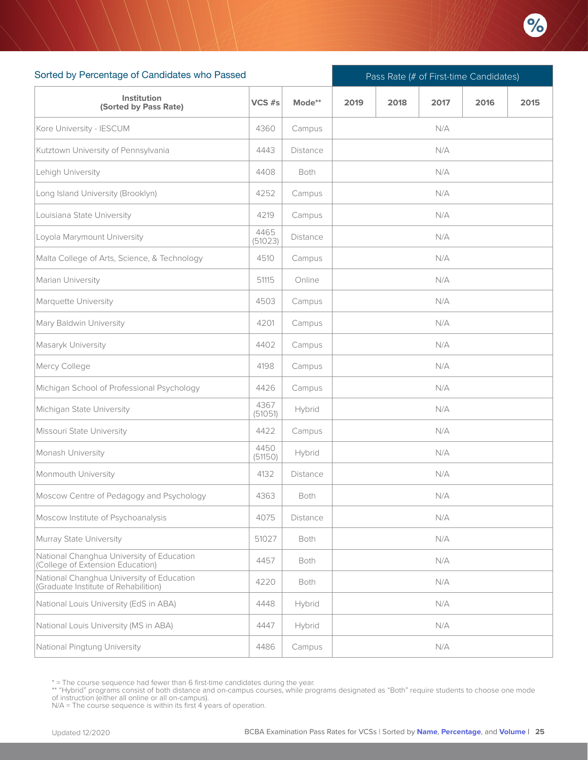

| Sorted by Percentage of Candidates who Passed                                     |                 |          |      | Pass Rate (# of First-time Candidates) |      |      |      |  |  |  |
|-----------------------------------------------------------------------------------|-----------------|----------|------|----------------------------------------|------|------|------|--|--|--|
| Institution<br>(Sorted by Pass Rate)                                              | VCS #s          | Mode**   | 2019 | 2018                                   | 2017 | 2016 | 2015 |  |  |  |
| Kore University - IESCUM                                                          | 4360            | Campus   |      |                                        | N/A  |      |      |  |  |  |
| Kutztown University of Pennsylvania                                               | 4443            | Distance |      |                                        | N/A  |      |      |  |  |  |
| Lehigh University                                                                 | 4408            | Both     | N/A  |                                        |      |      |      |  |  |  |
| Long Island University (Brooklyn)                                                 | 4252            | Campus   |      |                                        | N/A  |      |      |  |  |  |
| Louisiana State University                                                        | 4219            | Campus   |      |                                        | N/A  |      |      |  |  |  |
| Loyola Marymount University                                                       | 4465<br>(51023) | Distance |      |                                        | N/A  |      |      |  |  |  |
| Malta College of Arts, Science, & Technology                                      | 4510            | Campus   |      |                                        | N/A  |      |      |  |  |  |
| Marian University                                                                 | 51115           | Online   |      |                                        | N/A  |      |      |  |  |  |
| Marquette University                                                              | 4503            | Campus   |      |                                        | N/A  |      |      |  |  |  |
| Mary Baldwin University                                                           | 4201            | Campus   |      |                                        | N/A  |      |      |  |  |  |
| Masaryk University                                                                | 4402            | Campus   |      |                                        | N/A  |      |      |  |  |  |
| Mercy College                                                                     | 4198            | Campus   |      |                                        | N/A  |      |      |  |  |  |
| Michigan School of Professional Psychology                                        | 4426            | Campus   |      |                                        | N/A  |      |      |  |  |  |
| Michigan State University                                                         | 4367<br>(51051) | Hybrid   |      |                                        | N/A  |      |      |  |  |  |
| Missouri State University                                                         | 4422            | Campus   |      |                                        | N/A  |      |      |  |  |  |
| Monash University                                                                 | 4450<br>(51150) | Hybrid   |      |                                        | N/A  |      |      |  |  |  |
| Monmouth University                                                               | 4132            | Distance |      |                                        | N/A  |      |      |  |  |  |
| Moscow Centre of Pedagogy and Psychology                                          | 4363            | Both     |      |                                        | N/A  |      |      |  |  |  |
| Moscow Institute of Psychoanalysis                                                | 4075            | Distance |      |                                        | N/A  |      |      |  |  |  |
| Murray State University                                                           | 51027           | Both     |      |                                        | N/A  |      |      |  |  |  |
| National Changhua University of Education<br>(College of Extension Education)     | 4457            | Both     |      |                                        | N/A  |      |      |  |  |  |
| National Changhua University of Education<br>(Graduate Institute of Rehabilition) | 4220            | Both     |      |                                        | N/A  |      |      |  |  |  |
| National Louis University (EdS in ABA)                                            | 4448            | Hybrid   |      |                                        | N/A  |      |      |  |  |  |
| National Louis University (MS in ABA)                                             | 4447            | Hybrid   |      |                                        | N/A  |      |      |  |  |  |
| National Pingtung University                                                      | 4486            | Campus   |      |                                        | N/A  |      |      |  |  |  |

<sup>\* =</sup> The course sequence had fewer than 6 first-time candidates during the year.

<sup>\*\* &</sup>quot;Hybrid" programs consist of both distance and on-campus courses, while programs designated as "Both" require students to choose one mode<br>of instruction (either all online or all on-campus).<br>N/A = The course sequence is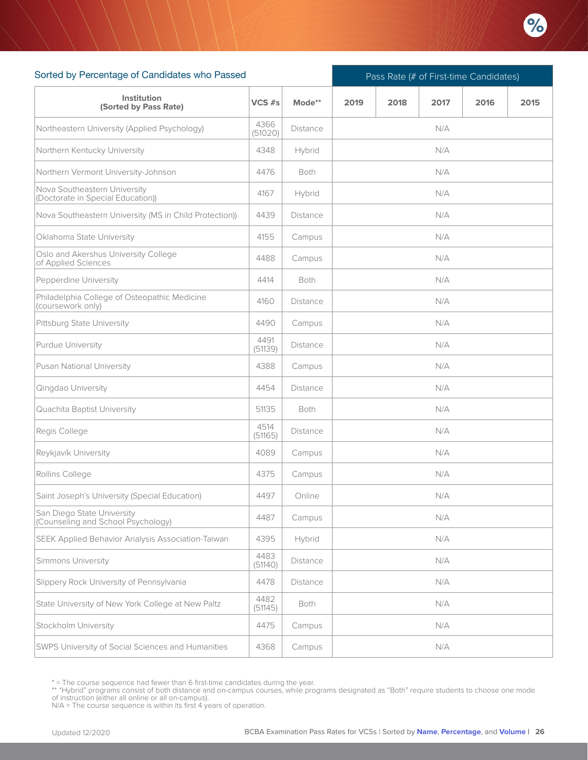

| Sorted by Percentage of Candidates who Passed                     |                 |                 |      | Pass Rate (# of First-time Candidates) |       |      |      |  |  |  |  |
|-------------------------------------------------------------------|-----------------|-----------------|------|----------------------------------------|-------|------|------|--|--|--|--|
| Institution<br>(Sorted by Pass Rate)                              | $VCS$ #s        | Mode**          | 2019 | 2018                                   | 2017  | 2016 | 2015 |  |  |  |  |
| Northeastern University (Applied Psychology)                      | 4366<br>(51020) | <b>Distance</b> |      |                                        | N/A   |      |      |  |  |  |  |
| Northern Kentucky University                                      | 4348            | Hybrid          |      |                                        | N/A   |      |      |  |  |  |  |
| Northern Vermont University-Johnson                               | 4476            | <b>Both</b>     | N/A  |                                        |       |      |      |  |  |  |  |
| Nova Southeastern University<br>(Doctorate in Special Education)) | 4167            | Hybrid          | N/A  |                                        |       |      |      |  |  |  |  |
| Nova Southeastern University (MS in Child Protection))            | 4439            | Distance        | N/A  |                                        |       |      |      |  |  |  |  |
| Oklahoma State University                                         | 4155            | Campus          | N/A  |                                        |       |      |      |  |  |  |  |
| Oslo and Akershus University College<br>of Applied Sciences       | 4488            | Campus          | N/A  |                                        |       |      |      |  |  |  |  |
| Pepperdine University                                             | 4414            | <b>Both</b>     |      |                                        | N/A   |      |      |  |  |  |  |
| Philadelphia College of Osteopathic Medicine<br>(coursework only) | 4160            | <b>Distance</b> |      |                                        | N/A   |      |      |  |  |  |  |
| Pittsburg State University                                        | 4490            | Campus          |      |                                        | N/A   |      |      |  |  |  |  |
| Purdue University                                                 | 4491<br>(51139) | Distance        |      |                                        | N/A   |      |      |  |  |  |  |
| Pusan National University                                         | 4388            | Campus          |      |                                        | N/A   |      |      |  |  |  |  |
| Qingdao University                                                | 4454            | <b>Distance</b> |      |                                        | N/A   |      |      |  |  |  |  |
| Quachita Baptist University                                       | 51135           | Both            |      |                                        | N/A   |      |      |  |  |  |  |
| Regis College                                                     | 4514<br>(51165) | Distance        |      |                                        | N/A   |      |      |  |  |  |  |
| Reykjavík University                                              | 4089            | Campus          |      |                                        | N/A   |      |      |  |  |  |  |
| Rollins College                                                   | 4375            | Campus          |      |                                        | N/A   |      |      |  |  |  |  |
| Saint Joseph's University (Special Education)                     | 4497            | Online          |      |                                        | $N/A$ |      |      |  |  |  |  |
| San Diego State University<br>(Counseling and School Psychology)  | 4487            | Campus          |      |                                        | N/A   |      |      |  |  |  |  |
| SEEK Applied Behavior Analysis Association-Taiwan                 | 4395            | Hybrid          |      |                                        | N/A   |      |      |  |  |  |  |
| Simmons University                                                | 4483<br>(51140) | <b>Distance</b> |      |                                        | N/A   |      |      |  |  |  |  |
| Slippery Rock University of Pennsylvania                          | 4478            | Distance        |      |                                        | N/A   |      |      |  |  |  |  |
| State University of New York College at New Paltz                 | 4482<br>(51145) | Both            |      |                                        | N/A   |      |      |  |  |  |  |
| Stockholm University                                              | 4475            | Campus          |      |                                        | N/A   |      |      |  |  |  |  |
| <b>SWPS University of Social Sciences and Humanities</b>          | 4368            | Campus          |      |                                        | N/A   |      |      |  |  |  |  |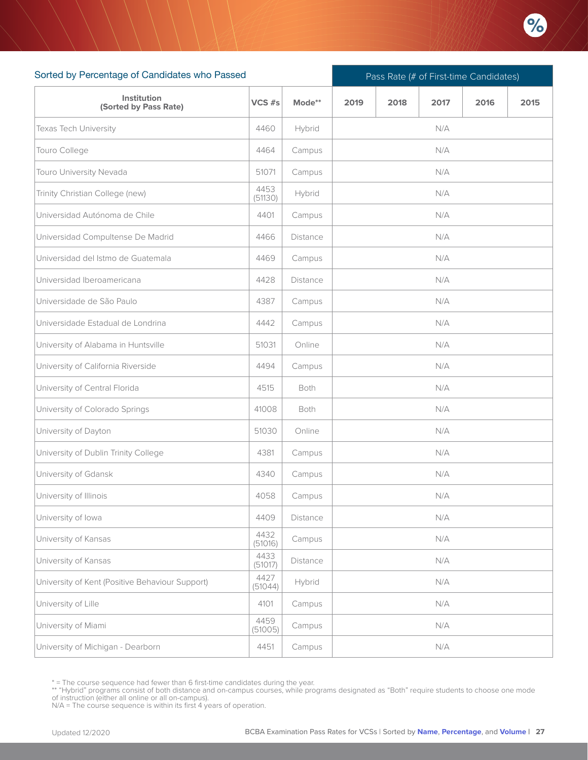

| Sorted by Percentage of Candidates who Passed   |                 |          | Pass Rate (# of First-time Candidates) |  |     |  |  |  |  |  |
|-------------------------------------------------|-----------------|----------|----------------------------------------|--|-----|--|--|--|--|--|
| Institution<br>(Sorted by Pass Rate)            | VCS #s          | Mode**   | 2015<br>2019<br>2018<br>2017<br>2016   |  |     |  |  |  |  |  |
| Texas Tech University                           | 4460            | Hybrid   |                                        |  | N/A |  |  |  |  |  |
| Touro College                                   | 4464            | Campus   | N/A                                    |  |     |  |  |  |  |  |
| Touro University Nevada                         | 51071           | Campus   |                                        |  | N/A |  |  |  |  |  |
| Trinity Christian College (new)                 | 4453<br>(51130) | Hybrid   |                                        |  | N/A |  |  |  |  |  |
| Universidad Autónoma de Chile                   | 4401            | Campus   |                                        |  | N/A |  |  |  |  |  |
| Universidad Compultense De Madrid               | 4466            | Distance | N/A                                    |  |     |  |  |  |  |  |
| Universidad del Istmo de Guatemala              | 4469            | Campus   |                                        |  | N/A |  |  |  |  |  |
| Universidad Iberoamericana                      | 4428            | Distance |                                        |  | N/A |  |  |  |  |  |
| Universidade de São Paulo                       | 4387            | Campus   |                                        |  | N/A |  |  |  |  |  |
| Universidade Estadual de Londrina               | 4442            | Campus   |                                        |  | N/A |  |  |  |  |  |
| University of Alabama in Huntsville             | 51031           | Online   |                                        |  | N/A |  |  |  |  |  |
| University of California Riverside              | 4494            | Campus   |                                        |  | N/A |  |  |  |  |  |
| University of Central Florida                   | 4515            | Both     |                                        |  | N/A |  |  |  |  |  |
| University of Colorado Springs                  | 41008           | Both     |                                        |  | N/A |  |  |  |  |  |
| University of Dayton                            | 51030           | Online   |                                        |  | N/A |  |  |  |  |  |
| University of Dublin Trinity College            | 4381            | Campus   |                                        |  | N/A |  |  |  |  |  |
| University of Gdansk                            | 4340            | Campus   |                                        |  | N/A |  |  |  |  |  |
| University of Illinois                          | 4058            | Campus   |                                        |  | N/A |  |  |  |  |  |
| University of Iowa                              | 4409            | Distance |                                        |  | N/A |  |  |  |  |  |
| University of Kansas                            | 4432<br>(51016) | Campus   |                                        |  | N/A |  |  |  |  |  |
| University of Kansas                            | 4433<br>(51017) | Distance |                                        |  | N/A |  |  |  |  |  |
| University of Kent (Positive Behaviour Support) | 4427<br>(51044) | Hybrid   | N/A                                    |  |     |  |  |  |  |  |
| University of Lille                             | 4101            | Campus   |                                        |  | N/A |  |  |  |  |  |
| University of Miami                             | 4459<br>(51005) | Campus   |                                        |  | N/A |  |  |  |  |  |
| University of Michigan - Dearborn               | 4451            | Campus   |                                        |  | N/A |  |  |  |  |  |

<sup>\* =</sup> The course sequence had fewer than 6 first-time candidates during the year.

<sup>\*\* &</sup>quot;Hybrid" programs consist of both distance and on-campus courses, while programs designated as "Both" require students to choose one mode<br>of instruction (either all online or all on-campus).<br>N/A = The course sequence is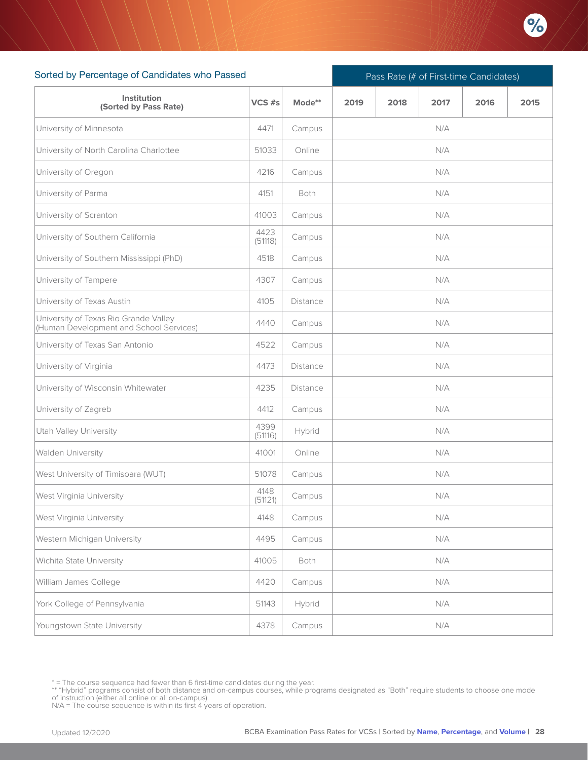

| Sorted by Percentage of Candidates who Passed                                    |                 |          |      | Pass Rate (# of First-time Candidates) |      |      |      |  |  |  |
|----------------------------------------------------------------------------------|-----------------|----------|------|----------------------------------------|------|------|------|--|--|--|
| Institution<br>(Sorted by Pass Rate)                                             | VCS #s          | Mode**   | 2019 | 2018                                   | 2017 | 2016 | 2015 |  |  |  |
| University of Minnesota                                                          | 4471            | Campus   |      |                                        | N/A  |      |      |  |  |  |
| University of North Carolina Charlottee                                          | 51033           | Online   |      |                                        | N/A  |      |      |  |  |  |
| University of Oregon                                                             | 4216            | Campus   |      |                                        | N/A  |      |      |  |  |  |
| University of Parma                                                              | 4151            | Both     | N/A  |                                        |      |      |      |  |  |  |
| University of Scranton                                                           | 41003           | Campus   | N/A  |                                        |      |      |      |  |  |  |
| University of Southern California                                                | 4423<br>(51118) | Campus   |      |                                        | N/A  |      |      |  |  |  |
| University of Southern Mississippi (PhD)                                         | 4518            | Campus   |      |                                        | N/A  |      |      |  |  |  |
| University of Tampere                                                            | 4307            | Campus   |      |                                        | N/A  |      |      |  |  |  |
| University of Texas Austin                                                       | 4105            | Distance |      |                                        | N/A  |      |      |  |  |  |
| University of Texas Rio Grande Valley<br>(Human Development and School Services) | 4440            | Campus   |      |                                        | N/A  |      |      |  |  |  |
| University of Texas San Antonio                                                  | 4522            | Campus   |      |                                        | N/A  |      |      |  |  |  |
| University of Virginia                                                           | 4473            | Distance |      |                                        | N/A  |      |      |  |  |  |
| University of Wisconsin Whitewater                                               | 4235            | Distance |      |                                        | N/A  |      |      |  |  |  |
| University of Zagreb                                                             | 4412            | Campus   |      |                                        | N/A  |      |      |  |  |  |
| <b>Utah Valley University</b>                                                    | 4399<br>(51116) | Hybrid   |      |                                        | N/A  |      |      |  |  |  |
| Walden University                                                                | 41001           | Online   |      |                                        | N/A  |      |      |  |  |  |
| West University of Timisoara (WUT)                                               | 51078           | Campus   |      |                                        | N/A  |      |      |  |  |  |
| West Virginia University                                                         | 4148<br>(51121) | Campus   |      |                                        | N/A  |      |      |  |  |  |
| West Virginia University                                                         | 4148            | Campus   |      |                                        | N/A  |      |      |  |  |  |
| Western Michigan University                                                      | 4495            | Campus   | N/A  |                                        |      |      |      |  |  |  |
| Wichita State University                                                         | 41005           | Both     | N/A  |                                        |      |      |      |  |  |  |
| William James College                                                            | 4420            | Campus   |      |                                        | N/A  |      |      |  |  |  |
| York College of Pennsylvania                                                     | 51143           | Hybrid   |      |                                        | N/A  |      |      |  |  |  |
| Youngstown State University                                                      | 4378            | Campus   |      |                                        | N/A  |      |      |  |  |  |

<sup>\* =</sup> The course sequence had fewer than 6 first-time candidates during the year.

<sup>\*\* &</sup>quot;Hybrid" programs consist of both distance and on-campus courses, while programs designated as "Both" require students to choose one mode<br>of instruction (either all online or all on-campus).<br>N/A = The course sequence is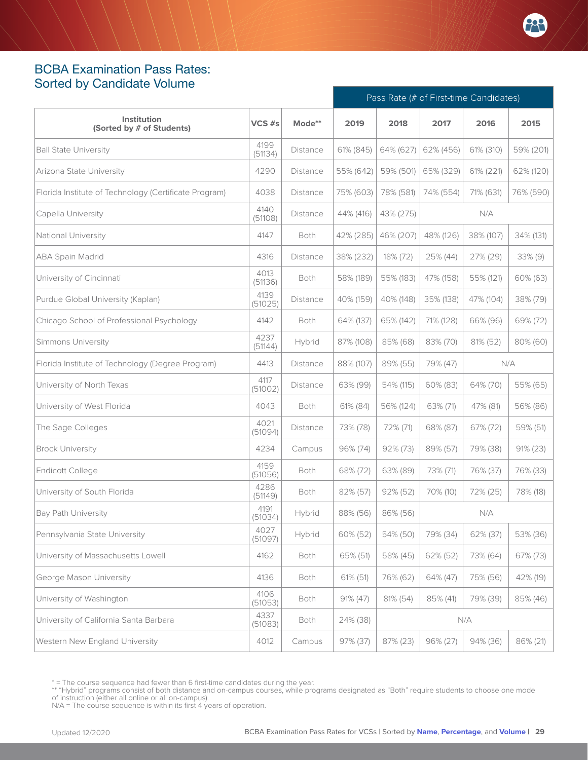#### <span id="page-28-0"></span>BCBA Examination Pass Rates: Sorted by Candidate Volume

|                                                       |                 |          | Pass Rate (# of First-time Candidates) |             |           |           |             |
|-------------------------------------------------------|-----------------|----------|----------------------------------------|-------------|-----------|-----------|-------------|
| Institution<br>(Sorted by # of Students)              | VCS #s          | Mode**   | 2019                                   | 2018        | 2017      | 2016      | 2015        |
| <b>Ball State University</b>                          | 4199<br>(51134) | Distance | 61% (845)                              | 64% (627)   | 62% (456) | 61% (310) | 59% (201)   |
| Arizona State University                              | 4290            | Distance | 55% (642)                              | 59% (501)   | 65% (329) | 61% (221) | 62% (120)   |
| Florida Institute of Technology (Certificate Program) | 4038            | Distance | 75% (603)                              | 78% (581)   | 74% (554) | 71% (631) | 76% (590)   |
| Capella University                                    | 4140<br>(51108) | Distance | 44% (416)                              | 43% (275)   |           | N/A       |             |
| National University                                   | 4147            | Both     | 42% (285)                              | 46% (207)   | 48% (126) | 38% (107) | 34% (131)   |
| ABA Spain Madrid                                      | 4316            | Distance | 38% (232)                              | 18% (72)    | 25% (44)  | 27% (29)  | 33% (9)     |
| University of Cincinnati                              | 4013<br>(51136) | Both     | 58% (189)                              | 55% (183)   | 47% (158) | 55% (121) | 60% (63)    |
| Purdue Global University (Kaplan)                     | 4139<br>(51025) | Distance | 40% (159)                              | 40% (148)   | 35% (138) | 47% (104) | 38% (79)    |
| Chicago School of Professional Psychology             | 4142            | Both     | 64% (137)                              | 65% (142)   | 71% (128) | 66% (96)  | 69% (72)    |
| <b>Simmons University</b>                             | 4237<br>(51144) | Hybrid   | 87% (108)                              | 85% (68)    | 83% (70)  | 81% (52)  | 80% (60)    |
| Florida Institute of Technology (Degree Program)      | 4413            | Distance | 88% (107)                              | 89% (55)    | 79% (47)  |           | N/A         |
| University of North Texas                             | 4117<br>(51002) | Distance | 63% (99)                               | 54% (115)   | 60% (83)  | 64% (70)  | 55% (65)    |
| University of West Florida                            | 4043            | Both     | 61% (84)                               | 56% (124)   | 63% (71)  | 47% (81)  | 56% (86)    |
| The Sage Colleges                                     | 4021<br>(51094) | Distance | 73% (78)                               | 72% (71)    | 68% (87)  | 67% (72)  | 59% (51)    |
| <b>Brock University</b>                               | 4234            | Campus   | 96% (74)                               | $92\% (73)$ | 89% (57)  | 79% (38)  | $91\% (23)$ |
| Endicott College                                      | 4159<br>(51056) | Both     | 68% (72)                               | 63% (89)    | 73% (71)  | 76% (37)  | 76% (33)    |
| University of South Florida                           | 4286<br>(51149) | Both     | 82% (57)                               | 92% (52)    | 70% (10)  | 72% (25)  | 78% (18)    |
| <b>Bay Path University</b>                            | 4191<br>(51034) | Hybrid   | 88% (56)                               | 86% (56)    |           | N/A       |             |
| Pennsylvania State University                         | 4027<br>(51097) | Hybrid   | 60% (52)                               | 54% (50)    | 79% (34)  | 62% (37)  | 53% (36)    |
| University of Massachusetts Lowell                    | 4162            | Both     | 65% (51)                               | 58% (45)    | 62% (52)  | 73% (64)  | 67% (73)    |
| George Mason University                               | 4136            | Both     | 61% (51)                               | 76% (62)    | 64% (47)  | 75% (56)  | 42% (19)    |
| University of Washington                              | 4106<br>(51053) | Both     | $91\% (47)$                            | 81% (54)    | 85% (41)  | 79% (39)  | 85% (46)    |
| University of California Santa Barbara                | 4337<br>(51083) | Both     | 24% (38)                               |             |           | N/A       |             |
| Western New England University                        | 4012            | Campus   | 97% (37)                               | 87% (23)    | 96% (27)  | 94% (36)  | 86% (21)    |

<sup>\* =</sup> The course sequence had fewer than 6 first-time candidates during the year.

<sup>\*\* &</sup>quot;Hybrid" programs consist of both distance and on-campus courses, while programs designated as "Both" require students to choose one mode<br>of instruction (either all online or all on-campus).<br>N/A = The course sequence is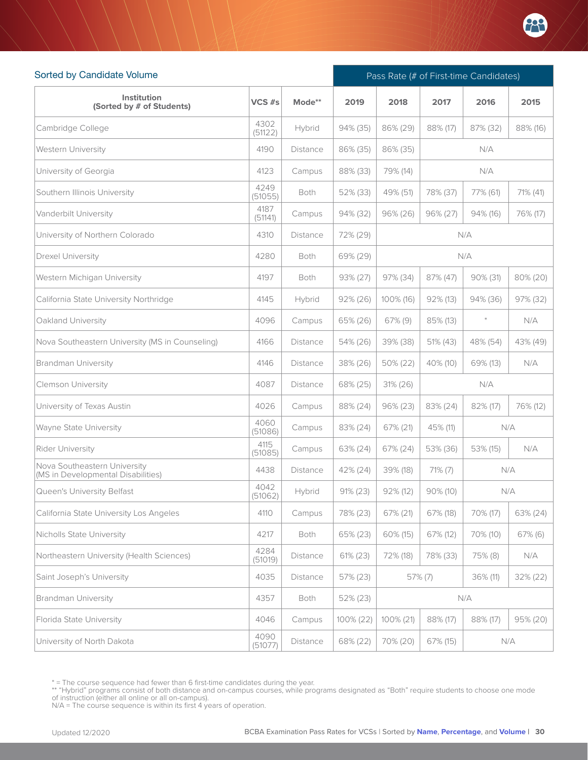

| Sorted by Candidate Volume                                         |                 |                 | Pass Rate (# of First-time Candidates) |             |             |          |          |  |
|--------------------------------------------------------------------|-----------------|-----------------|----------------------------------------|-------------|-------------|----------|----------|--|
| <b>Institution</b><br>(Sorted by # of Students)                    | VCS #s          | Mode**          | 2019                                   | 2018        | 2017        | 2016     | 2015     |  |
| Cambridge College                                                  | 4302<br>(51122) | Hybrid          | 94% (35)                               | 86% (29)    | 88% (17)    | 87% (32) | 88% (16) |  |
| <b>Western University</b>                                          | 4190            | <b>Distance</b> | 86% (35)                               | 86% (35)    |             | N/A      |          |  |
| University of Georgia                                              | 4123            | Campus          | 88% (33)                               | 79% (14)    |             | N/A      |          |  |
| Southern Illinois University                                       | 4249<br>(51055) | Both            | 52% (33)                               | 49% (51)    | 78% (37)    | 77% (61) | 71% (41) |  |
| Vanderbilt University                                              | 4187<br>(51141) | Campus          | 94% (32)                               | 96% (26)    | 96% (27)    | 94% (16) | 76% (17) |  |
| University of Northern Colorado                                    | 4310            | <b>Distance</b> | 72% (29)                               |             |             | N/A      |          |  |
| <b>Drexel University</b>                                           | 4280            | Both            | 69% (29)                               |             |             | N/A      |          |  |
| Western Michigan University                                        | 4197            | Both            | 93% (27)                               | 97% (34)    | 87% (47)    | 90% (31) | 80% (20) |  |
| California State University Northridge                             | 4145            | Hybrid          | $92\% (26)$                            | 100% (16)   | $92\%$ (13) | 94% (36) | 97% (32) |  |
| Oakland University                                                 | 4096            | Campus          | 65% (26)                               | $67\%$ (9)  | 85% (13)    | $\ast$   | N/A      |  |
| Nova Southeastern University (MS in Counseling)                    | 4166            | Distance        | 54% (26)                               | 39% (38)    | 51% (43)    | 48% (54) | 43% (49) |  |
| <b>Brandman University</b>                                         | 4146            | Distance        | 38% (26)                               | 50% (22)    | 40% (10)    | 69% (13) | N/A      |  |
| <b>Clemson University</b>                                          | 4087            | <b>Distance</b> | 68% (25)                               | 31% (26)    |             | N/A      |          |  |
| University of Texas Austin                                         | 4026            | Campus          | 88% (24)                               | 96% (23)    | 83% (24)    | 82% (17) | 76% (12) |  |
| Wayne State University                                             | 4060<br>(51086) | Campus          | 83% (24)                               | 67% (21)    | 45% (11)    |          | N/A      |  |
| Rider University                                                   | 4115<br>(51085) | Campus          | 63% (24)                               | 67% (24)    | 53% (36)    | 53% (15) | N/A      |  |
| Nova Southeastern University<br>(MS in Developmental Disabilities) | 4438            | <b>Distance</b> | 42% (24)                               | 39% (18)    | $71\% (7)$  |          | N/A      |  |
| Queen's University Belfast                                         | 4042<br>(51062) | Hybrid          | $91\% (23)$                            | $92\%$ (12) | $90\%$ (10) |          | N/A      |  |
| California State University Los Angeles                            | 4110            | Campus          | 78% (23)                               | 67% (21)    | 67% (18)    | 70% (17) | 63% (24) |  |
| Nicholls State University                                          | 4217            | Both            | 65% (23)                               | 60% (15)    | 67% (12)    | 70% (10) | 67% (6)  |  |
| Northeastern University (Health Sciences)                          | 4284<br>(51019) | Distance        | 61% (23)                               | 72% (18)    | 78% (33)    | 75% (8)  | N/A      |  |
| Saint Joseph's University                                          | 4035            | Distance        | 57% (23)                               |             | 57% (7)     | 36% (11) | 32% (22) |  |
| <b>Brandman University</b>                                         | 4357            | Both            | 52% (23)                               |             |             | N/A      |          |  |
| Florida State University                                           | 4046            | Campus          | 100% (22)                              | 100% (21)   | 88% (17)    | 88% (17) | 95% (20) |  |
| University of North Dakota                                         | 4090<br>(51077) | Distance        | 68% (22)                               | 70% (20)    | 67% (15)    |          | N/A      |  |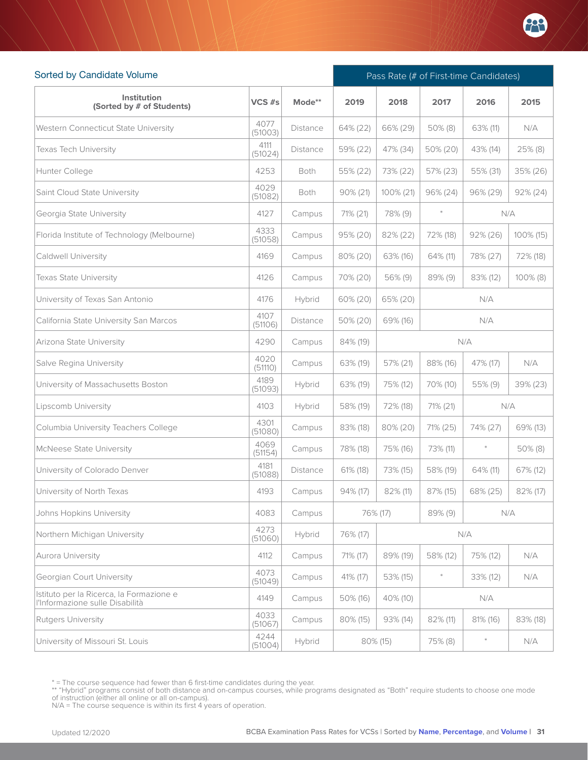

| Sorted by Candidate Volume                                                  |                 |          | Pass Rate (# of First-time Candidates) |             |            |             |             |  |
|-----------------------------------------------------------------------------|-----------------|----------|----------------------------------------|-------------|------------|-------------|-------------|--|
| Institution<br>(Sorted by # of Students)                                    | VCS #s          | Mode**   | 2019                                   | 2018        | 2017       | 2016        | 2015        |  |
| Western Connecticut State University                                        | 4077<br>(51003) | Distance | 64% (22)                               | 66% (29)    | $50\%$ (8) | 63% (11)    | N/A         |  |
| <b>Texas Tech University</b>                                                | 4111<br>(51024) | Distance | 59% (22)                               | 47% (34)    | 50% (20)   | 43% (14)    | 25% (8)     |  |
| Hunter College                                                              | 4253            | Both     | 55% (22)                               | 73% (22)    | 57% (23)   | 55% (31)    | 35% (26)    |  |
| Saint Cloud State University                                                | 4029<br>(51082) | Both     | 90% (21)                               | 100% (21)   | 96% (24)   | 96% (29)    | $92\% (24)$ |  |
| Georgia State University                                                    | 4127            | Campus   | 71% (21)                               | 78% (9)     | $\ast$     |             | N/A         |  |
| Florida Institute of Technology (Melbourne)                                 | 4333<br>(51058) | Campus   | 95% (20)                               | 82% (22)    | 72% (18)   | $92\% (26)$ | 100% (15)   |  |
| Caldwell University                                                         | 4169            | Campus   | 80% (20)                               | 63% (16)    | 64% (11)   | 78% (27)    | 72% (18)    |  |
| Texas State University                                                      | 4126            | Campus   | 70% (20)                               | 56% (9)     | 89% (9)    | 83% (12)    | 100% (8)    |  |
| University of Texas San Antonio                                             | 4176            | Hybrid   | 60% (20)                               | 65% (20)    |            | N/A         |             |  |
| California State University San Marcos                                      | 4107<br>(51106) | Distance | 50% (20)                               | 69% (16)    | N/A        |             |             |  |
| Arizona State University                                                    | 4290            | Campus   | 84% (19)                               |             | N/A        |             |             |  |
| Salve Regina University                                                     | 4020<br>(51110) | Campus   | 63% (19)                               | 57% (21)    | 88% (16)   | N/A         |             |  |
| University of Massachusetts Boston                                          | 4189<br>(51093) | Hybrid   | 63% (19)                               | 75% (12)    | 70% (10)   | 55% (9)     | 39% (23)    |  |
| Lipscomb University                                                         | 4103            | Hybrid   | 58% (19)                               | 72% (18)    | 71% (21)   |             | N/A         |  |
| Columbia University Teachers College                                        | 4301<br>(51080) | Campus   | 83% (18)                               | 80% (20)    | 71% (25)   | 74% (27)    | 69% (13)    |  |
| McNeese State University                                                    | 4069<br>(51154) | Campus   | 78% (18)                               | 75% (16)    | 73% (11)   | $\ast$      | $50\%$ (8)  |  |
| University of Colorado Denver                                               | 4181<br>(51088) | Distance | 61% (18)                               | 73% (15)    | 58% (19)   | 64% (11)    | 67% (12)    |  |
| University of North Texas                                                   | 4193            | Campus   | 94% (17)                               | $82\%$ (11) | 87% (15)   | 68% (25)    | 82% (17)    |  |
| Johns Hopkins University                                                    | 4083            | Campus   |                                        | 76% (17)    | 89% (9)    |             | N/A         |  |
| Northern Michigan University                                                | 4273<br>(51060) | Hybrid   | 76% (17)                               |             |            | N/A         |             |  |
| Aurora University                                                           | 4112            | Campus   | 71% (17)                               | 89% (19)    | 58% (12)   | 75% (12)    | N/A         |  |
| Georgian Court University                                                   | 4073<br>(51049) | Campus   | 41% (17)                               | 53% (15)    | $\ast$     | 33% (12)    | N/A         |  |
| Istituto per la Ricerca, la Formazione e<br>l'Informazione sulle Disabilità | 4149            | Campus   | 50% (16)                               | 40% (10)    |            | N/A         |             |  |
| <b>Rutgers University</b>                                                   | 4033<br>(51067) | Campus   | 80% (15)                               | 93% (14)    | 82% (11)   | 81% (16)    | 83% (18)    |  |
| University of Missouri St. Louis                                            | 4244<br>(51004) | Hybrid   |                                        | 80% (15)    | 75% (8)    | $\ast$      | N/A         |  |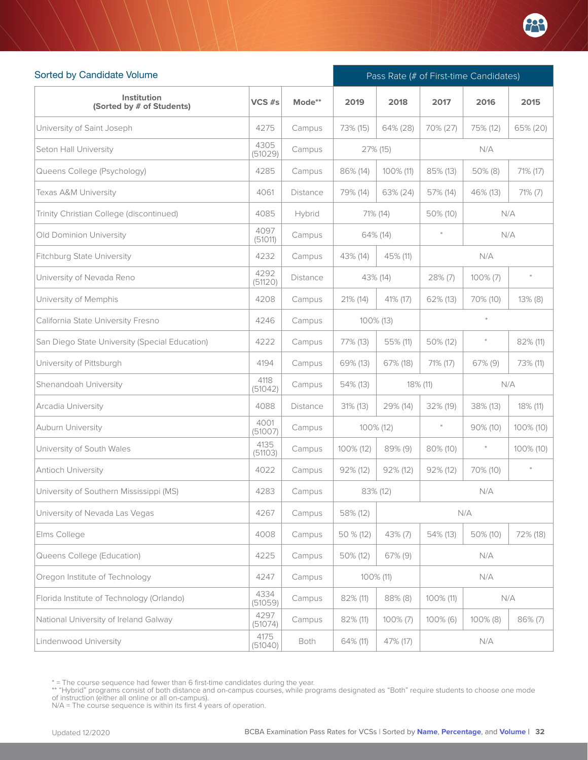

| Sorted by Candidate Volume                     |                 |                 | Pass Rate (# of First-time Candidates) |              |             |             |            |  |
|------------------------------------------------|-----------------|-----------------|----------------------------------------|--------------|-------------|-------------|------------|--|
| Institution<br>(Sorted by # of Students)       | VCS #s          | Mode**          | 2019                                   | 2018         | 2017        | 2016        | 2015       |  |
| University of Saint Joseph                     | 4275            | Campus          | 73% (15)                               | 64% (28)     | 70% (27)    | 75% (12)    | 65% (20)   |  |
| Seton Hall University                          | 4305<br>(51029) | Campus          |                                        | 27% (15)     |             | N/A         |            |  |
| Queens College (Psychology)                    | 4285            | Campus          | 86% (14)                               | 100% (11)    | 85% (13)    | $50\%$ (8)  | 71% (17)   |  |
| Texas A&M University                           | 4061            | <b>Distance</b> | 79% (14)                               | 63% (24)     | 57% (14)    | 46% (13)    | $71\%$ (7) |  |
| Trinity Christian College (discontinued)       | 4085            | Hybrid          |                                        | 71% (14)     | 50% (10)    |             | N/A        |  |
| Old Dominion University                        | 4097<br>(51011) | Campus          |                                        | 64% (14)     | $\ast$      |             | N/A        |  |
| <b>Fitchburg State University</b>              | 4232            | Campus          | 43% (14)                               | 45% (11)     |             | N/A         |            |  |
| University of Nevada Reno                      | 4292<br>(51120) | Distance        |                                        | 43% (14)     | 28% (7)     | $100\% (7)$ | $\ast$     |  |
| University of Memphis                          | 4208            | Campus          | 21% (14)                               | 41% (17)     | 62% (13)    | 70% (10)    | $13\%$ (8) |  |
| California State University Fresno             | 4246            | Campus          |                                        | $100\%$ (13) |             |             |            |  |
| San Diego State University (Special Education) | 4222            | Campus          | 77% (13)                               | 55% (11)     | 50% (12)    | $\ast$      | 82% (11)   |  |
| University of Pittsburgh                       | 4194            | Campus          | 69% (13)                               | 67% (18)     | 71% (17)    | $67\%$ (9)  | 73% (11)   |  |
| Shenandoah University                          | 4118<br>(51042) | Campus          | 54% (13)                               |              | 18% (11)    |             | N/A        |  |
| Arcadia University                             | 4088            | Distance        | $31\%$ (13)                            | 29% (14)     | 32% (19)    | 38% (13)    | 18% (11)   |  |
| Auburn University                              | 4001<br>(51007) | Campus          |                                        | 100% (12)    | $\ast$      | $90\%$ (10) | 100% (10)  |  |
| University of South Wales                      | 4135<br>(51103) | Campus          | 100% (12)                              | 89% (9)      | 80% (10)    | $\ast$      | 100% (10)  |  |
| Antioch University                             | 4022            | Campus          | $92\%$ (12)                            | $92\%$ (12)  | $92\%$ (12) | 70% (10)    | $\ast$     |  |
| University of Southern Mississippi (MS)        | 4283            | Campus          |                                        | 83% (12)     |             | N/A         |            |  |
| University of Nevada Las Vegas                 | 4267            | Campus          | 58% (12)                               |              |             | N/A         |            |  |
| Elms College                                   | 4008            | Campus          | 50 % (12)                              | 43% (7)      | 54% (13)    | 50% (10)    | 72% (18)   |  |
| Queens College (Education)                     | 4225            | Campus          | 50% (12)                               | 67% (9)      |             | N/A         |            |  |
| Oregon Institute of Technology                 | 4247            | Campus          |                                        | 100% (11)    |             | N/A         |            |  |
| Florida Institute of Technology (Orlando)      | 4334<br>(51059) | Campus          | 82% (11)                               | 88% (8)      | 100% (11)   |             | N/A        |  |
| National University of Ireland Galway          | 4297<br>(51074) | Campus          | 82% (11)                               | $100\%$ (7)  | 100% (6)    | $100\%$ (8) | 86% (7)    |  |
| Lindenwood University                          | 4175<br>(51040) | Both            | 64% (11)                               | 47% (17)     |             | N/A         |            |  |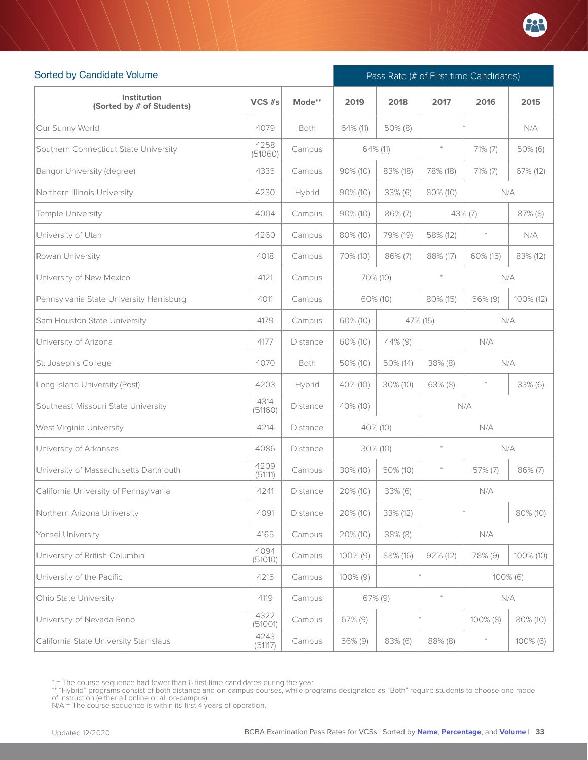

| Sorted by Candidate Volume               |                 |                 | Pass Rate (# of First-time Candidates) |             |                 |            |             |  |
|------------------------------------------|-----------------|-----------------|----------------------------------------|-------------|-----------------|------------|-------------|--|
| Institution<br>(Sorted by # of Students) | $VCS$ #s        | Mode**          | 2019                                   | 2018        | 2017            | 2016       | 2015        |  |
| Our Sunny World                          | 4079            | Both            | 64% (11)                               | 50% (8)     |                 |            | N/A         |  |
| Southern Connecticut State University    | 4258<br>(51060) | Campus          |                                        | 64% (11)    | $\ast$          | $71\% (7)$ | 50% (6)     |  |
| Bangor University (degree)               | 4335            | Campus          | $90\% (10)$                            | 83% (18)    | 78% (18)        | $71\%$ (7) | 67% (12)    |  |
| Northern Illinois University             | 4230            | Hybrid          | $90\%$ (10)                            | $33\%$ (6)  | 80% (10)        |            | N/A         |  |
| Temple University                        | 4004            | Campus          | 90% (10)                               | 86% (7)     |                 | 43% (7)    | 87% (8)     |  |
| University of Utah                       | 4260            | Campus          | 80% (10)                               | 79% (19)    | 58% (12)        | $\ast$     | N/A         |  |
| Rowan University                         | 4018            | Campus          | 70% (10)                               | 86% (7)     | 88% (17)        | 60% (15)   | 83% (12)    |  |
| University of New Mexico                 | 4121            | Campus          |                                        | 70% (10)    | $\ast$          |            | N/A         |  |
| Pennsylvania State University Harrisburg | 4011            | Campus          |                                        | 60% (10)    | 80% (15)        | 56% (9)    | 100% (12)   |  |
| Sam Houston State University             | 4179            | Campus          | 60% (10)                               |             | 47% (15)<br>N/A |            |             |  |
| University of Arizona                    | 4177            | <b>Distance</b> | 60% (10)                               | 44% (9)     | N/A             |            |             |  |
| St. Joseph's College                     | 4070            | Both            | 50% (10)                               | 50% (14)    | 38% (8)<br>N/A  |            |             |  |
| Long Island University (Post)            | 4203            | Hybrid          | 40% (10)                               | $30\%$ (10) | $63\%$ (8)      | $\ast$     | $33\%$ (6)  |  |
| Southeast Missouri State University      | 4314<br>(51160) | Distance        | 40% (10)                               |             |                 | N/A        |             |  |
| West Virginia University                 | 4214            | <b>Distance</b> |                                        | 40% (10)    |                 | N/A        |             |  |
| University of Arkansas                   | 4086            | Distance        |                                        | 30% (10)    | $\ast$          |            | N/A         |  |
| University of Massachusetts Dartmouth    | 4209<br>(51111) | Campus          | 30% (10)                               | 50% (10)    | $\ast$          | 57% (7)    | 86% (7)     |  |
| California University of Pennsylvania    | 4241            | Distance        | 20% (10)                               | 33% (6)     |                 | N/A        |             |  |
| Northern Arizona University              | 4091            | <b>Distance</b> | 20% (10)                               | 33% (12)    |                 |            | 80% (10)    |  |
| Yonsei University                        | 4165            | Campus          | $20\%$ (10)                            | 38% (8)     |                 | N/A        |             |  |
| University of British Columbia           | 4094<br>(51010) | Campus          | $100\%$ (9)                            | 88% (16)    | 92% (12)        | 78% (9)    | 100% (10)   |  |
| University of the Pacific                | 4215            | Campus          | 100% (9)                               |             |                 |            | 100% (6)    |  |
| Ohio State University                    | 4119            | Campus          |                                        | 67% (9)     |                 |            | N/A         |  |
| University of Nevada Reno                | 4322<br>(51001) | Campus          | 67% (9)                                |             | $\ast$          | 100% (8)   | 80% (10)    |  |
| California State University Stanislaus   | 4243<br>(51117) | Campus          | 56% (9)                                | 83% (6)     | 88% (8)         | $\ast$     | $100\%$ (6) |  |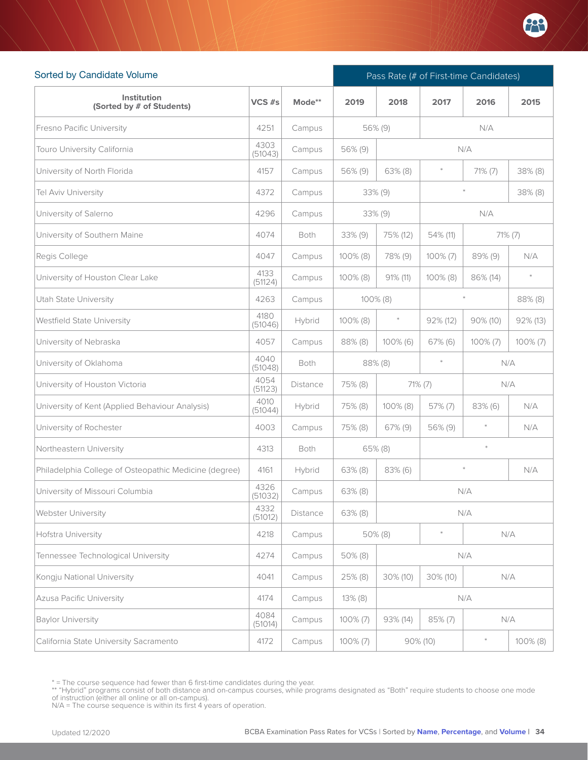

| Sorted by Candidate Volume                            |                 |          | Pass Rate (# of First-time Candidates) |             |               |            |             |
|-------------------------------------------------------|-----------------|----------|----------------------------------------|-------------|---------------|------------|-------------|
| Institution<br>(Sorted by # of Students)              | VCS #s          | Mode**   | 2019                                   | 2018        | 2017          | 2016       | 2015        |
| <b>Fresno Pacific University</b>                      | 4251            | Campus   |                                        | 56% (9)     |               | N/A        |             |
| Touro University California                           | 4303<br>(51043) | Campus   | 56% (9)                                |             |               | N/A        |             |
| University of North Florida                           | 4157            | Campus   | 56% (9)                                | $63\%$ (8)  | $\ast$        | 71% (7)    | 38% (8)     |
| Tel Aviv University                                   | 4372            | Campus   |                                        | $33\%$ (9)  |               |            | 38% (8)     |
| University of Salerno                                 | 4296            | Campus   |                                        | 33% (9)     |               | N/A        |             |
| University of Southern Maine                          | 4074            | Both     | $33\%$ (9)                             | 75% (12)    | 54% (11)      |            | 71% (7)     |
| Regis College                                         | 4047            | Campus   | 100% (8)                               | 78% (9)     | $100\% (7)$   | 89% (9)    | N/A         |
| University of Houston Clear Lake                      | 4133<br>(51124) | Campus   | $100\%$ (8)                            | $91\%$ (11) | $100\%$ (8)   | 86% (14)   | $\ast$      |
| Utah State University                                 | 4263            | Campus   |                                        | $100\%$ (8) |               |            | 88% (8)     |
| Westfield State University                            | 4180<br>(51046) | Hybrid   | 100% (8)                               | $\ast$      | $92\%$ (12)   | 90% (10)   | 92% (13)    |
| University of Nebraska                                | 4057            | Campus   | 88% (8)                                | $100\%$ (6) | $67\%$ (6)    | 100% (7)   | $100\% (7)$ |
| University of Oklahoma                                | 4040<br>(51048) | Both     |                                        | 88% (8)     | $\ast$<br>N/A |            |             |
| University of Houston Victoria                        | 4054<br>(51123) | Distance | 75% (8)                                |             | $71\% (7)$    |            | N/A         |
| University of Kent (Applied Behaviour Analysis)       | 4010<br>(51044) | Hybrid   | 75% (8)                                | 100% (8)    | 57% (7)       | $83\%$ (6) | N/A         |
| University of Rochester                               | 4003            | Campus   | 75% (8)                                | $67\%$ (9)  | 56% (9)       | $\ast$     | N/A         |
| Northeastern University                               | 4313            | Both     |                                        | $65\%$ (8)  |               | $\ast$     |             |
| Philadelphia College of Osteopathic Medicine (degree) | 4161            | Hybrid   | $63\%$ (8)                             | $83\%$ (6)  |               | $\ast$     | N/A         |
| University of Missouri Columbia                       | 4326<br>(51032) | Campus   | $63\%$ (8)                             |             |               | N/A        |             |
| Webster University                                    | 4332<br>(51012) | Distance | $63\%$ (8)                             |             |               | N/A        |             |
| Hofstra University                                    | 4218            | Campus   |                                        | 50% (8)     | $\ast$        |            | N/A         |
| Tennessee Technological University                    | 4274            | Campus   | 50% (8)                                |             |               | N/A        |             |
| Kongju National University                            | 4041            | Campus   | 25% (8)                                | $30\%$ (10) | 30% (10)      |            | N/A         |
| <b>Azusa Pacific University</b>                       | 4174            | Campus   | $13\%$ (8)                             |             |               | N/A        |             |
| <b>Baylor University</b>                              | 4084<br>(51014) | Campus   | $100\%$ (7)                            | $93\%$ (14) | 85% (7)       |            | N/A         |
| California State University Sacramento                | 4172            | Campus   | $100\% (7)$                            |             | 90% (10)      | $\ast$     | 100% (8)    |

<sup>\* =</sup> The course sequence had fewer than 6 first-time candidates during the year.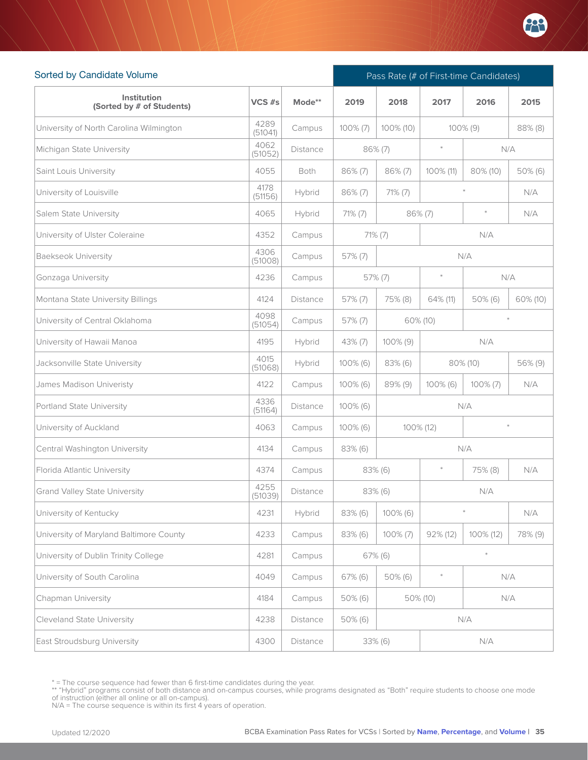

| Sorted by Candidate Volume               |                 | Pass Rate (# of First-time Candidates) |             |             |             |             |          |
|------------------------------------------|-----------------|----------------------------------------|-------------|-------------|-------------|-------------|----------|
| Institution<br>(Sorted by # of Students) | VCS #s          | Mode**                                 | 2019        | 2018        | 2017        | 2016        | 2015     |
| University of North Carolina Wilmington  | 4289<br>(51041) | Campus                                 | $100\%$ (7) | 100% (10)   |             | 100% (9)    | 88% (8)  |
| Michigan State University                | 4062<br>(51052) | <b>Distance</b>                        |             | $86\%$ (7)  | $\ast$      |             | N/A      |
| Saint Louis University                   | 4055            | Both                                   | 86% (7)     | 86% (7)     | 100% (11)   | 80% (10)    | 50% (6)  |
| University of Louisville                 | 4178<br>(51156) | Hybrid                                 | $86\%$ (7)  | $71\% (7)$  |             |             | N/A      |
| Salem State University                   | 4065            | Hybrid                                 | 71% (7)     |             | $86\%$ (7)  |             | N/A      |
| University of Ulster Coleraine           | 4352            | Campus                                 |             | $71\%$ (7)  |             | N/A         |          |
| <b>Baekseok University</b>               | 4306<br>(51008) | Campus                                 | 57% (7)     |             |             | N/A         |          |
| Gonzaga University                       | 4236            | Campus                                 |             | 57% (7)     | $\ast$      |             | N/A      |
| Montana State University Billings        | 4124            | <b>Distance</b>                        | 57% (7)     | 75% (8)     | 64% (11)    | $50\%$ (6)  | 60% (10) |
| University of Central Oklahoma           | 4098<br>(51054) | Campus                                 | 57% (7)     |             | 60% (10)    |             |          |
| University of Hawaii Manoa               | 4195            | Hybrid                                 | 43% (7)     | 100% (9)    |             |             |          |
| Jacksonville State University            | 4015<br>(51068) | Hybrid                                 | 100% (6)    | 83% (6)     | 80% (10)    | 56% (9)     |          |
| James Madison Univeristy                 | 4122            | Campus                                 | 100% (6)    | 89% (9)     | $100\%$ (6) | $100\% (7)$ | N/A      |
| Portland State University                | 4336<br>(51164) | Distance                               | 100% (6)    |             |             | N/A         |          |
| University of Auckland                   | 4063            | Campus                                 | $100\%$ (6) |             | 100% (12)   |             | $\ast$   |
| Central Washington University            | 4134            | Campus                                 | $83\%$ (6)  |             |             | N/A         |          |
| Florida Atlantic University              | 4374            | Campus                                 |             | 83% (6)     | $\ast$      | 75% (8)     | N/A      |
| <b>Grand Valley State University</b>     | 4255<br>(51039) | <b>Distance</b>                        |             | $83\%$ (6)  |             | N/A         |          |
| University of Kentucky                   | 4231            | Hybrid                                 | 83% (6)     | 100% (6)    |             |             | N/A      |
| University of Maryland Baltimore County  | 4233            | Campus                                 | 83% (6)     | $100\% (7)$ | 92% (12)    | 100% (12)   | 78% (9)  |
| University of Dublin Trinity College     | 4281            | Campus                                 |             | $67\%$ (6)  |             | $\ast$      |          |
| University of South Carolina             | 4049            | Campus                                 | $67\%$ (6)  | 50% (6)     |             |             | N/A      |
| Chapman University                       | 4184            | Campus                                 | 50% (6)     |             | 50% (10)    |             | N/A      |
| <b>Cleveland State University</b>        | 4238            | Distance                               | $50\%$ (6)  |             |             | N/A         |          |
| East Stroudsburg University              | 4300            | Distance                               |             | 33% (6)     |             | N/A         |          |

<sup>\* =</sup> The course sequence had fewer than 6 first-time candidates during the year.

<sup>\*\* &</sup>quot;Hybrid" programs consist of both distance and on-campus courses, while programs designated as "Both" require students to choose one mode<br>of instruction (either all online or all on-campus).<br>N/A = The course sequence is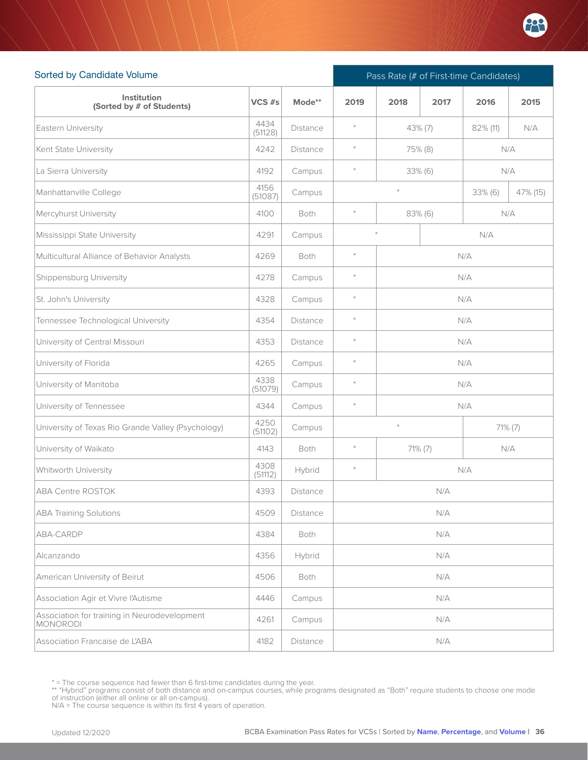

| Sorted by Candidate Volume                               |                 |                 |        | Pass Rate (# of First-time Candidates) |                           |          |              |  |  |  |
|----------------------------------------------------------|-----------------|-----------------|--------|----------------------------------------|---------------------------|----------|--------------|--|--|--|
| Institution<br>(Sorted by # of Students)                 | VCS $#s$        | Mode**          | 2019   | 2018                                   | 2017                      | 2016     | 2015         |  |  |  |
| Eastern University                                       | 4434<br>(51128) | <b>Distance</b> | $\ast$ | 43% (7)                                |                           | 82% (11) | N/A          |  |  |  |
| Kent State University                                    | 4242            | <b>Distance</b> | $\ast$ |                                        | 75% (8)                   |          | N/A          |  |  |  |
| La Sierra University                                     | 4192            | Campus          | $\ast$ |                                        | 33% (6)                   |          | N/A          |  |  |  |
| Manhattanville College                                   | 4156<br>(51087) | Campus          |        | $\ast$                                 |                           | 33% (6)  | 47% (15)     |  |  |  |
| Mercyhurst University                                    | 4100            | Both            | $\ast$ | N/A<br>$83\%$ (6)                      |                           |          |              |  |  |  |
| Mississippi State University                             | 4291            | Campus          |        | $\ast$                                 |                           | N/A      |              |  |  |  |
| Multicultural Alliance of Behavior Analysts              | 4269            | Both            | $\ast$ | N/A                                    |                           |          |              |  |  |  |
| Shippensburg University                                  | 4278            | Campus          | $\ast$ | N/A                                    |                           |          |              |  |  |  |
| St. John's University                                    | 4328            | Campus          | $\ast$ | N/A                                    |                           |          |              |  |  |  |
| Tennessee Technological University                       | 4354            | Distance        | $\ast$ | N/A                                    |                           |          |              |  |  |  |
| University of Central Missouri                           | 4353            | Distance        | $\ast$ | N/A                                    |                           |          |              |  |  |  |
| University of Florida                                    | 4265            | Campus          | $\ast$ | N/A                                    |                           |          |              |  |  |  |
| University of Manitoba                                   | 4338<br>(51079) | Campus          | $\ast$ |                                        |                           | N/A      |              |  |  |  |
| University of Tennessee                                  | 4344            | Campus          | $\ast$ |                                        |                           | N/A      |              |  |  |  |
| University of Texas Rio Grande Valley (Psychology)       | 4250<br>(51102) | Campus          |        | $\ast$                                 |                           |          | $71\%$ $(7)$ |  |  |  |
| University of Waikato                                    | 4143            | Both            | $\ast$ | 71% (7)                                |                           |          | N/A          |  |  |  |
| Whitworth University                                     | 4308<br>(51112) | Hybrid          | $\ast$ |                                        |                           | N/A      |              |  |  |  |
| ABA Centre ROSTOK                                        | 4393            | Distance        |        |                                        | ${\mathsf N}/{\mathsf A}$ |          |              |  |  |  |
| <b>ABA Training Solutions</b>                            | 4509            | Distance        |        |                                        | N/A                       |          |              |  |  |  |
| ABA-CARDP                                                | 4384            | Both            |        |                                        | N/A                       |          |              |  |  |  |
| Alcanzando                                               | 4356            | Hybrid          |        |                                        | N/A                       |          |              |  |  |  |
| American University of Beirut                            | 4506            | Both            |        |                                        | N/A                       |          |              |  |  |  |
| Association Agir et Vivre l'Autisme                      | 4446            | Campus          |        |                                        | N/A                       |          |              |  |  |  |
| Association for training in Neurodevelopment<br>MONORODI | 4261            | Campus          |        |                                        | N/A                       |          |              |  |  |  |
| Association Francaise de L'ABA                           | 4182            | Distance        |        |                                        | N/A                       |          |              |  |  |  |

<sup>\* =</sup> The course sequence had fewer than 6 first-time candidates during the year.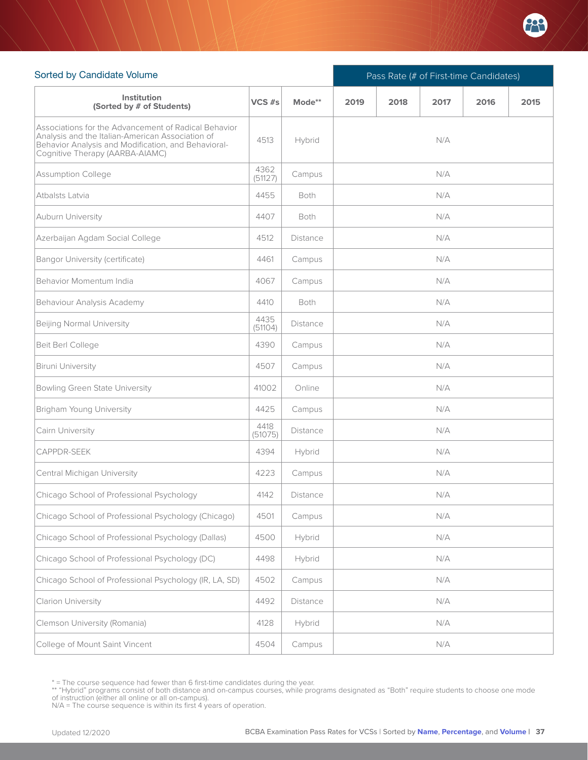

| Sorted by Candidate Volume                                                                                                                                                                         |                 |                 | Pass Rate (# of First-time Candidates) |      |      |      |      |  |
|----------------------------------------------------------------------------------------------------------------------------------------------------------------------------------------------------|-----------------|-----------------|----------------------------------------|------|------|------|------|--|
| <b>Institution</b><br>(Sorted by # of Students)                                                                                                                                                    | $VCS$ #s        | Mode**          | 2019                                   | 2018 | 2017 | 2016 | 2015 |  |
| Associations for the Advancement of Radical Behavior<br>Analysis and the Italian-American Association of<br>Behavior Analysis and Modification, and Behavioral-<br>Cognitive Therapy (AARBA-AIAMC) | 4513            | Hybrid          |                                        |      | N/A  |      |      |  |
| Assumption College                                                                                                                                                                                 | 4362<br>(51127) | Campus          |                                        |      | N/A  |      |      |  |
| Atbalsts Latvia                                                                                                                                                                                    | 4455            | <b>Both</b>     |                                        |      | N/A  |      |      |  |
| Auburn University                                                                                                                                                                                  | 4407            | Both            |                                        |      | N/A  |      |      |  |
| Azerbaijan Agdam Social College                                                                                                                                                                    | 4512            | <b>Distance</b> |                                        |      | N/A  |      |      |  |
| Bangor University (certificate)                                                                                                                                                                    | 4461            | Campus          |                                        |      | N/A  |      |      |  |
| Behavior Momentum India                                                                                                                                                                            | 4067            | Campus          |                                        |      | N/A  |      |      |  |
| Behaviour Analysis Academy                                                                                                                                                                         | 4410            | Both            |                                        |      | N/A  |      |      |  |
| Beijing Normal University                                                                                                                                                                          | 4435<br>(51104) | <b>Distance</b> |                                        |      | N/A  |      |      |  |
| Beit Berl College                                                                                                                                                                                  | 4390            | Campus          |                                        |      | N/A  |      |      |  |
| <b>Biruni University</b>                                                                                                                                                                           | 4507            | Campus          | N/A                                    |      |      |      |      |  |
| Bowling Green State University                                                                                                                                                                     | 41002           | Online          |                                        |      | N/A  |      |      |  |
| Brigham Young University                                                                                                                                                                           | 4425            | Campus          |                                        |      | N/A  |      |      |  |
| Cairn University                                                                                                                                                                                   | 4418<br>(51075) | Distance        |                                        |      | N/A  |      |      |  |
| <b>CAPPDR-SEEK</b>                                                                                                                                                                                 | 4394            | Hybrid          |                                        |      | N/A  |      |      |  |
| Central Michigan University                                                                                                                                                                        | 4223            | Campus          |                                        |      | N/A  |      |      |  |
| Chicago School of Professional Psychology                                                                                                                                                          | 4142            | Distance        |                                        |      | N/A  |      |      |  |
| Chicago School of Professional Psychology (Chicago)                                                                                                                                                | 4501            | Campus          | N/A                                    |      |      |      |      |  |
| Chicago School of Professional Psychology (Dallas)                                                                                                                                                 | 4500            | Hybrid          | N/A                                    |      |      |      |      |  |
| Chicago School of Professional Psychology (DC)                                                                                                                                                     | 4498            | Hybrid          | N/A                                    |      |      |      |      |  |
| Chicago School of Professional Psychology (IR, LA, SD)                                                                                                                                             | 4502            | Campus          |                                        |      | N/A  |      |      |  |
| Clarion University                                                                                                                                                                                 | 4492            | Distance        |                                        |      | N/A  |      |      |  |
| Clemson University (Romania)                                                                                                                                                                       | 4128            | Hybrid          |                                        |      | N/A  |      |      |  |
| College of Mount Saint Vincent                                                                                                                                                                     | 4504            | Campus          |                                        |      | N/A  |      |      |  |

<sup>\* =</sup> The course sequence had fewer than 6 first-time candidates during the year.

<sup>\*\* &</sup>quot;Hybrid" programs consist of both distance and on-campus courses, while programs designated as "Both" require students to choose one mode<br>of instruction (either all online or all on-campus).<br>N/A = The course sequence is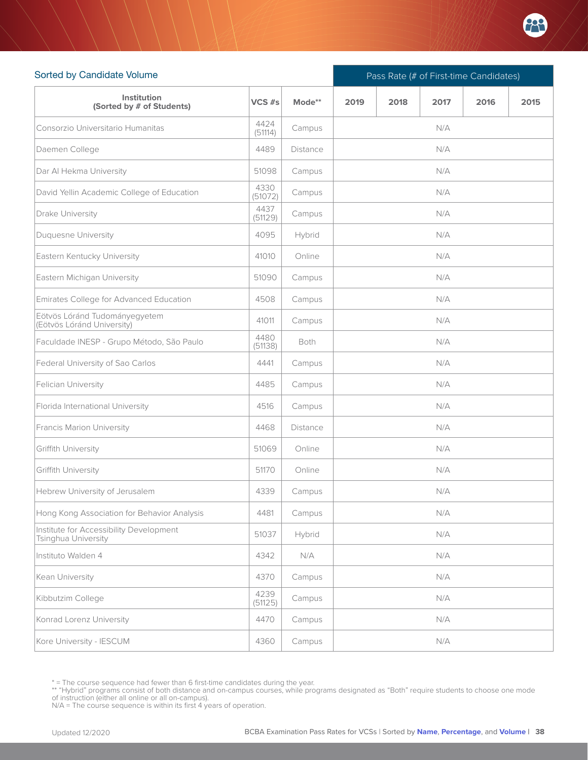

| Sorted by Candidate Volume                                     |                 |                 | Pass Rate (# of First-time Candidates) |  |     |  |  |  |  |  |
|----------------------------------------------------------------|-----------------|-----------------|----------------------------------------|--|-----|--|--|--|--|--|
| Institution<br>(Sorted by # of Students)                       | $VCS$ #s        | Mode**          | 2019<br>2018<br>2017<br>2016<br>2015   |  |     |  |  |  |  |  |
| Consorzio Universitario Humanitas                              | 4424<br>(51114) | Campus          |                                        |  | N/A |  |  |  |  |  |
| Daemen College                                                 | 4489            | <b>Distance</b> |                                        |  | N/A |  |  |  |  |  |
| Dar Al Hekma University                                        | 51098           | Campus          | N/A                                    |  |     |  |  |  |  |  |
| David Yellin Academic College of Education                     | 4330<br>(51072) | Campus          |                                        |  | N/A |  |  |  |  |  |
| Drake University                                               | 4437<br>(51129) | Campus          |                                        |  | N/A |  |  |  |  |  |
| Duquesne University                                            | 4095            | Hybrid          |                                        |  | N/A |  |  |  |  |  |
| Eastern Kentucky University                                    | 41010           | Online          |                                        |  | N/A |  |  |  |  |  |
| Eastern Michigan University                                    | 51090           | Campus          |                                        |  | N/A |  |  |  |  |  |
| Emirates College for Advanced Education                        | 4508            | Campus          |                                        |  | N/A |  |  |  |  |  |
| Eötvös Lóránd Tudományegyetem<br>(Eötvös Lóránd University)    | 41011           | Campus          |                                        |  | N/A |  |  |  |  |  |
| Faculdade INESP - Grupo Método, São Paulo                      | 4480<br>(51138) | Both            | N/A                                    |  |     |  |  |  |  |  |
| Federal University of Sao Carlos                               | 4441            | Campus          |                                        |  | N/A |  |  |  |  |  |
| Felician University                                            | 4485            | Campus          |                                        |  | N/A |  |  |  |  |  |
| Florida International University                               | 4516            | Campus          |                                        |  | N/A |  |  |  |  |  |
| Francis Marion University                                      | 4468            | <b>Distance</b> |                                        |  | N/A |  |  |  |  |  |
| Griffith University                                            | 51069           | Online          |                                        |  | N/A |  |  |  |  |  |
| Griffith University                                            | 51170           | Online          |                                        |  | N/A |  |  |  |  |  |
| Hebrew University of Jerusalem                                 | 4339            | Campus          |                                        |  | N/A |  |  |  |  |  |
| Hong Kong Association for Behavior Analysis                    | 4481            | Campus          | N/A                                    |  |     |  |  |  |  |  |
| Institute for Accessibility Development<br>Tsinghua University | 51037           | Hybrid          | N/A                                    |  |     |  |  |  |  |  |
| Instituto Walden 4                                             | 4342            | N/A             | N/A                                    |  |     |  |  |  |  |  |
| Kean University                                                | 4370            | Campus          | N/A                                    |  |     |  |  |  |  |  |
| Kibbutzim College                                              | 4239<br>(51125) | Campus          |                                        |  | N/A |  |  |  |  |  |
| Konrad Lorenz University                                       | 4470            | Campus          |                                        |  | N/A |  |  |  |  |  |
| Kore University - IESCUM                                       | 4360            | Campus          |                                        |  | N/A |  |  |  |  |  |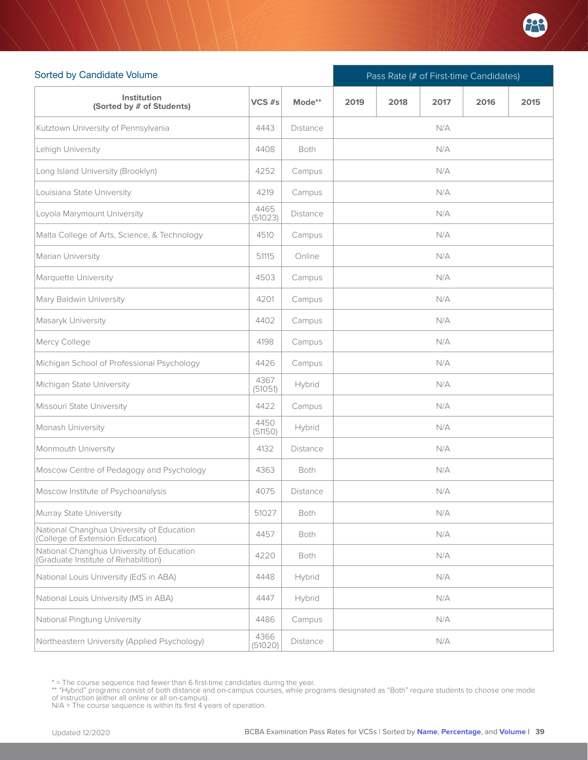

| Sorted by Candidate Volume                                                        |                 |                 | Pass Rate (# of First-time Candidates) |      |      |      |      |  |  |
|-----------------------------------------------------------------------------------|-----------------|-----------------|----------------------------------------|------|------|------|------|--|--|
| Institution<br>(Sorted by # of Students)                                          | VCS #s          | Mode**          | 2019                                   | 2018 | 2017 | 2016 | 2015 |  |  |
| Kutztown University of Pennsylvania                                               | 4443            | <b>Distance</b> |                                        |      | N/A  |      |      |  |  |
| Lehigh University                                                                 | 4408            | Both            |                                        |      | N/A  |      |      |  |  |
| Long Island University (Brooklyn)                                                 | 4252            | Campus          |                                        |      | N/A  |      |      |  |  |
| Louisiana State University                                                        | 4219            | Campus          | N/A                                    |      |      |      |      |  |  |
| Loyola Marymount University                                                       | 4465<br>(51023) | <b>Distance</b> |                                        |      | N/A  |      |      |  |  |
| Malta College of Arts, Science, & Technology                                      | 4510            | Campus          |                                        |      | N/A  |      |      |  |  |
| Marian University                                                                 | 51115           | Online          |                                        |      | N/A  |      |      |  |  |
| Marquette University                                                              | 4503            | Campus          |                                        |      | N/A  |      |      |  |  |
| Mary Baldwin University                                                           | 4201            | Campus          |                                        |      | N/A  |      |      |  |  |
| Masaryk University                                                                | 4402            | Campus          |                                        |      | N/A  |      |      |  |  |
| Mercy College                                                                     | 4198            | Campus          |                                        |      | N/A  |      |      |  |  |
| Michigan School of Professional Psychology                                        | 4426            | Campus          | N/A                                    |      |      |      |      |  |  |
| Michigan State University                                                         | 4367<br>(51051) | Hybrid          |                                        |      | N/A  |      |      |  |  |
| Missouri State University                                                         | 4422            | Campus          |                                        |      | N/A  |      |      |  |  |
| Monash University                                                                 | 4450<br>(51150) | Hybrid          |                                        |      | N/A  |      |      |  |  |
| Monmouth University                                                               | 4132            | <b>Distance</b> |                                        |      | N/A  |      |      |  |  |
| Moscow Centre of Pedagogy and Psychology                                          | 4363            | Both            |                                        |      | N/A  |      |      |  |  |
| Moscow Institute of Psychoanalysis                                                | 4075            | Distance        |                                        |      | N/A  |      |      |  |  |
| Murray State University                                                           | 51027           | Both            |                                        |      | N/A  |      |      |  |  |
| National Changhua University of Education<br>(College of Extension Education)     | 4457            | Both            |                                        |      | N/A  |      |      |  |  |
| National Changhua University of Education<br>(Graduate Institute of Rehabilition) | 4220            | Both            |                                        |      | N/A  |      |      |  |  |
| National Louis University (EdS in ABA)                                            | 4448            | Hybrid          |                                        |      | N/A  |      |      |  |  |
| National Louis University (MS in ABA)                                             | 4447            | Hybrid          |                                        |      | N/A  |      |      |  |  |
| National Pingtung University                                                      | 4486            | Campus          |                                        |      | N/A  |      |      |  |  |
| Northeastern University (Applied Psychology)                                      | 4366<br>(51020) | Distance        |                                        |      | N/A  |      |      |  |  |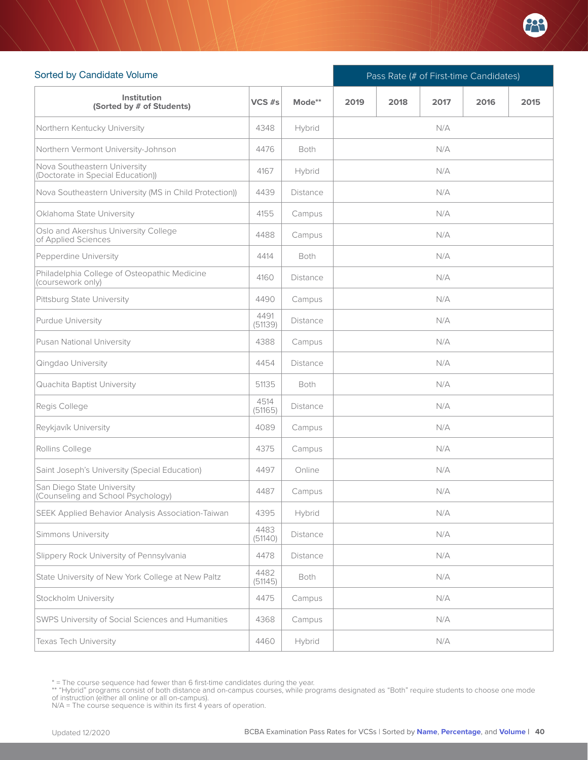

| Sorted by Candidate Volume                                        |                 |             | Pass Rate (# of First-time Candidates) |      |      |      |      |  |  |
|-------------------------------------------------------------------|-----------------|-------------|----------------------------------------|------|------|------|------|--|--|
| Institution<br>(Sorted by # of Students)                          | VCS #s          | Mode**      | 2019                                   | 2018 | 2017 | 2016 | 2015 |  |  |
| Northern Kentucky University                                      | 4348            | Hybrid      |                                        |      | N/A  |      |      |  |  |
| Northern Vermont University-Johnson                               | 4476            | Both        |                                        |      | N/A  |      |      |  |  |
| Nova Southeastern University<br>(Doctorate in Special Education)) | 4167            | Hybrid      |                                        |      | N/A  |      |      |  |  |
| Nova Southeastern University (MS in Child Protection))            | 4439            | Distance    | N/A                                    |      |      |      |      |  |  |
| Oklahoma State University                                         | 4155            | Campus      |                                        |      | N/A  |      |      |  |  |
| Oslo and Akershus University College<br>of Applied Sciences       | 4488            | Campus      |                                        |      | N/A  |      |      |  |  |
| Pepperdine University                                             | 4414            | Both        |                                        |      | N/A  |      |      |  |  |
| Philadelphia College of Osteopathic Medicine<br>(coursework only) | 4160            | Distance    |                                        |      | N/A  |      |      |  |  |
| Pittsburg State University                                        | 4490            | Campus      |                                        |      | N/A  |      |      |  |  |
| Purdue University                                                 | 4491<br>(51139) | Distance    |                                        |      | N/A  |      |      |  |  |
| Pusan National University                                         | 4388            | Campus      |                                        |      | N/A  |      |      |  |  |
| Qingdao University                                                | 4454            | Distance    | N/A                                    |      |      |      |      |  |  |
| Quachita Baptist University                                       | 51135           | <b>Both</b> |                                        |      | N/A  |      |      |  |  |
| Regis College                                                     | 4514<br>(51165) | Distance    |                                        |      | N/A  |      |      |  |  |
| Reykjavík University                                              | 4089            | Campus      |                                        |      | N/A  |      |      |  |  |
| Rollins College                                                   | 4375            | Campus      |                                        |      | N/A  |      |      |  |  |
| Saint Joseph's University (Special Education)                     | 4497            | Online      |                                        |      | N/A  |      |      |  |  |
| San Diego State University<br>(Counseling and School Psychology)  | 4487            | Campus      |                                        |      | N/A  |      |      |  |  |
| SEEK Applied Behavior Analysis Association-Taiwan                 | 4395            | Hybrid      | N/A                                    |      |      |      |      |  |  |
| Simmons University                                                | 4483<br>(51140) | Distance    |                                        |      | N/A  |      |      |  |  |
| Slippery Rock University of Pennsylvania                          | 4478            | Distance    |                                        |      | N/A  |      |      |  |  |
| State University of New York College at New Paltz                 | 4482<br>(51145) | Both        |                                        |      | N/A  |      |      |  |  |
| Stockholm University                                              | 4475            | Campus      |                                        |      | N/A  |      |      |  |  |
| SWPS University of Social Sciences and Humanities                 | 4368            | Campus      |                                        |      | N/A  |      |      |  |  |
| Texas Tech University                                             | 4460            | Hybrid      |                                        |      | N/A  |      |      |  |  |

<sup>\* =</sup> The course sequence had fewer than 6 first-time candidates during the year.

<sup>\*\* &</sup>quot;Hybrid" programs consist of both distance and on-campus courses, while programs designated as "Both" require students to choose one mode<br>of instruction (either all online or all on-campus).<br>N/A = The course sequence is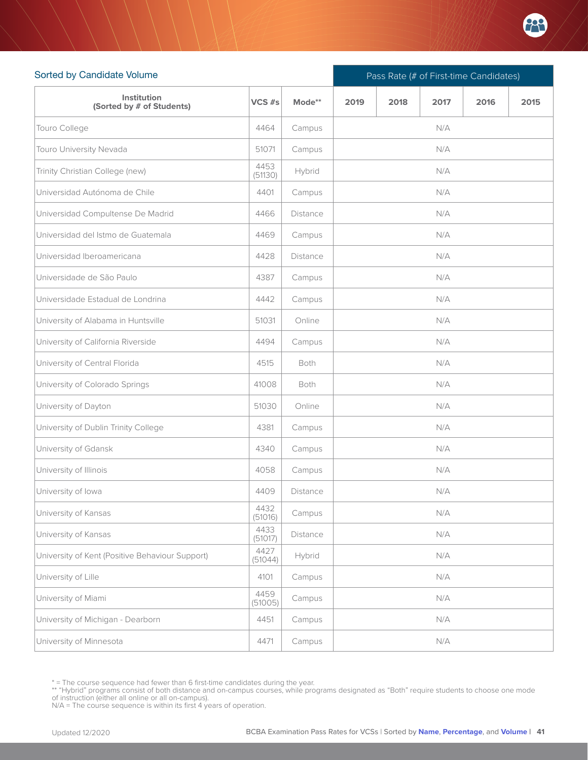

| Sorted by Candidate Volume                      |                 |                 | Pass Rate (# of First-time Candidates) |  |     |  |  |  |  |  |
|-------------------------------------------------|-----------------|-----------------|----------------------------------------|--|-----|--|--|--|--|--|
| Institution<br>(Sorted by # of Students)        | $VCS$ #s        | Mode**          | 2019<br>2018<br>2017<br>2016<br>2015   |  |     |  |  |  |  |  |
| Touro College                                   | 4464            | Campus          |                                        |  | N/A |  |  |  |  |  |
| Touro University Nevada                         | 51071           | Campus          |                                        |  | N/A |  |  |  |  |  |
| Trinity Christian College (new)                 | 4453<br>(51130) | Hybrid          | N/A                                    |  |     |  |  |  |  |  |
| Universidad Autónoma de Chile                   | 4401            | Campus          |                                        |  | N/A |  |  |  |  |  |
| Universidad Compultense De Madrid               | 4466            | Distance        |                                        |  | N/A |  |  |  |  |  |
| Universidad del Istmo de Guatemala              | 4469            | Campus          |                                        |  | N/A |  |  |  |  |  |
| Universidad Iberoamericana                      | 4428            | <b>Distance</b> |                                        |  | N/A |  |  |  |  |  |
| Universidade de São Paulo                       | 4387            | Campus          |                                        |  | N/A |  |  |  |  |  |
| Universidade Estadual de Londrina               | 4442            | Campus          |                                        |  | N/A |  |  |  |  |  |
| University of Alabama in Huntsville             | 51031           | Online          |                                        |  | N/A |  |  |  |  |  |
| University of California Riverside              | 4494            | Campus          |                                        |  | N/A |  |  |  |  |  |
| University of Central Florida                   | 4515            | Both            |                                        |  | N/A |  |  |  |  |  |
| University of Colorado Springs                  | 41008           | Both            |                                        |  | N/A |  |  |  |  |  |
| University of Dayton                            | 51030           | Online          |                                        |  | N/A |  |  |  |  |  |
| University of Dublin Trinity College            | 4381            | Campus          |                                        |  | N/A |  |  |  |  |  |
| University of Gdansk                            | 4340            | Campus          |                                        |  | N/A |  |  |  |  |  |
| University of Illinois                          | 4058            | Campus          |                                        |  | N/A |  |  |  |  |  |
| University of lowa                              | 4409            | Distance        |                                        |  | N/A |  |  |  |  |  |
| University of Kansas                            | 4432<br>(51016) | Campus          |                                        |  | N/A |  |  |  |  |  |
| University of Kansas                            | 4433<br>(51017) | Distance        |                                        |  | N/A |  |  |  |  |  |
| University of Kent (Positive Behaviour Support) | 4427<br>(51044) | Hybrid          | N/A                                    |  |     |  |  |  |  |  |
| University of Lille                             | 4101            | Campus          |                                        |  | N/A |  |  |  |  |  |
| University of Miami                             | 4459<br>(51005) | Campus          |                                        |  | N/A |  |  |  |  |  |
| University of Michigan - Dearborn               | 4451            | Campus          |                                        |  | N/A |  |  |  |  |  |
| University of Minnesota                         | 4471            | Campus          |                                        |  | N/A |  |  |  |  |  |

<sup>\* =</sup> The course sequence had fewer than 6 first-time candidates during the year.